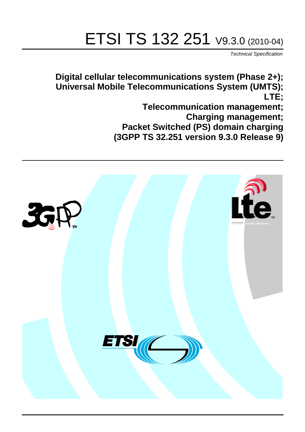# ETSI TS 132 251 V9.3.0 (2010-04)

*Technical Specification*

**Digital cellular telecommunications system (Phase 2+); Universal Mobile Telecommunications System (UMTS); LTE;**

> **Telecommunication management; Charging management; Packet Switched (PS) domain charging (3GPP TS 32.251 version 9.3.0 Release 9)**

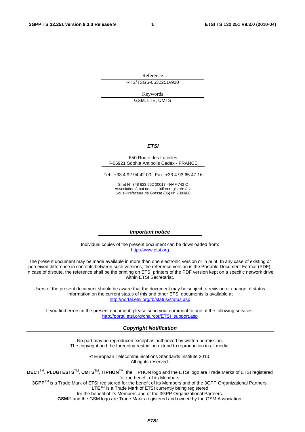Reference RTS/TSGS-0532251v930

> Keywords GSM, LTE, UMTS

> > *ETSI*

#### 650 Route des Lucioles F-06921 Sophia Antipolis Cedex - FRANCE

Tel.: +33 4 92 94 42 00 Fax: +33 4 93 65 47 16

Siret N° 348 623 562 00017 - NAF 742 C Association à but non lucratif enregistrée à la Sous-Préfecture de Grasse (06) N° 7803/88

#### *Important notice*

Individual copies of the present document can be downloaded from: [http://www.etsi.org](http://www.etsi.org/)

The present document may be made available in more than one electronic version or in print. In any case of existing or perceived difference in contents between such versions, the reference version is the Portable Document Format (PDF). In case of dispute, the reference shall be the printing on ETSI printers of the PDF version kept on a specific network drive within ETSI Secretariat.

Users of the present document should be aware that the document may be subject to revision or change of status. Information on the current status of this and other ETSI documents is available at <http://portal.etsi.org/tb/status/status.asp>

If you find errors in the present document, please send your comment to one of the following services: [http://portal.etsi.org/chaircor/ETSI\\_support.asp](http://portal.etsi.org/chaircor/ETSI_support.asp)

#### *Copyright Notification*

No part may be reproduced except as authorized by written permission. The copyright and the foregoing restriction extend to reproduction in all media.

> © European Telecommunications Standards Institute 2010. All rights reserved.

**DECT**TM, **PLUGTESTS**TM, **UMTS**TM, **TIPHON**TM, the TIPHON logo and the ETSI logo are Trade Marks of ETSI registered for the benefit of its Members.

**3GPP**TM is a Trade Mark of ETSI registered for the benefit of its Members and of the 3GPP Organizational Partners. **LTE**™ is a Trade Mark of ETSI currently being registered

for the benefit of its Members and of the 3GPP Organizational Partners.

**GSM**® and the GSM logo are Trade Marks registered and owned by the GSM Association.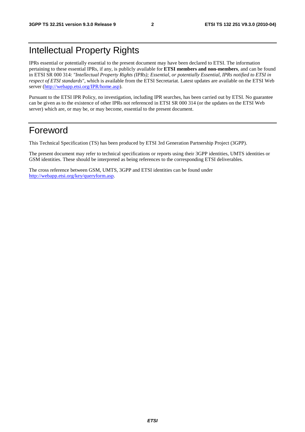# Intellectual Property Rights

IPRs essential or potentially essential to the present document may have been declared to ETSI. The information pertaining to these essential IPRs, if any, is publicly available for **ETSI members and non-members**, and can be found in ETSI SR 000 314: *"Intellectual Property Rights (IPRs); Essential, or potentially Essential, IPRs notified to ETSI in respect of ETSI standards"*, which is available from the ETSI Secretariat. Latest updates are available on the ETSI Web server ([http://webapp.etsi.org/IPR/home.asp\)](http://webapp.etsi.org/IPR/home.asp).

Pursuant to the ETSI IPR Policy, no investigation, including IPR searches, has been carried out by ETSI. No guarantee can be given as to the existence of other IPRs not referenced in ETSI SR 000 314 (or the updates on the ETSI Web server) which are, or may be, or may become, essential to the present document.

# Foreword

This Technical Specification (TS) has been produced by ETSI 3rd Generation Partnership Project (3GPP).

The present document may refer to technical specifications or reports using their 3GPP identities, UMTS identities or GSM identities. These should be interpreted as being references to the corresponding ETSI deliverables.

The cross reference between GSM, UMTS, 3GPP and ETSI identities can be found under [http://webapp.etsi.org/key/queryform.asp.](http://webapp.etsi.org/key/queryform.asp)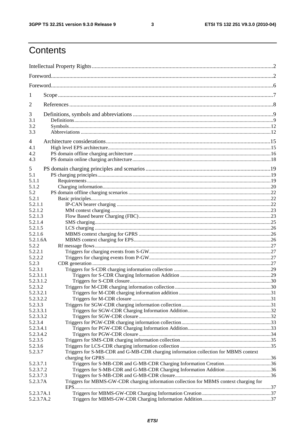$\mathbf{3}$ 

# Contents

| 1                    |                                                                                        |  |  |
|----------------------|----------------------------------------------------------------------------------------|--|--|
| 2                    |                                                                                        |  |  |
| 3                    |                                                                                        |  |  |
| 3.1                  |                                                                                        |  |  |
| 3.2                  |                                                                                        |  |  |
| 3.3                  |                                                                                        |  |  |
| 4                    |                                                                                        |  |  |
| 4.1                  |                                                                                        |  |  |
| 4.2                  |                                                                                        |  |  |
| 4.3                  |                                                                                        |  |  |
| 5                    |                                                                                        |  |  |
| 5.1                  |                                                                                        |  |  |
| 5.1.1                |                                                                                        |  |  |
| 5.1.2                |                                                                                        |  |  |
| 5.2                  |                                                                                        |  |  |
| 5.2.1                |                                                                                        |  |  |
| 5.2.1.1              |                                                                                        |  |  |
| 5.2.1.2<br>5.2.1.3   |                                                                                        |  |  |
| 5.2.1.4              |                                                                                        |  |  |
| 5.2.1.5              |                                                                                        |  |  |
| 5.2.1.6              |                                                                                        |  |  |
| 5.2.1.6A             |                                                                                        |  |  |
| 5.2.2                |                                                                                        |  |  |
| 5.2.2.1              |                                                                                        |  |  |
| 5.2.2.2              |                                                                                        |  |  |
| 5.2.3                |                                                                                        |  |  |
| 5.2.3.1<br>5.2.3.1.1 |                                                                                        |  |  |
| 5.2.3.1.2            |                                                                                        |  |  |
| 5.2.3.2              |                                                                                        |  |  |
| 5.2.3.2.1            |                                                                                        |  |  |
| 5.2.3.2.2            |                                                                                        |  |  |
| 5.2.3.3              |                                                                                        |  |  |
| 5.2.3.3.1            |                                                                                        |  |  |
| 5.2.3.3.2            |                                                                                        |  |  |
| 5.2.3.4              |                                                                                        |  |  |
| 5.2.3.4.1            |                                                                                        |  |  |
| 5.2.3.4.2<br>5.2.3.5 |                                                                                        |  |  |
| 5.2.3.6              |                                                                                        |  |  |
| 5.2.3.7              | Triggers for S-MB-CDR and G-MB-CDR charging information collection for MBMS context    |  |  |
|                      |                                                                                        |  |  |
| 5.2.3.7.1            | Triggers for S-MB-CDR and G-MB-CDR Charging Information Creation36                     |  |  |
| 5.2.3.7.2            | Triggers for S-MB-CDR and G-MB-CDR Charging Information Addition 36                    |  |  |
| 5.2.3.7.3            |                                                                                        |  |  |
| 5.2.3.7A             | Triggers for MBMS-GW-CDR charging information collection for MBMS context charging for |  |  |
| 5.2.3.7A.1           |                                                                                        |  |  |
| 5.2.3.7A.2           |                                                                                        |  |  |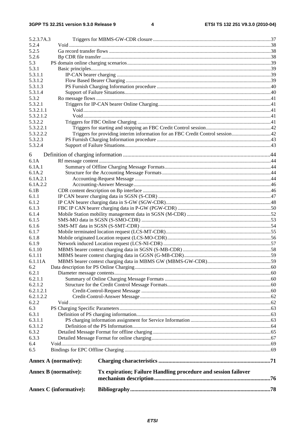#### $\overline{\mathbf{4}}$

|                        | <b>Annex C</b> (informative): |                                                                |  |
|------------------------|-------------------------------|----------------------------------------------------------------|--|
|                        | <b>Annex B</b> (normative):   | Tx expiration; Failure Handling procedure and session failover |  |
|                        | <b>Annex A (normative):</b>   |                                                                |  |
| 6.5                    |                               |                                                                |  |
| 6.4                    |                               |                                                                |  |
| 6.3.3                  |                               |                                                                |  |
| 6.3.2                  |                               |                                                                |  |
| 6.3.1.2                |                               |                                                                |  |
| 6.3.1.1                |                               |                                                                |  |
| 6.3.1                  |                               |                                                                |  |
| 6.3                    |                               |                                                                |  |
| 6.2.2                  |                               |                                                                |  |
| 6.2.1.2.1<br>6.2.1.2.2 |                               |                                                                |  |
| 6.2.1.2                |                               |                                                                |  |
| 6.2.1.1                |                               |                                                                |  |
| 6.2.1                  |                               |                                                                |  |
| 6.2                    |                               |                                                                |  |
| 6.1.11A                |                               |                                                                |  |
| 6.1.11                 |                               |                                                                |  |
| 6.1.10                 |                               |                                                                |  |
| 6.1.9                  |                               |                                                                |  |
| 6.1.8                  |                               |                                                                |  |
| 6.1.7                  |                               |                                                                |  |
| 6.1.6                  |                               |                                                                |  |
| 6.1.5                  |                               |                                                                |  |
| 6.1.4                  |                               |                                                                |  |
| 6.1.3                  |                               |                                                                |  |
| 6.1.2                  |                               |                                                                |  |
| 6.1.1                  |                               |                                                                |  |
| 6.1B                   |                               |                                                                |  |
| 6.1A.2.2               |                               |                                                                |  |
| 6.1A.2<br>6.1A.2.1     |                               |                                                                |  |
| 6.1A.1                 |                               |                                                                |  |
| 6.1A                   |                               |                                                                |  |
| 6                      |                               |                                                                |  |
|                        |                               |                                                                |  |
| 5.3.2.4                |                               |                                                                |  |
| 5.3.2.3                |                               |                                                                |  |
| 5.3.2.2.2              |                               |                                                                |  |
| 5.3.2.2<br>5.3.2.2.1   |                               |                                                                |  |
| 5.3.2.1.2              |                               |                                                                |  |
| 5.3.2.1.1              |                               |                                                                |  |
| 5.3.2.1                |                               |                                                                |  |
| 5.3.2                  |                               |                                                                |  |
| 5.3.1.4                |                               |                                                                |  |
| 5.3.1.3                |                               |                                                                |  |
| 5.3.1.2                |                               |                                                                |  |
| 5.3.1.1                |                               |                                                                |  |
| 5.3.1                  |                               |                                                                |  |
| 5.2.6<br>5.3           |                               |                                                                |  |
| 5.2.5                  |                               |                                                                |  |
| 5.2.4                  |                               |                                                                |  |
| 5.2.3.7A.3             |                               |                                                                |  |
|                        |                               |                                                                |  |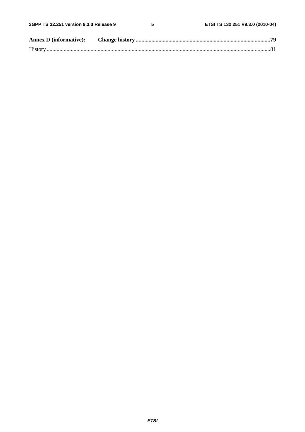$5\phantom{a}$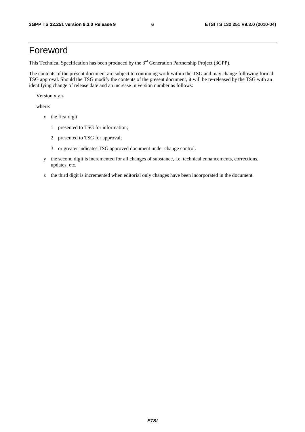# Foreword

This Technical Specification has been produced by the 3<sup>rd</sup> Generation Partnership Project (3GPP).

The contents of the present document are subject to continuing work within the TSG and may change following formal TSG approval. Should the TSG modify the contents of the present document, it will be re-released by the TSG with an identifying change of release date and an increase in version number as follows:

Version x.y.z

where:

- x the first digit:
	- 1 presented to TSG for information;
	- 2 presented to TSG for approval;
	- 3 or greater indicates TSG approved document under change control.
- y the second digit is incremented for all changes of substance, i.e. technical enhancements, corrections, updates, etc.
- z the third digit is incremented when editorial only changes have been incorporated in the document.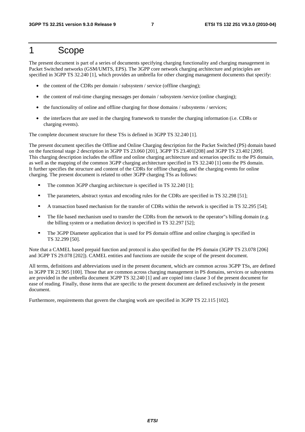# 1 Scope

The present document is part of a series of documents specifying charging functionality and charging management in Packet Switched networks (GSM/UMTS, EPS). The 3GPP core network charging architecture and principles are specified in 3GPP TS 32.240 [1], which provides an umbrella for other charging management documents that specify:

- the content of the CDRs per domain / subsystem / service (offline charging);
- the content of real-time charging messages per domain / subsystem /service (online charging);
- the functionality of online and offline charging for those domains / subsystems / services;
- the interfaces that are used in the charging framework to transfer the charging information (i.e. CDRs or charging events).

The complete document structure for these TSs is defined in 3GPP TS 32.240 [1].

The present document specifies the Offline and Online Charging description for the Packet Switched (PS) domain based on the functional stage 2 description in 3GPP TS 23.060 [201], 3GPP TS 23.401[208] and 3GPP TS 23.402 [209]. This charging description includes the offline and online charging architecture and scenarios specific to the PS domain, as well as the mapping of the common 3GPP charging architecture specified in TS 32.240 [1] onto the PS domain. It further specifies the structure and content of the CDRs for offline charging, and the charging events for online charging. The present document is related to other 3GPP charging TSs as follows:

- The common 3GPP charging architecture is specified in TS 32.240 [1];<br>The parameters abstract suntay and apociting rules for the CDPs are sp
- The parameters, abstract syntax and encoding rules for the CDRs are specified in TS 32.298 [51];<br>A transaction based mechanism for the transfer of CDRs within the network is specified in TS 32
- A transaction based mechanism for the transfer of CDRs within the network is specified in TS 32.295 [54];<br>The file based mechanism used to transfer the CDRs from the network to the operator"s billing domain (e.g.
- The file based mechanism used to transfer the CDRs from the network to the operator"s billing domain (e.g. the billing system or a mediation device) is specified in TS 32.297 [52];
- The 3GPP Diameter application that is used for PS domain offline and online charging is specified in TS 32.299 [50].

Note that a CAMEL based prepaid function and protocol is also specified for the PS domain (3GPP TS 23.078 [206] and 3GPP TS 29.078 [202]). CAMEL entities and functions are outside the scope of the present document.

All terms, definitions and abbreviations used in the present document, which are common across 3GPP TSs, are defined in 3GPP TR 21.905 [100]. Those that are common across charging management in PS domains, services or subsystems are provided in the umbrella document 3GPP TS 32.240 [1] and are copied into clause 3 of the present document for ease of reading. Finally, those items that are specific to the present document are defined exclusively in the present document.

Furthermore, requirements that govern the charging work are specified in 3GPP TS 22.115 [102].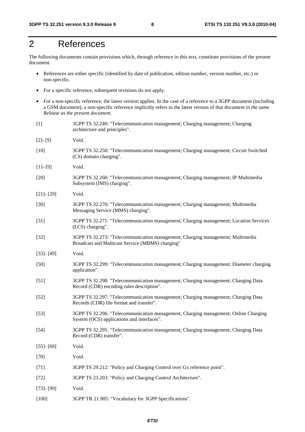# 2 References

The following documents contain provisions which, through reference in this text, constitute provisions of the present document.

- References are either specific (identified by date of publication, edition number, version number, etc.) or non-specific.
- For a specific reference, subsequent revisions do not apply.
- For a non-specific reference, the latest version applies. In the case of a reference to a 3GPP document (including a GSM document), a non-specific reference implicitly refers to the latest version of that document *in the same Release as the present document*.
- [1] 3GPP TS 32.240: "Telecommunication management; Charging management; Charging architecture and principles".
- [2]- [9] Void.
- [10] 3GPP TS 32.250: "Telecommunication management; Charging management; Circuit Switched (CS) domain charging".
- [11-19] Void.
- [20] 3GPP TS 32.260: "Telecommunication management; Charging management; IP Multimedia Subsystem (IMS) charging".
- [21]- [29] Void.
- [30] 3GPP TS 32.270: "Telecommunication management; Charging management; Multimedia Messaging Service (MMS) charging".
- [31] 3GPP TS 32.271: "Telecommunication management; Charging management; Location Services (LCS) charging".
- [32] 3GPP TS 32.273: "Telecommunication management; Charging management; Multimedia Broadcast and Multicast Service (MBMS) charging"
- [33]- [49] Void.
- [50] 3GPP TS 32.299: "Telecommunication management; Charging management; Diameter charging application".
- [51] 3GPP TS 32.298: "Telecommunication management; Charging management; Charging Data Record (CDR) encoding rules description".
- [52] 3GPP TS 32.297: "Telecommunication management; Charging management; Charging Data Records (CDR) file format and transfer".
- [53] 3GPP TS 32.296: "Telecommunication management; Charging management; Online Charging System (OCS) applications and interfaces".
- [54] 3GPP TS 32.295: "Telecommunication management; Charging management; Charging Data Record (CDR) transfer".
- [55]- [69] Void. [70] Void.
- 
- [71] 3GPP TS 29.212: "Policy and Charging Control over Gx reference point".
- [72] 3GPP TS 23.203: "Policy and Charging Control Architecture".
- [73]- [99] Void.
- [100] 3GPP TR 21.905: "Vocabulary for 3GPP Specifications".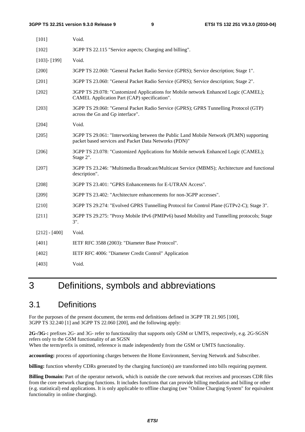| $[101]$           | Void.                                                                                                                                           |
|-------------------|-------------------------------------------------------------------------------------------------------------------------------------------------|
| $[102]$           | 3GPP TS 22.115 "Service aspects; Charging and billing".                                                                                         |
| $[103]$ - $[199]$ | Void.                                                                                                                                           |
| $[200]$           | 3GPP TS 22.060: "General Packet Radio Service (GPRS); Service description; Stage 1".                                                            |
| $[201]$           | 3GPP TS 23.060: "General Packet Radio Service (GPRS); Service description; Stage 2".                                                            |
| $[202]$           | 3GPP TS 29.078: "Customized Applications for Mobile network Enhanced Logic (CAMEL);<br>CAMEL Application Part (CAP) specification".             |
| $[203]$           | 3GPP TS 29.060: "General Packet Radio Service (GPRS); GPRS Tunnelling Protocol (GTP)<br>across the Gn and Gp interface".                        |
| $[204]$           | Void.                                                                                                                                           |
| [205]             | 3GPP TS 29.061: "Interworking between the Public Land Mobile Network (PLMN) supporting<br>packet based services and Packet Data Networks (PDN)" |
| [206]             | 3GPP TS 23.078: "Customized Applications for Mobile network Enhanced Logic (CAMEL);<br>Stage 2".                                                |
| $[207]$           | 3GPP TS 23.246: "Multimedia Broadcast/Multicast Service (MBMS); Architecture and functional<br>description".                                    |
| $[208]$           | 3GPP TS 23.401: "GPRS Enhancements for E-UTRAN Access".                                                                                         |
| $[209]$           | 3GPP TS 23.402: "Architecture enhancements for non-3GPP accesses".                                                                              |
| $[210]$           | 3GPP TS 29.274: "Evolved GPRS Tunnelling Protocol for Control Plane (GTPv2-C); Stage 3".                                                        |
| $[211]$           | 3GPP TS 29.275: "Proxy Mobile IPv6 (PMIPv6) based Mobility and Tunnelling protocols; Stage<br>$3$ ".                                            |
| $[212] - [400]$   | Void.                                                                                                                                           |
| $[401]$           | IETF RFC 3588 (2003): "Diameter Base Protocol".                                                                                                 |
| [402]             | IETF RFC 4006: "Diameter Credit Control" Application                                                                                            |
| [403]             | Void.                                                                                                                                           |

# 3 Definitions, symbols and abbreviations

### 3.1 Definitions

For the purposes of the present document, the terms end definitions defined in 3GPP TR 21.905 [100], 3GPP TS 32.240 [1] and 3GPP TS 22.060 [200], and the following apply:

**2G-/3G-:** prefixes 2G- and 3G- refer to functionality that supports only GSM or UMTS, respectively, e.g. 2G-SGSN refers only to the GSM functionality of an SGSN

When the term/prefix is omitted, reference is made independently from the GSM or UMTS functionality.

**accounting:** process of apportioning charges between the Home Environment, Serving Network and Subscriber.

**billing:** function whereby CDRs generated by the charging function(s) are transformed into bills requiring payment.

**Billing Domain:** Part of the operator network, which is outside the core network that receives and processes CDR files from the core network charging functions. It includes functions that can provide billing mediation and billing or other (e.g. statistical) end applications. It is only applicable to offline charging (see "Online Charging System" for equivalent functionality in online charging).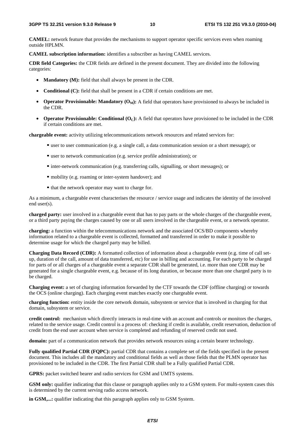**CAMEL:** network feature that provides the mechanisms to support operator specific services even when roaming outside HPLMN.

**CAMEL subscription information:** identifies a subscriber as having CAMEL services.

**CDR field Categories:** the CDR fields are defined in the present document. They are divided into the following categories:

- **Mandatory (M):** field that shall always be present in the CDR.
- **Conditional (C):** field that shall be present in a CDR if certain conditions are met.
- **Operator Provisionable: Mandatory**  $(O_M)$ **:** A field that operators have provisioned to always be included in the CDR.
- **Operator Provisionable: Conditional (O<sub>C</sub>):** A field that operators have provisioned to be included in the CDR if certain conditions are met.

**chargeable event:** activity utilizing telecommunications network resources and related services for:

- user to user communication (e.g. a single call, a data communication session or a short message); or
- user to network communication (e.g. service profile administration); or
- inter-network communication (e.g. transferring calls, signalling, or short messages); or
- mobility (e.g. roaming or inter-system handover); and
- that the network operator may want to charge for.

As a minimum, a chargeable event characterises the resource / service usage and indicates the identity of the involved end user(s).

**charged party:** user involved in a chargeable event that has to pay parts or the whole charges of the chargeable event, or a third party paying the charges caused by one or all users involved in the chargeable event, or a network operator.

**charging:** a function within the telecommunications network and the associated OCS/BD components whereby information related to a chargeable event is collected, formatted and transferred in order to make it possible to determine usage for which the charged party may be billed.

**Charging Data Record (CDR):** A formatted collection of information about a chargeable event (e.g. time of call setup, duration of the call, amount of data transferred, etc) for use in billing and accounting. For each party to be charged for parts of or all charges of a chargeable event a separate CDR shall be generated, i.e. more than one CDR may be generated for a single chargeable event, e.g. because of its long duration, or because more than one charged party is to be charged.

**Charging event:** a set of charging information forwarded by the CTF towards the CDF (offline charging) or towards the OCS (online charging). Each charging event matches exactly one chargeable event.

**charging function:** entity inside the core network domain, subsystem or service that is involved in charging for that domain, subsystem or service.

**credit control:** mechanism which directly interacts in real-time with an account and controls or monitors the charges, related to the service usage. Credit control is a process of: checking if credit is available, credit reservation, deduction of credit from the end user account when service is completed and refunding of reserved credit not used.

**domain:** part of a communication network that provides network resources using a certain bearer technology.

**Fully qualified Partial CDR (FQPC):** partial CDR that contains a complete set of the fields specified in the present document. This includes all the mandatory and conditional fields as well as those fields that the PLMN operator has provisioned to be included in the CDR. The first Partial CDR shall be a Fully qualified Partial CDR.

**GPRS:** packet switched bearer and radio services for GSM and UMTS systems.

**GSM only:** qualifier indicating that this clause or paragraph applies only to a GSM system. For multi-system cases this is determined by the current serving radio access network.

**in GSM,...:** qualifier indicating that this paragraph applies only to GSM System.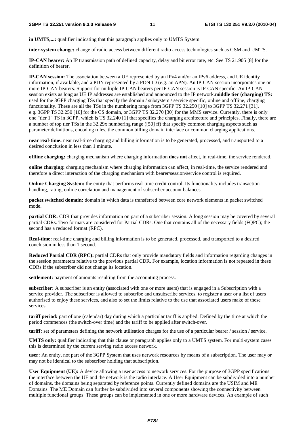**in UMTS,...:** qualifier indicating that this paragraph applies only to UMTS System.

**inter-system change:** change of radio access between different radio access technologies such as GSM and UMTS.

**IP-CAN bearer:** An IP transmission path of defined capacity, delay and bit error rate, etc. See TS 21.905 [8] for the definition of bearer.

**IP-CAN session:** The association between a UE represented by an IPv4 and/or an IPv6 address, and UE identity information, if available, and a PDN represented by a PDN ID (e.g. an APN). An IP-CAN session incorporates one or more IP-CAN bearers. Support for multiple IP-CAN bearers per IP-CAN session is IP-CAN specific. An IP-CAN session exists as long as UE IP addresses are established and announced to the IP network.**middle tier (charging) TS:** used for the 3GPP charging TSs that specify the domain / subsystem / service specific, online and offline, charging functionality. These are all the TSs in the numbering range from 3GPP TS 32.250 [10] to 3GPP TS 32.271 [31], e.g. 3GPP TS 32.250 [10] for the CS domain, or 3GPP TS 32.270 [30] for the MMS service. Currently, there is only one "tier 1" TS in 3GPP, which is TS 32.240 [1] that specifies the charging architecture and principles. Finally, there are a number of top tier TSs in the 32.29x numbering range ([50] ff) that specify common charging aspects such as parameter definitions, encoding rules, the common billing domain interface or common charging applications.

**near real-time:** near real-time charging and billing information is to be generated, processed, and transported to a desired conclusion in less than 1 minute.

**offline charging:** charging mechanism where charging information **does not** affect, in real-time, the service rendered.

**online charging:** charging mechanism where charging information can affect, in real-time, the service rendered and therefore a direct interaction of the charging mechanism with bearer/session/service control is required.

**Online Charging System:** the entity that performs real-time credit control. Its functionality includes transaction handling, rating, online correlation and management of subscriber account balances.

**packet switched domain:** domain in which data is transferred between core network elements in packet switched mode.

**partial CDR:** CDR that provides information on part of a subscriber session. A long session may be covered by several partial CDRs. Two formats are considered for Partial CDRs. One that contains all of the necessary fields (FQPC); the second has a reduced format (RPC).

**Real-time:** real-time charging and billing information is to be generated, processed, and transported to a desired conclusion in less than 1 second.

**Reduced Partial CDR (RPC):** partial CDRs that only provide mandatory fields and information regarding changes in the session parameters relative to the previous partial CDR. For example, location information is not repeated in these CDRs if the subscriber did not change its location.

**settlement:** payment of amounts resulting from the accounting process.

**subscriber:** A subscriber is an entity (associated with one or more users) that is engaged in a Subscription with a service provider. The subscriber is allowed to subscribe and unsubscribe services, to register a user or a list of users authorised to enjoy these services, and also to set the limits relative to the use that associated users make of these services.

**tariff period:** part of one (calendar) day during which a particular tariff is applied. Defined by the time at which the period commences (the switch-over time) and the tariff to be applied after switch-over.

**tariff:** set of parameters defining the network utilisation charges for the use of a particular bearer / session / service.

**UMTS only:** qualifier indicating that this clause or paragraph applies only to a UMTS system. For multi-system cases this is determined by the current serving radio access network.

**user:** An entity, not part of the 3GPP System that uses network resources by means of a subscription. The user may or may not be identical to the subscriber holding that subscription.

**User Equipment (UE):** A device allowing a user access to network services. For the purpose of 3GPP specifications the interface between the UE and the network is the radio interface. A User Equipment can be subdivided into a number of domains, the domains being separated by reference points. Currently defined domains are the USIM and ME Domains. The ME Domain can further be subdivided into several components showing the connectivity between multiple functional groups. These groups can be implemented in one or more hardware devices. An example of such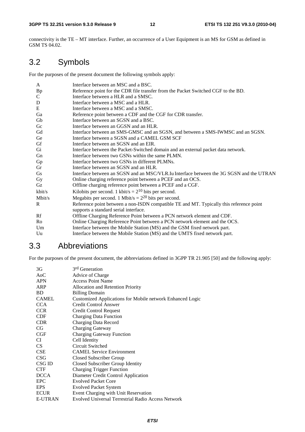connectivity is the TE – MT interface. Further, an occurrence of a User Equipment is an MS for GSM as defined in GSM TS 04.02.

# 3.2 Symbols

For the purposes of the present document the following symbols apply:

| A            | Interface between an MSC and a BSC.                                                                                              |
|--------------|----------------------------------------------------------------------------------------------------------------------------------|
| <b>Bp</b>    | Reference point for the CDR file transfer from the Packet Switched CGF to the BD.                                                |
| $\mathsf{C}$ | Interface between a HLR and a SMSC.                                                                                              |
| $\mathbf D$  | Interface between a MSC and a HLR.                                                                                               |
| E            | Interface between a MSC and a SMSC.                                                                                              |
| Ga           | Reference point between a CDF and the CGF for CDR transfer.                                                                      |
| Gb           | Interface between an SGSN and a BSC.                                                                                             |
| Gc           | Interface between an GGSN and an HLR.                                                                                            |
| Gd           | Interface between an SMS-GMSC and an SGSN, and between a SMS-IWMSC and an SGSN.                                                  |
| Ge           | Interface between a SGSN and a CAMEL GSM SCF                                                                                     |
| Gf           | Interface between an SGSN and an EIR.                                                                                            |
| Gi           | Interface between the Packet-Switched domain and an external packet data network.                                                |
| Gn           | Interface between two GSNs within the same PLMN.                                                                                 |
| Gp           | Interface between two GSNs in different PLMNs.                                                                                   |
| Gr           | Interface between an SGSN and an HLR.                                                                                            |
| Gs           | Interface between an SGSN and an MSC/VLR. Iu Interface between the 3G SGSN and the UTRAN                                         |
| Gy           | Online charging reference point between a PCEF and an OCS.                                                                       |
| Gz           | Offline charging reference point between a PCEF and a CGF.                                                                       |
| kbit/s       | Kilobits per second. 1 kbit/s = $2^{10}$ bits per second.                                                                        |
| Mbit/s       | Megabits per second. 1 Mbit/s = $2^{20}$ bits per second.                                                                        |
| R            | Reference point between a non-ISDN compatible TE and MT. Typically this reference point<br>supports a standard serial interface. |
| Rf           | Offline Charging Reference Point between a PCN network element and CDF.                                                          |
| Ro           | Online Charging Reference Point between a PCN network element and the OCS.                                                       |
| Um           | Interface between the Mobile Station (MS) and the GSM fixed network part.                                                        |
| Uu           | Interface between the Mobile Station (MS) and the UMTS fixed network part.                                                       |

## 3.3 Abbreviations

For the purposes of the present document, the abbreviations defined in 3GPP TR 21.905 [50] and the following apply:

| 3G               | 3 <sup>rd</sup> Generation                                |
|------------------|-----------------------------------------------------------|
| A <sub>0</sub> C | Advice of Charge                                          |
| <b>APN</b>       | <b>Access Point Name</b>                                  |
| ARP              | Allocation and Retention Priority                         |
| <b>BD</b>        | <b>Billing Domain</b>                                     |
| <b>CAMEL</b>     | Customized Applications for Mobile network Enhanced Logic |
| <b>CCA</b>       | <b>Credit Control Answer</b>                              |
| <b>CCR</b>       | <b>Credit Control Request</b>                             |
| <b>CDF</b>       | <b>Charging Data Function</b>                             |
| <b>CDR</b>       | Charging Data Record                                      |
| <b>CG</b>        | <b>Charging Gateway</b>                                   |
| CGF              | <b>Charging Gateway Function</b>                          |
| <b>CI</b>        | Cell Identity                                             |
| <b>CS</b>        | Circuit Switched                                          |
| <b>CSE</b>       | <b>CAMEL Service Environment</b>                          |
| <b>CSG</b>       | Closed Subscriber Group                                   |
| CSG ID           | Closed Subscriber Group Identity                          |
| <b>CTF</b>       | <b>Charging Trigger Function</b>                          |
| <b>DCCA</b>      | Diameter Credit Control Application                       |
| <b>EPC</b>       | <b>Evolved Packet Core</b>                                |
| <b>EPS</b>       | <b>Evolved Packet System</b>                              |
| <b>ECUR</b>      | Event Charging with Unit Reservation                      |
| <b>E-UTRAN</b>   | Evolved Universal Terrestrial Radio Access Network        |
|                  |                                                           |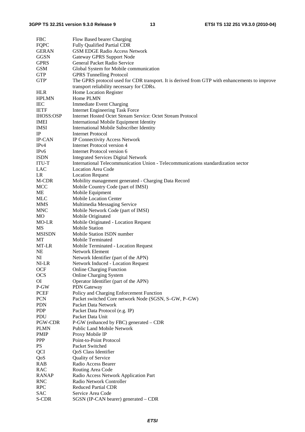| <b>FBC</b>       | Flow Based bearer Charging                                                                                                      |
|------------------|---------------------------------------------------------------------------------------------------------------------------------|
| <b>FQPC</b>      | <b>Fully Qualified Partial CDR</b>                                                                                              |
| <b>GERAN</b>     | <b>GSM EDGE Radio Access Network</b>                                                                                            |
| <b>GGSN</b>      | Gateway GPRS Support Node                                                                                                       |
| <b>GPRS</b>      | General Packet Radio Service                                                                                                    |
| <b>GSM</b>       | Global System for Mobile communication                                                                                          |
| <b>GTP</b>       | <b>GPRS</b> Tunnelling Protocol                                                                                                 |
| GTP'             | The GPRS protocol used for CDR transport. It is derived from GTP with enhancements to improve                                   |
|                  | transport reliability necessary for CDRs.                                                                                       |
| <b>HLR</b>       | Home Location Register                                                                                                          |
| <b>HPLMN</b>     | Home PLMN                                                                                                                       |
| <b>IEC</b>       | <b>Immediate Event Charging</b>                                                                                                 |
| <b>IETF</b>      | <b>Internet Engineering Task Force</b>                                                                                          |
| <b>IHOSS:OSP</b> | Internet Hosted Octet Stream Service: Octet Stream Protocol                                                                     |
| <b>IMEI</b>      | <b>International Mobile Equipment Identity</b>                                                                                  |
| <b>IMSI</b>      | International Mobile Subscriber Identity                                                                                        |
| IP               | <b>Internet Protocol</b>                                                                                                        |
| <b>IP-CAN</b>    | IP Connectivity Access Network                                                                                                  |
| IPv4             | Internet Protocol version 4                                                                                                     |
| IPv6             | <b>Internet Protocol version 6</b>                                                                                              |
| <b>ISDN</b>      |                                                                                                                                 |
|                  | <b>Integrated Services Digital Network</b><br>International Telecommunication Union - Telecommunications standardization sector |
| <b>ITU-T</b>     |                                                                                                                                 |
| LAC              | <b>Location Area Code</b>                                                                                                       |
| LR               | <b>Location Request</b>                                                                                                         |
| M-CDR            | Mobility management generated - Charging Data Record                                                                            |
| <b>MCC</b>       | Mobile Country Code (part of IMSI)                                                                                              |
| ME               | Mobile Equipment                                                                                                                |
| MLC              | Mobile Location Center                                                                                                          |
| <b>MMS</b>       | Multimedia Messaging Service                                                                                                    |
| <b>MNC</b>       | Mobile Network Code (part of IMSI)                                                                                              |
| MO               | Mobile Originated                                                                                                               |
| MO-LR            | Mobile Originated - Location Request                                                                                            |
| MS               | <b>Mobile Station</b>                                                                                                           |
| <b>MSISDN</b>    | Mobile Station ISDN number                                                                                                      |
| MT               | Mobile Terminated                                                                                                               |
| MT-LR            | Mobile Terminated - Location Request                                                                                            |
| NE               | <b>Network Element</b>                                                                                                          |
| NI               | Network Identifier (part of the APN)                                                                                            |
| NI-LR            | <b>Network Induced - Location Request</b>                                                                                       |
| <b>OCF</b>       | <b>Online Charging Function</b>                                                                                                 |
| <b>OCS</b>       | <b>Online Charging System</b>                                                                                                   |
| O                | Operator Identifier (part of the APN)                                                                                           |
| P-GW             | PDN Gateway                                                                                                                     |
| <b>PCEF</b>      | Policy and Charging Enforcement Function                                                                                        |
| <b>PCN</b>       | Packet switched Core network Node (SGSN, S-GW, P-GW)                                                                            |
| <b>PDN</b>       | Packet Data Network                                                                                                             |
| <b>PDP</b>       | Packet Data Protocol (e.g. IP)                                                                                                  |
| PDU              | Packet Data Unit                                                                                                                |
| PGW-CDR          | P-GW (enhanced by FBC) generated – CDR                                                                                          |
| <b>PLMN</b>      | <b>Public Land Mobile Network</b>                                                                                               |
| <b>PMIP</b>      | Proxy Mobile IP                                                                                                                 |
| <b>PPP</b>       | Point-to-Point Protocol                                                                                                         |
| <b>PS</b>        | Packet Switched                                                                                                                 |
|                  |                                                                                                                                 |
| QCI              | QoS Class Identifier                                                                                                            |
| QoS              | Quality of Service                                                                                                              |
| <b>RAB</b>       | Radio Access Bearer                                                                                                             |
| <b>RAC</b>       | Routing Area Code                                                                                                               |
| <b>RANAP</b>     | Radio Access Network Application Part                                                                                           |
| <b>RNC</b>       | Radio Network Controller                                                                                                        |
| <b>RPC</b>       | <b>Reduced Partial CDR</b>                                                                                                      |
| <b>SAC</b>       | Service Area Code                                                                                                               |
| S-CDR            | SGSN (IP-CAN bearer) generated - CDR                                                                                            |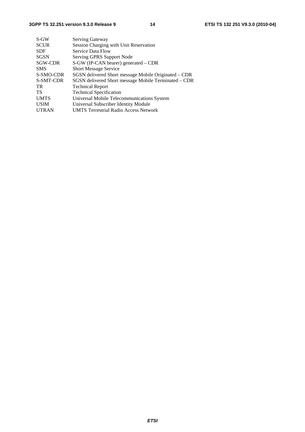| $S-GW$       | Serving Gateway                                      |
|--------------|------------------------------------------------------|
| <b>SCUR</b>  | Session Charging with Unit Reservation               |
| <b>SDF</b>   | Service Data Flow                                    |
| <b>SGSN</b>  | Serving GPRS Support Node                            |
| SGW-CDR      | S-GW (IP-CAN bearer) generated – CDR                 |
| <b>SMS</b>   | <b>Short Message Service</b>                         |
| S-SMO-CDR    | SGSN delivered Short message Mobile Originated – CDR |
| S-SMT-CDR    | SGSN delivered Short message Mobile Terminated – CDR |
| TR.          | <b>Technical Report</b>                              |
| TS           | <b>Technical Specification</b>                       |
| <b>UMTS</b>  | Universal Mobile Telecommunications System           |
| <b>USIM</b>  | Universal Subscriber Identity Module                 |
| <b>UTRAN</b> | <b>UMTS Terrestrial Radio Access Network</b>         |
|              |                                                      |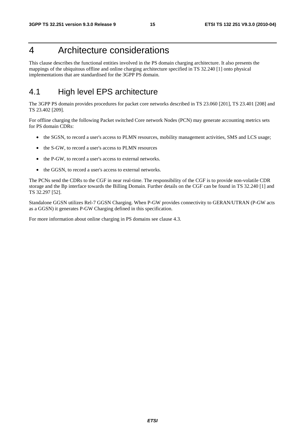# 4 Architecture considerations

This clause describes the functional entities involved in the PS domain charging architecture. It also presents the mappings of the ubiquitous offline and online charging architecture specified in TS 32.240 [1] onto physical implementations that are standardised for the 3GPP PS domain.

## 4.1 High level EPS architecture

The 3GPP PS domain provides procedures for packet core networks described in TS 23.060 [201], TS 23.401 [208] and TS 23.402 [209].

For offline charging the following Packet switched Core network Nodes (PCN) may generate accounting metrics sets for PS domain CDRs:

- the SGSN, to record a user's access to PLMN resources, mobility management activities, SMS and LCS usage;
- the S-GW, to record a user's access to PLMN resources
- the P-GW, to record a user's access to external networks.
- the GGSN, to record a user's access to external networks.

The PCNs send the CDRs to the CGF in near real-time. The responsibility of the CGF is to provide non-volatile CDR storage and the Bp interface towards the Billing Domain. Further details on the CGF can be found in TS 32.240 [1] and TS 32.297 [52].

Standalone GGSN utilizes Rel-7 GGSN Charging. When P-GW provides connectivity to GERAN/UTRAN (P-GW acts as a GGSN) it generates P-GW Charging defined in this specification.

For more information about online charging in PS domains see clause 4.3.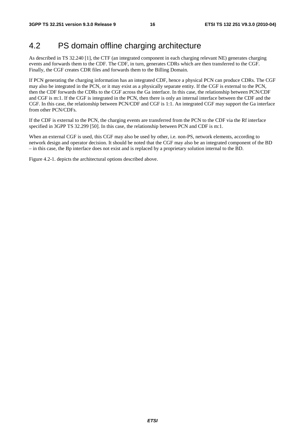### 4.2 PS domain offline charging architecture

As described in TS 32.240 [1], the CTF (an integrated component in each charging relevant NE) generates charging events and forwards them to the CDF. The CDF, in turn, generates CDRs which are then transferred to the CGF. Finally, the CGF creates CDR files and forwards them to the Billing Domain.

If PCN generating the charging information has an integrated CDF, hence a physical PCN can produce CDRs. The CGF may also be integrated in the PCN, or it may exist as a physically separate entity. If the CGF is external to the PCN, then the CDF forwards the CDRs to the CGF across the Ga interface. In this case, the relationship between PCN/CDF and CGF is m:1. If the CGF is integrated in the PCN, then there is only an internal interface between the CDF and the CGF. In this case, the relationship between PCN/CDF and CGF is 1:1. An integrated CGF may support the Ga interface from other PCN/CDFs.

If the CDF is external to the PCN, the charging events are transferred from the PCN to the CDF via the Rf interface specified in 3GPP TS 32.299 [50]. In this case, the relationship between PCN and CDF is m:1.

When an external CGF is used, this CGF may also be used by other, i.e. non-PS, network elements, according to network design and operator decision. It should be noted that the CGF may also be an integrated component of the BD – in this case, the Bp interface does not exist and is replaced by a proprietary solution internal to the BD.

Figure 4.2-1. depicts the architectural options described above.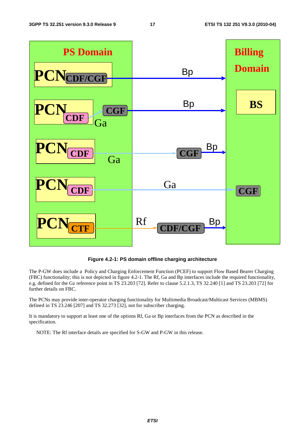

**Figure 4.2-1: PS domain offline charging architecture** 

The P-GW does include a Policy and Charging Enforcement Function (PCEF) to support Flow Based Bearer Charging (FBC) functionality; this is not depicted in figure 4.2-1. The Rf, Ga and Bp interfaces include the required functionality, e.g. defined for the Gz reference point in TS 23.203 [72]. Refer to clause 5.2.1.3, TS 32.240 [1] and TS 23.203 [72] for further details on FBC.

The PCNs may provide inter-operator charging functionality for Multimedia Broadcast/Multicast Services (MBMS) defined in TS 23.246 [207] and TS 32.273 [32], not for subscriber charging.

It is mandatory to support at least one of the options Rf, Ga or Bp interfaces from the PCN as described in the specification.

NOTE: The Rf interface details are specified for S-GW and P-GW in this release.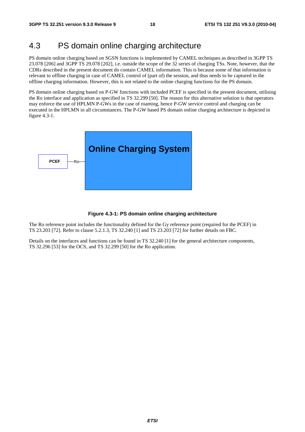# 4.3 PS domain online charging architecture

PS domain online charging based on SGSN functions is implemented by CAMEL techniques as described in 3GPP TS 23.078 [206] and 3GPP TS 29.078 [202], i.e. outside the scope of the 32 series of charging TSs. Note, however, that the CDRs described in the present document do contain CAMEL information. This is because some of that information is relevant to offline charging in case of CAMEL control of (part of) the session, and thus needs to be captured in the offline charging information. However, this is not related to the online charging functions for the PS domain.

PS domain online charging based on P-GW functions with included PCEF is specified in the present document, utilising the Ro interface and application as specified in TS 32.299 [50]. The reason for this alternative solution is that operators may enforce the use of HPLMN P-GWs in the case of roaming, hence P-GW service control and charging can be executed in the HPLMN in all circumstances. The P-GW based PS domain online charging architecture is depicted in figure 4.3-1.



#### **Figure 4.3-1: PS domain online charging architecture**

The Ro reference point includes the functionality defined for the Gy reference point (required for the PCEF) in TS 23.203 [72]. Refer to clause 5.2.1.3, TS 32.240 [1] and TS 23.203 [72] for further details on FBC.

Details on the interfaces and functions can be found in TS 32.240 [1] for the general architecture components, TS 32.296 [53] for the OCS, and TS 32.299 [50] for the Ro application.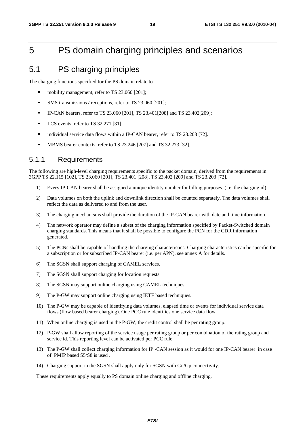# 5 PS domain charging principles and scenarios

### 5.1 PS charging principles

The charging functions specified for the PS domain relate to

- mobility management, refer to TS 23.060 [201];
- SMS transmissions / receptions, refer to TS 23.060 [201];<br>
P-CAN bearers refer to TS 23.060 [2011 TS 23.401[208]
- IP-CAN bearers, refer to TS 23.060 [201], TS 23.401 [208] and TS 23.402 [209];<br>I CS events, refer to TS 32.271 [31]
- LCS events, refer to TS 32.271 [31];
- individual service data flows within a IP-CAN bearer, refer to TS 23.203 [72].<br>MBMS bearer contexts, refer to TS 23.246 [207] and TS 32.273 [32]
- MBMS bearer contexts, refer to TS 23.246 [207] and TS 32.273 [32].

#### 5.1.1 Requirements

The following are high-level charging requirements specific to the packet domain, derived from the requirements in 3GPP TS 22.115 [102], TS 23.060 [201], TS 23.401 [208], TS 23.402 [209] and TS 23.203 [72].

- 1) Every IP-CAN bearer shall be assigned a unique identity number for billing purposes. (i.e. the charging id).
- 2) Data volumes on both the uplink and downlink direction shall be counted separately. The data volumes shall reflect the data as delivered to and from the user.
- 3) The charging mechanisms shall provide the duration of the IP-CAN bearer with date and time information.
- 4) The network operator may define a subset of the charging information specified by Packet-Switched domain charging standards. This means that it shall be possible to configure the PCN for the CDR information generated.
- 5) The PCNs shall be capable of handling the charging characteristics. Charging characteristics can be specific for a subscription or for subscribed IP-CAN bearer (i.e. per APN), see annex A for details.
- 6) The SGSN shall support charging of CAMEL services.
- 7) The SGSN shall support charging for location requests.
- 8) The SGSN may support online charging using CAMEL techniques.
- 9) The P-GW may support online charging using IETF based techniques.
- 10) The P-GW may be capable of identifying data volumes, elapsed time or events for individual service data flows (flow based bearer charging). One PCC rule identifies one service data flow.
- 11) When online charging is used in the P-GW, the credit control shall be per rating group.
- 12) P-GW shall allow reporting of the service usage per rating group or per combination of the rating group and service id. This reporting level can be activated per PCC rule.
- 13) The P-GW shall collect charging information for IP -CAN session as it would for one IP-CAN bearer in case of PMIP based S5/S8 is used .
- 14) Charging support in the SGSN shall apply only for SGSN with Gn/Gp connectivity.

These requirements apply equally to PS domain online charging and offline charging.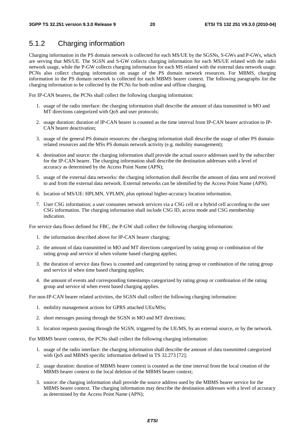### 5.1.2 Charging information

Charging information in the PS domain network is collected for each MS/UE by the SGSNs, S-GWs and P-GWs, which are serving that MS/UE. The SGSN and S-GW collects charging information for each MS/UE related with the radio network usage, while the P-GW collects charging information for each MS related with the external data network usage. PCNs also collect charging information on usage of the PS domain network resources. For MBMS, charging information in the PS domain network is collected for each MBMS bearer context. The following paragraphs list the charging information to be collected by the PCNs for both online and offline charging.

For IP-CAN bearers, the PCNs shall collect the following charging information:

- 1. usage of the radio interface: the charging information shall describe the amount of data transmitted in MO and MT directions categorized with QoS and user protocols;
- 2. usage duration: duration of IP-CAN bearer is counted as the time interval from IP-CAN bearer activation to IP-CAN bearer deactivation;
- 3. usage of the general PS domain resources: the charging information shall describe the usage of other PS domainrelated resources and the MSs PS domain network activity (e.g. mobility management);
- 4. destination and source: the charging information shall provide the actual source addresses used by the subscriber for the IP-CAN bearer. The charging information shall describe the destination addresses with a level of accuracy as determined by the Access Point Name (APN);
- 5. usage of the external data networks: the charging information shall describe the amount of data sent and received to and from the external data network. External networks can be identified by the Access Point Name (APN).
- 6. location of MS/UE: HPLMN, VPLMN, plus optional higher-accuracy location information.
- 7. User CSG information; a user consumes network services via a CSG cell or a hybrid cell according to the user CSG information. The charging information shall include CSG ID, access mode and CSG membership indication.

For service data flows defined for FBC, the P-GW shall collect the following charging information:

- 1. the information described above for IP-CAN bearer charging;
- 2. the amount of data transmitted in MO and MT directions categorized by rating group or combination of the rating group and service id when volume based charging applies;
- 3. the duration of service data flows is counted and categorized by rating group or combination of the rating group and service id when time based charging applies;
- 4. the amount of events and corresponding timestamps categorized by rating group or combination of the rating group and service id when event based charging applies.

For non-IP-CAN bearer related activities, the SGSN shall collect the following charging information:

- 1. mobility management actions for GPRS attached UEs/MSs;
- 2. short messages passing through the SGSN in MO and MT directions;
- 3. location requests passing through the SGSN, triggered by the UE/MS, by an external source, or by the network.

For MBMS bearer contexts, the PCNs shall collect the following charging information:

- 1. usage of the radio interface: the charging information shall describe the amount of data transmitted categorized with QoS and MBMS specific information defined in TS 32.273 [72];
- 2. usage duration: duration of MBMS bearer context is counted as the time interval from the local creation of the MBMS bearer context to the local deletion of the MBMS bearer context;
- 3. source: the charging information shall provide the source address used by the MBMS bearer service for the MBMS bearer context. The charging information may describe the destination addresses with a level of accuracy as determined by the Access Point Name (APN);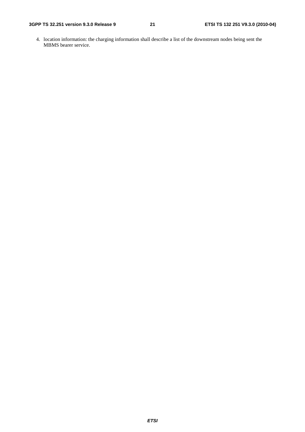4. location information: the charging information shall describe a list of the downstream nodes being sent the MBMS bearer service.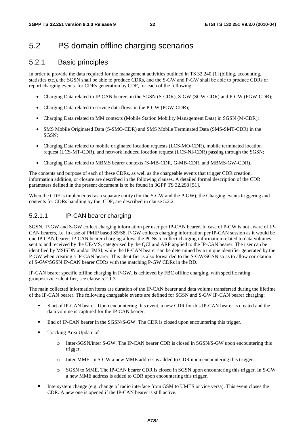### 5.2 PS domain offline charging scenarios

#### 5.2.1 Basic principles

In order to provide the data required for the management activities outlined in TS 32.240 [1] (billing, accounting, statistics etc.), the SGSN shall be able to produce CDRs, and the S-GW and P-GW shall be able to produce CDRs or report charging events for CDRs generation by CDF, for each of the following:

- Charging Data related to IP-CAN bearers in the SGSN (S-CDR), S-GW (SGW-CDR) and P-GW (PGW-CDR);
- Charging Data related to service data flows in the P-GW (PGW-CDR);
- Charging Data related to MM contexts (Mobile Station Mobility Management Data) in SGSN (M-CDR);
- SMS Mobile Originated Data (S-SMO-CDR) and SMS Mobile Terminated Data (SMS-SMT-CDR) in the SGSN;
- Charging Data related to mobile originated location requests (LCS-MO-CDR), mobile terminated location request (LCS-MT-CDR), and network induced location request (LCS-NI-CDR) passing through the SGSN;
- Charging Data related to MBMS bearer contexts (S-MB-CDR, G-MB-CDR, and MBMS-GW-CDR).

The contents and purpose of each of these CDRs, as well as the chargeable events that trigger CDR creation, information addition, or closure are described in the following clauses. A detailed formal description of the CDR parameters defined in the present document is to be found in 3GPP TS 32.298 [51].

When the CDF is implemented as a separate entity (for the S-GW and the P-GW), the Charging events triggering and contents for CDRs handling by the CDF, are described in clause 5.2.2.

#### 5.2.1.1 IP-CAN bearer charging

SGSN, P-GW and S-GW collect charging information per user per IP-CAN bearer. In case of P-GW is not aware of IP-CAN bearers, i.e. in case of PMIP based S5/S8, P-GW collects charging information per IP-CAN session as it would be one IP-CAN bearer. IP-CAN bearer charging allows the PCNs to collect charging information related to data volumes sent to and received by the UE/MS, categorised by the QCI and ARP applied to the IP-CAN bearer. The user can be identified by MSISDN and/or IMSI, while the IP-CAN bearer can be determined by a unique identifier generated by the P-GW when creating a IP-CAN bearer. This identifier is also forwarded to the S-GW/SGSN so as to allow correlation of S-GW/SGSN IP-CAN bearer CDRs with the matching P-GW CDRs in the BD.

IP-CAN bearer specific offline charging in P-GW, is achieved by FBC offline charging, with specific rating group/service identifier, see clause 5.2.1.3

The main collected information items are duration of the IP-CAN bearer and data volume transferred during the lifetime of the IP-CAN bearer. The following chargeable events are defined for SGSN and S-GW IP-CAN bearer charging:

- Start of IP-CAN bearer. Upon encountering this event, a new CDR for this IP-CAN bearer is created and the data volume is captured for the IP-CAN bearer.
- End of IP-CAN bearer in the SGSN/S-GW. The CDR is closed upon encountering this trigger.
- Tracking Area Update of
	- o Inter-SGSN/inter S-GW. The IP-CAN bearer CDR is closed in SGSN/S-GW upon encountering this trigger.
	- Inter-MME. In S-GW a new MME address is added to CDR upon encountering this trigger.
	- o SGSN to MME. The IP-CAN bearer CDR is closed in SGSN upon encountering this trigger. In S-GW a new MME address is added to CDR upon encountering this trigger.
- Intersystem change (e.g. change of radio interface from GSM to UMTS or vice versa). This event closes the CDR. A new one is opened if the IP-CAN bearer is still active.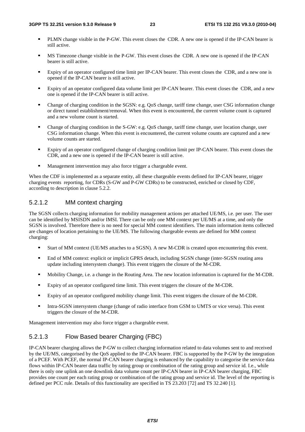- PLMN change visible in the P-GW. This event closes the CDR. A new one is opened if the IP-CAN bearer is still active.
- MS Timezone change visible in the P-GW. This event closes the CDR. A new one is opened if the IP-CAN bearer is still active.
- Expiry of an operator configured time limit per IP-CAN bearer. This event closes the CDR, and a new one is opened if the IP-CAN bearer is still active.
- Expiry of an operator configured data volume limit per IP-CAN bearer. This event closes the CDR, and a new one is opened if the IP-CAN bearer is still active.
- Change of charging condition in the SGSN: e.g. QoS change, tariff time change, user CSG information change or direct tunnel establishment/removal. When this event is encountered, the current volume count is captured and a new volume count is started.
- Change of charging condition in the S-GW: e.g. QoS change, tariff time change, user location change, user CSG information change. When this event is encountered, the current volume counts are captured and a new volume counts are started.
- Expiry of an operator configured change of charging condition limit per IP-CAN bearer. This event closes the CDR, and a new one is opened if the IP-CAN bearer is still active.
- Management intervention may also force trigger a chargeable event.

When the CDF is implemented as a separate entity, all these chargeable events defined for IP-CAN bearer, trigger charging events reporting, for CDRs (S-GW and P-GW CDRs) to be constructed, enriched or closed by CDF, according to description in clause 5.2.2.

#### 5.2.1.2 MM context charging

The SGSN collects charging information for mobility management actions per attached UE/MS, i.e. per user. The user can be identified by MSISDN and/or IMSI. There can be only one MM context per UE/MS at a time, and only the SGSN is involved. Therefore there is no need for special MM context identifiers. The main information items collected are changes of location pertaining to the UE/MS. The following chargeable events are defined for MM context charging:

- Start of MM context (UE/MS attaches to a SGSN). A new M-CDR is created upon encountering this event.<br>
Find of MM context: explicit or implicit GPPS datach, including SGSN change (inter SGSN couting area
- End of MM context: explicit or implicit GPRS detach, including SGSN change (inter-SGSN routing area update including intersystem change). This event triggers the closure of the M-CDR.
- Mobility Change, i.e. a change in the Routing Area. The new location information is captured for the M-CDR.<br>
In Expiry of an operator configured time limit. This event triggers the closure of the M-CDR
- Expiry of an operator configured time limit. This event triggers the closure of the M-CDR.<br>Expiry of an operator configured mobility change limit. This event triggers the closure of the
- Expiry of an operator configured mobility change limit. This event triggers the closure of the M-CDR.<br>
Intra SGSN intersystem change (change of radio interface from GSM to UMTS or vice verse). This ev
- Intra-SGSN intersystem change (change of radio interface from GSM to UMTS or vice versa). This event triggers the closure of the M-CDR.

Management intervention may also force trigger a chargeable event.

#### 5.2.1.3 Flow Based bearer Charging (FBC)

IP-CAN bearer charging allows the P-GW to collect charging information related to data volumes sent to and received by the UE/MS, categorised by the QoS applied to the IP-CAN bearer. FBC is supported by the P-GW by the integration of a PCEF. With PCEF, the normal IP-CAN bearer charging is enhanced by the capability to categorise the service data flows within IP-CAN bearer data traffic by rating group or combination of the rating group and service id. I.e., while there is only one uplink an one downlink data volume count per IP-CAN bearer in IP-CAN bearer charging, FBC provides one count per each rating group or combination of the rating group and service id. The level of the reporting is defined per PCC rule. Details of this functionality are specified in TS 23.203 [72] and TS 32.240 [1].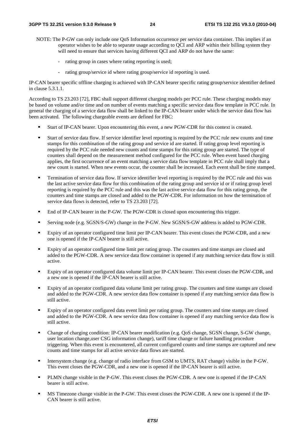- NOTE: The P-GW can only include one QoS Information occurrence per service data container. This implies if an operator wishes to be able to separate usage according to QCI and ARP within their billing system they will need to ensure that services having different QCI and ARP do not have the same:
	- rating group in cases where rating reporting is used;
	- rating group/service id where rating group/service id reporting is used.

IP-CAN bearer specific offline charging is achieved with IP-CAN bearer specific rating group/service identifier defined in clause 5.3.1.1.

According to TS 23.203 [72], FBC shall support different charging models per PCC rule. These charging models may be based on volume and/or time and on number of events matching a specific service data flow template in PCC rule. In general the charging of a service data flow shall be linked to the IP-CAN bearer under which the service data flow has been activated. The following chargeable events are defined for FBC:

- Start of IP-CAN bearer. Upon encountering this event, a new PGW-CDR for this context is created.<br>Start of service data flow. If service identifier level reporting is required by the PCC rule new counts and time
- Start of service data flow. If service identifier level reporting is required by the PCC rule new counts and time<br>stamps for this combination of the rating group and service id are started. If rating group level reporting required by the PCC rule needed new counts and time stamps for this rating group are started. The type of counters shall depend on the measurement method configured for the PCC rule. When event based charging applies, the first occurrence of an event matching a service data flow template in PCC rule shall imply that a new count is started. When new events occur, the counter shall be increased. Each event shall be time stamped.
- Termination of service data flow. If service identifier level reporting is required by the PCC rule and this was<br>the last active service data flow for this combination of the rating group and service id or if rating group reporting is required by the PCC rule and this was the last active service data flow for this rating group, the counters and time stamps are closed and added to the PGW-CDR. For information on how the termination of service data flows is detected, refer to TS 23.203 [72].
- End of IP-CAN bearer in the P-GW. The PGW-CDR is closed upon encountering this trigger.<br>■ Serving node (e.g. SGSN/S-GW) change in the P-GW. New SGSN/S-GW address is added to
- Serving node (e.g. SGSN/S-GW) change in the P-GW. New SGSN/S-GW address is added to PGW-CDR.<br>Expiry of an operator configured time limit per IP CAN bearer. This event closes the PGW CDP, and a new
- Expiry of an operator configured time limit per IP-CAN bearer. This event closes the PGW-CDR, and a new one is opened if the IP-CAN bearer is still active.
- Expiry of an operator configured time limit per rating group. The counters and time stamps are closed and added to the PGW-CDR. A new service data flow container is opened if any matching service data flow is still active.
- Expiry of an operator configured data volume limit per IP-CAN bearer. This event closes the PGW-CDR, and a new one is opened if the IP-CAN bearer is still active.
- Expiry of an operator configured data volume limit per rating group. The counters and time stamps are closed and added to the PGW-CDR. A new service data flow container is opened if any matching service data flow is still active.
- Expiry of an operator configured data event limit per rating group. The counters and time stamps are closed and added to the PGW-CDR. A new service data flow container is opened if any matching service data flow is still active.
- Change of charging condition: IP-CAN bearer modification (e.g. QoS change, SGSN change, S-GW change, user location change,user CSG information change), tariff time change or failure handling procedure triggering. When this event is encountered, all current configured counts and time stamps are captured and new counts and time stamps for all active service data flows are started.
- Intersystem change (e.g. change of radio interface from GSM to UMTS, RAT change) visible in the P-GW. This event closes the PGW-CDR, and a new one is opened if the IP-CAN bearer is still active.
- PLMN change visible in the P-GW. This event closes the PGW-CDR. A new one is opened if the IP-CAN bearer is still active.
- MS Timezone change visible in the P-GW. This event closes the PGW-CDR. A new one is opened if the IP-CAN bearer is still active.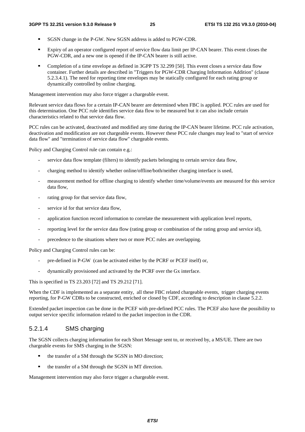- SGSN change in the P-GW. New SGSN address is added to PGW-CDR.<br>Expiry of an operator configured report of service flow data limit per IP-
- Expiry of an operator configured report of service flow data limit per IP-CAN bearer. This event closes the PGW-CDR, and a new one is opened if the IP-CAN bearer is still active.
- Completion of a time envelope as defined in 3GPP TS 32.299 [50]. This event closes a service data flow container. Further details are described in "Triggers for PGW-CDR Charging Information Addition" (clause 5.2.3.4.1). The need for reporting time envelopes may be statically configured for each rating group or dynamically controlled by online charging.

Management intervention may also force trigger a chargeable event.

Relevant service data flows for a certain IP-CAN bearer are determined when FBC is applied. PCC rules are used for this determination. One PCC rule identifies service data flow to be measured but it can also include certain characteristics related to that service data flow.

PCC rules can be activated, deactivated and modified any time during the IP-CAN bearer lifetime. PCC rule activation, deactivation and modification are not chargeable events. However these PCC rule changes may lead to "start of service data flow" and "termination of service data flow" chargeable events.

Policy and Charging Control rule can contain e.g.:

- service data flow template (filters) to identify packets belonging to certain service data flow,
- charging method to identify whether online/offline/both/neither charging interface is used,
- measurement method for offline charging to identify whether time/volume/events are measured for this service data flow,
- rating group for that service data flow,
- service id for that service data flow.
- application function record information to correlate the measurement with application level reports,
- reporting level for the service data flow (rating group or combination of the rating group and service id),
- precedence to the situations where two or more PCC rules are overlapping.

Policy and Charging Control rules can be:

- pre-defined in P-GW (can be activated either by the PCRF or PCEF itself) or,
- dynamically provisioned and activated by the PCRF over the Gx interface.

This is specified in TS 23.203 [72] and TS 29.212 [71].

When the CDF is implemented as a separate entity, all these FBC related chargeable events, trigger charging events reporting, for P-GW CDRs to be constructed, enriched or closed by CDF, according to description in clause 5.2.2.

Extended packet inspection can be done in the PCEF with pre-defined PCC rules. The PCEF also have the possibility to output service specific information related to the packet inspection in the CDR.

#### 5.2.1.4 SMS charging

The SGSN collects charging information for each Short Message sent to, or received by, a MS/UE. There are two chargeable events for SMS charging in the SGSN:

- the transfer of a SM through the SGSN in MO direction;
- the transfer of a SM through the SGSN in MT direction.

Management intervention may also force trigger a chargeable event.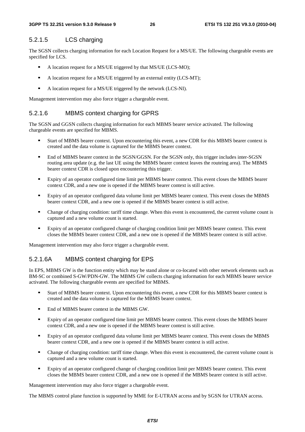#### 5.2.1.5 LCS charging

The SGSN collects charging information for each Location Request for a MS/UE. The following chargeable events are specified for LCS.

- A location request for a MS/UE triggered by that MS/UE (LCS-MO);<br> $\triangle$  A location request for a MS/UE triggered by an external entity (LCS-N
- A location request for a MS/UE triggered by an external entity (LCS-MT);<br>A location request for a MS/UE triggered by the network (LCS-NI)
- A location request for a MS/UE triggered by the network (LCS-NI).

Management intervention may also force trigger a chargeable event.

#### 5.2.1.6 MBMS context charging for GPRS

The SGSN and GGSN collects charging information for each MBMS bearer service activated. The following chargeable events are specified for MBMS.

- Start of MBMS bearer context. Upon encountering this event, a new CDR for this MBMS bearer context is created and the data volume is captured for the MBMS bearer context.
- End of MBMS bearer context in the SGSN/GGSN. For the SGSN only, this trigger includes inter-SGSN routing area update (e.g. the last UE using the MBMS bearer context leaves the routeing area). The MBMS bearer context CDR is closed upon encountering this trigger.
- Expiry of an operator configured time limit per MBMS bearer context. This event closes the MBMS bearer context CDR, and a new one is opened if the MBMS bearer context is still active.
- Expiry of an operator configured data volume limit per MBMS bearer context. This event closes the MBMS bearer context CDR, and a new one is opened if the MBMS bearer context is still active.
- Change of charging condition: tariff time change. When this event is encountered, the current volume count is captured and a new volume count is started.
- Expiry of an operator configured change of charging condition limit per MBMS bearer context. This event closes the MBMS bearer context CDR, and a new one is opened if the MBMS bearer context is still active.

Management intervention may also force trigger a chargeable event.

#### 5.2.1.6A MBMS context charging for EPS

In EPS, MBMS GW is the function entity which may be stand alone or co-located with other network elements such as BM-SC or combined S-GW/PDN-GW. The MBMS GW collects charging information for each MBMS bearer service activated. The following chargeable events are specified for MBMS.

- Start of MBMS bearer context. Upon encountering this event, a new CDR for this MBMS bearer context is created and the data volume is captured for the MBMS bearer context.
- End of MBMS bearer context in the MBMS GW.<br>■ Expiry of an operator configured time limit per M
- Expiry of an operator configured time limit per MBMS bearer context. This event closes the MBMS bearer context CDR, and a new one is opened if the MBMS bearer context is still active.
- Expiry of an operator configured data volume limit per MBMS bearer context. This event closes the MBMS bearer context CDR, and a new one is opened if the MBMS bearer context is still active.
- Change of charging condition: tariff time change. When this event is encountered, the current volume count is captured and a new volume count is started.
- Expiry of an operator configured change of charging condition limit per MBMS bearer context. This event closes the MBMS bearer context CDR, and a new one is opened if the MBMS bearer context is still active.

Management intervention may also force trigger a chargeable event.

The MBMS control plane function is supported by MME for E-UTRAN access and by SGSN for UTRAN access.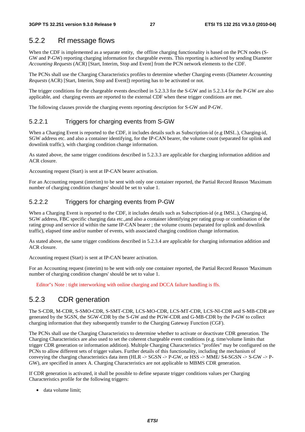#### 5.2.2 Rf message flows

When the CDF is implemented as a separate entity, the offline charging functionality is based on the PCN nodes (S-GW and P-GW) reporting charging information for chargeable events. This reporting is achieved by sending Diameter *Accounting Requests* (ACR) [Start, Interim, Stop and Event] from the PCN network elements to the CDF.

The PCNs shall use the Charging Characteristics profiles to determine whether Charging events (Diameter *Accounting Requests* (ACR) [Start, Interim, Stop and Event]) reporting has to be activated or not.

The trigger conditions for the chargeable events described in 5.2.3.3 for the S-GW and in 5.2.3.4 for the P-GW are also applicable, and charging events are reported to the external CDF when these trigger conditions are met.

The following clauses provide the charging events reporting description for S-GW and P-GW.

#### 5.2.2.1 Triggers for charging events from S-GW

When a Charging Event is reported to the CDF, it includes details such as Subscription-id (e.g IMSI..), Charging-id, SGW address etc. and also a container identifying, for the IP-CAN bearer, the volume count (separated for uplink and downlink traffic), with charging condition change information.

As stated above, the same trigger conditions described in 5.2.3.3 are applicable for charging information addition and ACR closure.

Accounting request (Start) is sent at IP-CAN bearer activation.

For an Accounting request (interim) to be sent with only one container reported, the Partial Record Reason 'Maximum number of charging condition changes' should be set to value 1.

#### 5.2.2.2 Triggers for charging events from P-GW

When a Charging Event is reported to the CDF, it includes details such as Subscription-id (e.g IMSI..), Charging-id, SGW address, FBC specific charging data etc.,and also a container identifying per rating group or combination of the rating group and service id within the same IP-CAN bearer ; the volume counts (separated for uplink and downlink traffic), elapsed time and/or number of events, with associated charging condition change information.

As stated above, the same trigger conditions described in 5.2.3.4 are applicable for charging information addition and ACR closure.

Accounting request (Start) is sent at IP-CAN bearer activation.

For an Accounting request (interim) to be sent with only one container reported, the Partial Record Reason 'Maximum number of charging condition changes' should be set to value 1.

Editor"s Note : tight interworking with online charging and DCCA failure handling is ffs.

#### 5.2.3 CDR generation

The S-CDR, M-CDR, S-SMO-CDR, S-SMT-CDR, LCS-MO-CDR, LCS-MT-CDR, LCS-NI-CDR and S-MB-CDR are generated by the SGSN, the SGW-CDR by the S-GW and the PGW-CDR and G-MB-CDR by the P-GW to collect charging information that they subsequently transfer to the Charging Gateway Function (CGF).

The PCNs shall use the Charging Characteristics to determine whether to activate or deactivate CDR generation. The Charging Characteristics are also used to set the coherent chargeable event conditions (e.g. time/volume limits that trigger CDR generation or information addition). Multiple Charging Characteristics "profiles" may be configured on the PCNs to allow different sets of trigger values. Further details of this functionality, including the mechanism of conveying the charging characteristics data item (HLR -> SGSN -> P-GW, or HSS -> MME/ S4-SGSN -> S-GW -> P-GW), are specified in annex A. Charging Characteristics are not applicable to MBMS CDR generation.

If CDR generation is activated, it shall be possible to define separate trigger conditions values per Charging Characteristics profile for the following triggers:

data volume limit;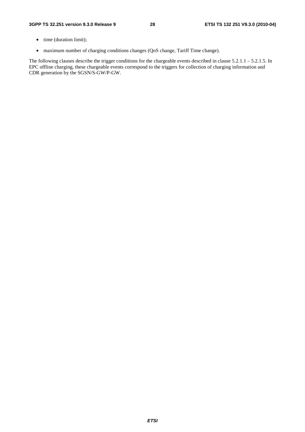- time (duration limit);
- maximum number of charging conditions changes (QoS change, Tariff Time change).

The following clauses describe the trigger conditions for the chargeable events described in clause 5.2.1.1 – 5.2.1.5. In EPC offline charging, these chargeable events correspond to the triggers for collection of charging information and CDR generation by the SGSN/S-GW/P-GW.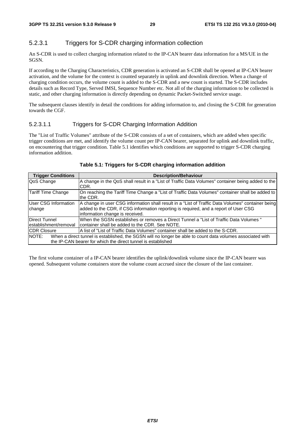#### 5.2.3.1 Triggers for S-CDR charging information collection

An S-CDR is used to collect charging information related to the IP-CAN bearer data information for a MS/UE in the SGSN.

If according to the Charging Characteristics, CDR generation is activated an S-CDR shall be opened at IP-CAN bearer activation, and the volume for the context is counted separately in uplink and downlink direction. When a change of charging condition occurs, the volume count is added to the S-CDR and a new count is started. The S-CDR includes details such as Record Type, Served IMSI, Sequence Number etc. Not all of the charging information to be collected is static, and other charging information is directly depending on dynamic Packet-Switched service usage.

The subsequent clauses identify in detail the conditions for adding information to, and closing the S-CDR for generation towards the CGF.

#### 5.2.3.1.1 Triggers for S-CDR Charging Information Addition

The "List of Traffic Volumes" attribute of the S-CDR consists of a set of containers, which are added when specific trigger conditions are met, and identify the volume count per IP-CAN bearer, separated for uplink and downlink traffic, on encountering that trigger condition. Table 5.1 identifies which conditions are supported to trigger S-CDR charging information addition.

| <b>Trigger Conditions</b>                                                                                                                                                           | <b>Description/Behaviour</b>                                                                                                                                                                                                 |
|-------------------------------------------------------------------------------------------------------------------------------------------------------------------------------------|------------------------------------------------------------------------------------------------------------------------------------------------------------------------------------------------------------------------------|
| QoS Change                                                                                                                                                                          | A change in the QoS shall result in a "List of Traffic Data Volumes" container being added to the<br>CDR.                                                                                                                    |
| Tariff Time Change                                                                                                                                                                  | On reaching the Tariff Time Change a "List of Traffic Data Volumes" container shall be added to<br>the CDR.                                                                                                                  |
| User CSG Information<br>change                                                                                                                                                      | A change in user CSG information shall result in a "List of Traffic Data Volumes" container being<br>added to the CDR, if CSG information reporting is required, and a report of User CSG<br>information change is received. |
| Direct Tunnel<br>lestablishment/removal                                                                                                                                             | lWhen the SGSN establishes or removes a Direct Tunnel a "List of Traffic Data Volumes"<br>Icontainer shall be added to the CDR. See NOTE.                                                                                    |
| <b>CDR Closure</b>                                                                                                                                                                  | IA list of "List of Traffic Data Volumes" container shall be added to the S-CDR.                                                                                                                                             |
| NOTE:<br>When a direct tunnel is established, the SGSN will no longer be able to count data volumes associated with<br>the IP-CAN bearer for which the direct tunnel is established |                                                                                                                                                                                                                              |

#### **Table 5.1: Triggers for S-CDR charging information addition**

The first volume container of a IP-CAN bearer identifies the uplink/downlink volume since the IP-CAN bearer was opened. Subsequent volume containers store the volume count accrued since the closure of the last container.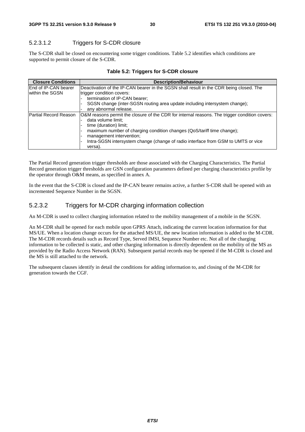#### 5.2.3.1.2 Triggers for S-CDR closure

The S-CDR shall be closed on encountering some trigger conditions. Table 5.2 identifies which conditions are supported to permit closure of the S-CDR.

| <b>Closure Conditions</b>   | <b>Description/Behaviour</b>                                                                  |
|-----------------------------|-----------------------------------------------------------------------------------------------|
| <b>End of IP-CAN bearer</b> | Deactivation of the IP-CAN bearer in the SGSN shall result in the CDR being closed. The       |
| within the SGSN             | trigger condition covers:                                                                     |
|                             | termination of IP-CAN bearer;                                                                 |
|                             | SGSN change (inter-SGSN routing area update including intersystem change);                    |
|                             | any abnormal release.                                                                         |
| Partial Record Reason       | O&M reasons permit the closure of the CDR for internal reasons. The trigger condition covers: |
|                             | data volume limit;                                                                            |
|                             | time (duration) limit;                                                                        |
|                             | maximum number of charging condition changes (QoS/tariff time change);                        |
|                             | management intervention;                                                                      |
|                             | Intra-SGSN intersystem change (change of radio interface from GSM to UMTS or vice             |
|                             | versa).                                                                                       |

|  |  | Table 5.2: Triggers for S-CDR closure |  |
|--|--|---------------------------------------|--|
|--|--|---------------------------------------|--|

The Partial Record generation trigger thresholds are those associated with the Charging Characteristics. The Partial Record generation trigger thresholds are GSN configuration parameters defined per charging characteristics profile by the operator through O&M means, as specified in annex A.

In the event that the S-CDR is closed and the IP-CAN bearer remains active, a further S-CDR shall be opened with an incremented Sequence Number in the SGSN.

#### 5.2.3.2 Triggers for M-CDR charging information collection

An M-CDR is used to collect charging information related to the mobility management of a mobile in the SGSN.

An M-CDR shall be opened for each mobile upon GPRS Attach, indicating the current location information for that MS/UE. When a location change occurs for the attached MS/UE, the new location information is added to the M-CDR. The M-CDR records details such as Record Type, Served IMSI, Sequence Number etc. Not all of the charging information to be collected is static, and other charging information is directly dependent on the mobility of the MS as provided by the Radio Access Network (RAN). Subsequent partial records may be opened if the M-CDR is closed and the MS is still attached to the network.

The subsequent clauses identify in detail the conditions for adding information to, and closing of the M-CDR for generation towards the CGF.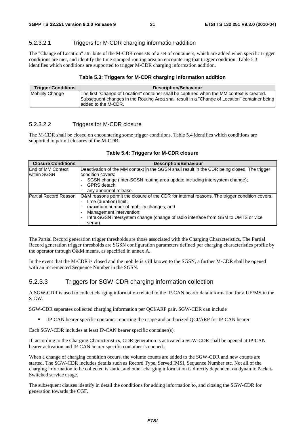#### 5.2.3.2.1 Triggers for M-CDR charging information addition

The "Change of Location" attribute of the M-CDR consists of a set of containers, which are added when specific trigger conditions are met, and identify the time stamped routing area on encountering that trigger condition. Table 5.3 identifies which conditions are supported to trigger M-CDR charging information addition.

#### **Table 5.3: Triggers for M-CDR charging information addition**

| <b>Trigger Conditions</b> | <b>Description/Behaviour</b>                                                                                                                                                                                        |
|---------------------------|---------------------------------------------------------------------------------------------------------------------------------------------------------------------------------------------------------------------|
| Mobility Change           | The first "Change of Location" container shall be captured when the MM context is created.<br>Subsequent changes in the Routing Area shall result in a "Change of Location" container being<br>ladded to the M-CDR. |

#### 5.2.3.2.2 Triggers for M-CDR closure

The M-CDR shall be closed on encountering some trigger conditions. Table 5.4 identifies which conditions are supported to permit closures of the M-CDR.

| <b>Closure Conditions</b>               | <b>Description/Behaviour</b>                                                                                                                                                                                                                                                                   |
|-----------------------------------------|------------------------------------------------------------------------------------------------------------------------------------------------------------------------------------------------------------------------------------------------------------------------------------------------|
| <b>End of MM Context</b><br>within SGSN | Deactivation of the MM context in the SGSN shall result in the CDR being closed. The trigger<br>lcondition covers:<br>SGSN change (inter-SGSN routing area update including intersystem change);<br>GPRS detach:<br>any abnormal release.                                                      |
| lPartial Record Reason                  | O&M reasons permit the closure of the CDR for internal reasons. The trigger condition covers:<br>time (duration) limit;<br>maximum number of mobility changes; and<br>Management intervention;<br>Intra-SGSN intersystem change (change of radio interface from GSM to UMTS or vice<br>versa). |

#### **Table 5.4: Triggers for M-CDR closure**

The Partial Record generation trigger thresholds are those associated with the Charging Characteristics. The Partial Record generation trigger thresholds are SGSN configuration parameters defined per charging characteristics profile by the operator through O&M means, as specified in annex A.

In the event that the M-CDR is closed and the mobile is still known to the SGSN, a further M-CDR shall be opened with an incremented Sequence Number in the SGSN.

#### 5.2.3.3 Triggers for SGW-CDR charging information collection

A SGW-CDR is used to collect charging information related to the IP-CAN bearer data information for a UE/MS in the S-GW.

SGW-CDR separates collected charging information per QCI/ARP pair. SGW-CDR can include

IP-CAN bearer specific container reporting the usage and authorized QCI/ARP for IP-CAN bearer

Each SGW-CDR includes at least IP-CAN bearer specific container(s).

If, according to the Charging Characteristics, CDR generation is activated a SGW-CDR shall be opened at IP-CAN bearer activation and IP-CAN bearer specific container is opened..

When a change of charging condition occurs, the volume counts are added to the SGW-CDR and new counts are started. The SGW-CDR includes details such as Record Type, Served IMSI, Sequence Number etc. Not all of the charging information to be collected is static, and other charging information is directly dependent on dynamic Packet-Switched service usage.

The subsequent clauses identify in detail the conditions for adding information to, and closing the SGW-CDR for generation towards the CGF.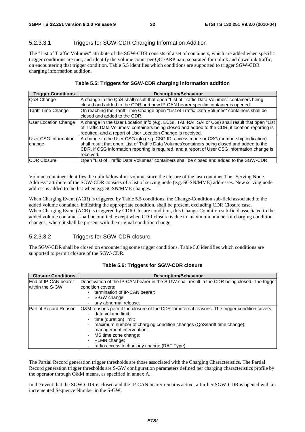#### 5.2.3.3.1 Triggers for SGW-CDR Charging Information Addition

The "List of Traffic Volumes" attribute of the SGW-CDR consists of a set of containers, which are added when specific trigger conditions are met, and identify the volume count per QCI/ARP pair, separated for uplink and downlink traffic, on encountering that trigger condition. Table 5.5 identifies which conditions are supported to trigger SGW-CDR charging information addition.

#### **Table 5.5: Triggers for SGW-CDR charging information addition**

| <b>Trigger Conditions</b>   | <b>Description/Behaviour</b>                                                                      |
|-----------------------------|---------------------------------------------------------------------------------------------------|
| QoS Change                  | A change in the QoS shall result that open "List of Traffic Data Volumes" containers being        |
|                             | closed and added to the CDR and new IP-CAN bearer specific container is opened.                   |
| Tariff Time Change          | On reaching the Tariff Time Change open "List of Traffic Data Volumes" containers shall be        |
|                             | closed and added to the CDR.                                                                      |
| <b>User Location Change</b> | A change in the User Location Info (e.g. ECGI, TAI, RAI, SAI or CGI) shall result that open "List |
|                             | of Traffic Data Volumes" containers being closed and added to the CDR, if location reporting is   |
|                             | required, and a report of User Location Change is received.                                       |
| User CSG Information        | A change in the User CSG info (e.g. CSG ID, access mode or CSG membership indication)             |
| change                      | shall result that open 'List of Traffic Data Volumes' containers being closed and added to the    |
|                             | CDR, if CSG information reporting is required, and a report of User CSG information change is     |
|                             | received.                                                                                         |
| <b>CDR Closure</b>          | Open "List of Traffic Data Volumes" containers shall be closed and added to the SGW-CDR.          |

Volume container identifies the uplink/downlink volume since the closure of the last container.The "Serving Node Address" attribute of the SGW-CDR consists of a list of serving node (e.g. SGSN/MME) addresses. New serving node address is added to the list when e.g. SGSN/MME changes.

When Charging Event (ACR) is triggered by Table 5.5 conditions, the Change-Condition sub-field associated to the added volume container, indicating the appropriate condition, shall be present, excluding CDR Closure case. When Charging Event (ACR) is triggered by CDR Closure condition, this Change-Condition sub-field associated to the added volume container shall be omitted, except when CDR closure is due to 'maximum number of charging condition changes', where it shall be present with the original condition change.

#### 5.2.3.3.2 Triggers for SGW-CDR closure

The SGW-CDR shall be closed on encountering some trigger conditions. Table 5.6 identifies which conditions are supported to permit closure of the SGW-CDR.

| <b>Closure Conditions</b>    | <b>Description/Behaviour</b>                                                                    |
|------------------------------|-------------------------------------------------------------------------------------------------|
| <b>IEnd of IP-CAN bearer</b> | Deactivation of the IP-CAN bearer in the S-GW shall result in the CDR being closed. The trigger |
| lwithin the S-GW             | condition covers:                                                                               |
|                              | termination of IP-CAN bearer;                                                                   |
|                              | S-GW change;                                                                                    |
|                              | any abnormal release.                                                                           |
| Partial Record Reason        | O&M reasons permit the closure of the CDR for internal reasons. The trigger condition covers:   |
|                              | data volume limit;                                                                              |
|                              | time (duration) limit;                                                                          |
|                              | maximum number of charging condition changes (QoS/tariff time change);                          |
|                              | management intervention;                                                                        |
|                              | MS time zone change;                                                                            |
|                              | PLMN change;                                                                                    |
|                              | radio access technology change (RAT Type).                                                      |

#### **Table 5.6: Triggers for SGW-CDR closure**

The Partial Record generation trigger thresholds are those associated with the Charging Characteristics. The Partial Record generation trigger thresholds are S-GW configuration parameters defined per charging characteristics profile by the operator through O&M means, as specified in annex A.

In the event that the SGW-CDR is closed and the IP-CAN bearer remains active, a further SGW-CDR is opened with an incremented Sequence Number in the S-GW.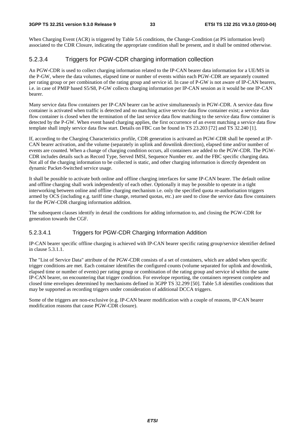When Charging Event (ACR) is triggered by Table 5.6 conditions, the Change-Condition (at PS information level) associated to the CDR Closure, indicating the appropriate condition shall be present, and it shall be omitted otherwise.

#### 5.2.3.4 Triggers for PGW-CDR charging information collection

An PGW-CDR is used to collect charging information related to the IP-CAN bearer data information for a UE/MS in the P-GW, where the data volumes, elapsed time or number of events within each PGW-CDR are separately counted per rating group or per combination of the rating group and service id. In case of P-GW is not aware of IP-CAN bearers, i.e. in case of PMIP based S5/S8, P-GW collects charging information per IP-CAN session as it would be one IP-CAN bearer.

Many service data flow containers per IP-CAN bearer can be active simultaneously in PGW-CDR. A service data flow container is activated when traffic is detected and no matching active service data flow container exist; a service data flow container is closed when the termination of the last service data flow matching to the service data flow container is detected by the P-GW. When event based charging applies, the first occurrence of an event matching a service data flow template shall imply service data flow start. Details on FBC can be found in TS 23.203 [72] and TS 32.240 [1].

If, according to the Charging Characteristics profile, CDR generation is activated an PGW-CDR shall be opened at IP-CAN bearer activation, and the volume (separately in uplink and downlink direction), elapsed time and/or number of events are counted. When a change of charging condition occurs, all containers are added to the PGW-CDR. The PGW-CDR includes details such as Record Type, Served IMSI, Sequence Number etc. and the FBC specific charging data. Not all of the charging information to be collected is static, and other charging information is directly dependent on dynamic Packet-Switched service usage.

It shall be possible to activate both online and offline charging interfaces for same IP-CAN bearer. The default online and offline charging shall work independently of each other. Optionally it may be possible to operate in a tight interworking between online and offline charging mechanism i.e. only the specified quota re-authorisation triggers armed by OCS (including e.g. tariff time change, returned quotas, etc.) are used to close the service data flow containers for the PGW-CDR charging information addition.

The subsequent clauses identify in detail the conditions for adding information to, and closing the PGW-CDR for generation towards the CGF.

#### 5.2.3.4.1 Triggers for PGW-CDR Charging Information Addition

IP-CAN bearer specific offline charging is achieved with IP-CAN bearer specific rating group/service identifier defined in clause 5.3.1.1.

The "List of Service Data" attribute of the PGW-CDR consists of a set of containers, which are added when specific trigger conditions are met. Each container identifies the configured counts (volume separated for uplink and downlink, elapsed time or number of events) per rating group or combination of the rating group and service id within the same IP-CAN bearer, on encountering that trigger condition. For envelope reporting, the containers represent complete and closed time envelopes determined by mechanisms defined in 3GPP TS 32.299 [50]. Table 5.8 identifies conditions that may be supported as recording triggers under consideration of additional DCCA triggers.

Some of the triggers are non-exclusive (e.g. IP-CAN bearer modification with a couple of reasons, IP-CAN bearer modification reasons that cause PGW-CDR closure).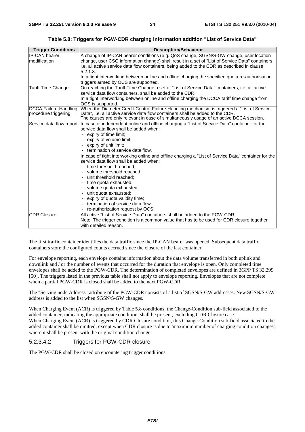**Table 5.8: Triggers for PGW-CDR charging information addition "List of Service Data"** 

| <b>Trigger Conditions</b> | <b>Description/Behaviour</b>                                                                                                            |
|---------------------------|-----------------------------------------------------------------------------------------------------------------------------------------|
| <b>IP-CAN bearer</b>      | A change of IP-CAN bearer conditions (e.g. QoS change, SGSN/S-GW change, user location                                                  |
| modification              | change, user CSG information change) shall result in a set of "List of Service Data" containers,                                        |
|                           | i.e. all active service data flow containers, being added to the CDR as described in clause                                             |
|                           | 5.2.1.3.                                                                                                                                |
|                           | In a tight interworking between online and offline charging the specified quota re-authorisation                                        |
|                           | triggers armed by OCS are supported.                                                                                                    |
| <b>Tariff Time Change</b> | On reaching the Tariff Time Change a set of "List of Service Data" containers, i.e. all active                                          |
|                           | service data flow containers, shall be added to the CDR.                                                                                |
|                           | In a tight interworking between online and offline charging the DCCA tariff time change from                                            |
|                           | OCS is supported.                                                                                                                       |
| DCCA Failure-Handling     | When the Diameter Credit-Control-Failure-Handling mechanism is triggered a "List of Service"                                            |
| procedure triggering      | Data", i.e. all active service data flow containers shall be added to the CDR.                                                          |
|                           | The causes are only relevant in case of simultaneously usage of an active DCCA session.                                                 |
| Service data flow report  | In case of independent online and offline charging a "List of Service Data" container for the<br>service data flow shall be added when: |
|                           | expiry of time limit;                                                                                                                   |
|                           | expiry of volume limit;                                                                                                                 |
|                           | expiry of unit limit;                                                                                                                   |
|                           | - termination of service data flow.                                                                                                     |
|                           | In case of tight interworking online and offline charging a "List of Service Data" container for the                                    |
|                           | service data flow shall be added when:                                                                                                  |
|                           | - time threshold reached;                                                                                                               |
|                           | - volume threshold reached;                                                                                                             |
|                           | - unit threshold reached:                                                                                                               |
|                           | time quota exhausted;                                                                                                                   |
|                           | - volume quota exhausted;                                                                                                               |
|                           | unit quota exhausted;                                                                                                                   |
|                           | expiry of quota validity time;                                                                                                          |
|                           | - termination of service data flow:                                                                                                     |
|                           | re-authorization request by OCS.                                                                                                        |
| <b>CDR Closure</b>        | All active "List of Service Data" containers shall be added to the PGW-CDR                                                              |
|                           | Note: The trigger condition is a common value that has to be used for CDR closure together                                              |
|                           | with detailed reason.                                                                                                                   |

The first traffic container identifies the data traffic since the IP-CAN bearer was opened. Subsequent data traffic containers store the configured counts accrued since the closure of the last container.

For envelope reporting, each envelope contains information about the data volume transferred in both uplink and downlink and / or the number of events that occurred for the duration that envelope is open. Only completed time envelopes shall be added to the PGW-CDR. The determination of completed envelopes are defined in 3GPP TS 32.299 [50]. The triggers listed in the previous table shall not apply to envelope reporting. Envelopes that are not complete when a partial PGW-CDR is closed shall be added to the next PGW-CDR.

The "Serving node Address" attribute of the PGW-CDR consists of a list of SGSN/S-GW addresses. New SGSN/S-GW address is added to the list when SGSN/S-GW changes.

When Charging Event (ACR) is triggered by Table 5.8 conditions, the Change-Condition sub-field associated to the added container, indicating the appropriate condition, shall be present, excluding CDR Closure case. When Charging Event (ACR) is triggered by CDR Closure condition, this Change-Condition sub-field associated to the added container shall be omitted, except when CDR closure is due to 'maximum number of charging condition changes', where it shall be present with the original condition change.

#### 5.2.3.4.2 Triggers for PGW-CDR closure

The PGW-CDR shall be closed on encountering trigger conditions.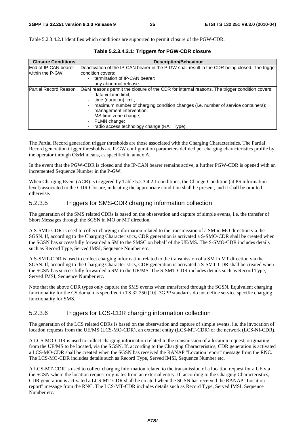Table 5.2.3.4.2.1 identifies which conditions are supported to permit closure of the PGW-CDR.

| <b>Closure Conditions</b>    | <b>Description/Behaviour</b>                                                                    |
|------------------------------|-------------------------------------------------------------------------------------------------|
| <b>End of IP-CAN bearer</b>  | Deactivation of the IP-CAN bearer in the P-GW shall result in the CDR being closed. The trigger |
| within the P-GW              | lcondition covers:                                                                              |
|                              | termination of IP-CAN bearer;                                                                   |
|                              | any abnormal release.                                                                           |
| <b>Partial Record Reason</b> | O&M reasons permit the closure of the CDR for internal reasons. The trigger condition covers:   |
|                              | data volume limit;                                                                              |
|                              | time (duration) limit;                                                                          |
|                              | maximum number of charging condition changes (i.e. number of service containers);               |
|                              | management intervention;                                                                        |
|                              | MS time zone change;                                                                            |
|                              | PLMN change;                                                                                    |
|                              | radio access technology change (RAT Type).                                                      |

**Table 5.2.3.4.2.1: Triggers for PGW-CDR closure** 

The Partial Record generation trigger thresholds are those associated with the Charging Characteristics. The Partial Record generation trigger thresholds are P-GW configuration parameters defined per charging characteristics profile by the operator through O&M means, as specified in annex A.

In the event that the PGW-CDR is closed and the IP-CAN bearer remains active, a further PGW-CDR is opened with an incremented Sequence Number in the P-GW.

When Charging Event (ACR) is triggered by Table 5.2.3.4.2.1 conditions, the Change-Condition (at PS information level) associated to the CDR Closure, indicating the appropriate condition shall be present, and it shall be omitted otherwise.

#### 5.2.3.5 Triggers for SMS-CDR charging information collection

The generation of the SMS related CDRs is based on the observation and capture of simple events, i.e. the transfer of Short Messages through the SGSN in MO or MT direction.

A S-SMO-CDR is used to collect charging information related to the transmission of a SM in MO direction via the SGSN. If, according to the Charging Characteristics, CDR generation is activated a S-SMO-CDR shall be created when the SGSN has successfully forwarded a SM to the SMSC on behalf of the UE/MS. The S-SMO-CDR includes details such as Record Type, Served IMSI, Sequence Number etc.

A S-SMT-CDR is used to collect charging information related to the transmission of a SM in MT direction via the SGSN. If, according to the Charging Characteristics, CDR generation is activated a S-SMT-CDR shall be created when the SGSN has successfully forwarded a SM to the UE/MS. The S-SMT-CDR includes details such as Record Type, Served IMSI, Sequence Number etc.

Note that the above CDR types only capture the SMS events when transferred through the SGSN. Equivalent charging functionality for the CS domain is specified in TS 32.250 [10]. 3GPP standards do not define service specific charging functionality for SMS.

#### 5.2.3.6 Triggers for LCS-CDR charging information collection

The generation of the LCS related CDRs is based on the observation and capture of simple events, i.e. the invocation of location requests from the UE/MS (LCS-MO-CDR), an external entity (LCS-MT-CDR) or the network (LCS-NI-CDR).

A LCS-MO-CDR is used to collect charging information related to the transmission of a location request, originating from the UE/MS to be located, via the SGSN. If, according to the Charging Characteristics, CDR generation is activated a LCS-MO-CDR shall be created when the SGSN has received the RANAP "Location report" message from the RNC. The LCS-MO-CDR includes details such as Record Type, Served IMSI, Sequence Number etc.

A LCS-MT-CDR is used to collect charging information related to the transmission of a location request for a UE via the SGSN where the location request originates from an external entity. If, according to the Charging Characteristics, CDR generation is activated a LCS-MT-CDR shall be created when the SGSN has received the RANAP "Location report" message from the RNC. The LCS-MT-CDR includes details such as Record Type, Served IMSI, Sequence Number etc.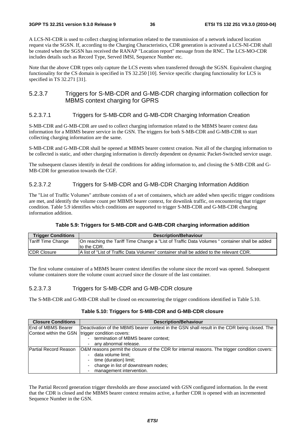A LCS-NI-CDR is used to collect charging information related to the transmission of a network induced location request via the SGSN. If, according to the Charging Characteristics, CDR generation is activated a LCS-NI-CDR shall be created when the SGSN has received the RANAP "Location report" message from the RNC. The LCS-MO-CDR includes details such as Record Type, Served IMSI, Sequence Number etc.

Note that the above CDR types only capture the LCS events when transferred through the SGSN. Equivalent charging functionality for the CS domain is specified in TS 32.250 [10]. Service specific charging functionality for LCS is specified in TS 32.271 [31].

### 5.2.3.7 Triggers for S-MB-CDR and G-MB-CDR charging information collection for MBMS context charging for GPRS

### 5.2.3.7.1 Triggers for S-MB-CDR and G-MB-CDR Charging Information Creation

S-MB-CDR and G-MB-CDR are used to collect charging information related to the MBMS bearer context data information for a MBMS bearer service in the GSN. The triggers for both S-MB-CDR and G-MB-CDR to start collecting charging information are the same.

S-MB-CDR and G-MB-CDR shall be opened at MBMS bearer context creation. Not all of the charging information to be collected is static, and other charging information is directly dependent on dynamic Packet-Switched service usage.

The subsequent clauses identify in detail the conditions for adding information to, and closing the S-MB-CDR and G-MB-CDR for generation towards the CGF.

### 5.2.3.7.2 Triggers for S-MB-CDR and G-MB-CDR Charging Information Addition

The "List of Traffic Volumes" attribute consists of a set of containers, which are added when specific trigger conditions are met, and identify the volume count per MBMS bearer context, for downlink traffic, on encountering that trigger condition. Table 5.9 identifies which conditions are supported to trigger S-MB-CDR and G-MB-CDR charging information addition.

#### **Table 5.9: Triggers for S-MB-CDR and G-MB-CDR charging information addition**

| <b>Trigger Conditions</b> | <b>Description/Behaviour</b>                                                                                 |
|---------------------------|--------------------------------------------------------------------------------------------------------------|
| Tariff Time Change        | [On reaching the Tariff Time Change a "List of Traffic Data Volumes" container shall be added<br>to the CDR. |
| <b>ICDR Closure</b>       | IA list of "List of Traffic Data Volumes" container shall be added to the relevant CDR.                      |

The first volume container of a MBMS bearer context identifies the volume since the record was opened. Subsequent volume containers store the volume count accrued since the closure of the last container.

#### 5.2.3.7.3 Triggers for S-MB-CDR and G-MB-CDR closure

The S-MB-CDR and G-MB-CDR shall be closed on encountering the trigger conditions identified in Table 5.10.

#### **Table 5.10: Triggers for S-MB-CDR and G-MB-CDR closure**

| <b>Closure Conditions</b> | <b>Description/Behaviour</b>                                                                  |
|---------------------------|-----------------------------------------------------------------------------------------------|
| lEnd of MBMS Bearer       | Deactivation of the MBMS bearer context in the GSN shall result in the CDR being closed. The  |
|                           | Context within the GSN  trigger condition covers:                                             |
|                           | termination of MBMS bearer context;                                                           |
|                           | any abnormal release.                                                                         |
| lPartial Record Reason    | O&M reasons permit the closure of the CDR for internal reasons. The trigger condition covers: |
|                           | data volume limit;                                                                            |
|                           | time (duration) limit;                                                                        |
|                           | change in list of downstream nodes;                                                           |
|                           | management intervention.                                                                      |

The Partial Record generation trigger thresholds are those associated with GSN configured information. In the event that the CDR is closed and the MBMS bearer context remains active, a further CDR is opened with an incremented Sequence Number in the GSN.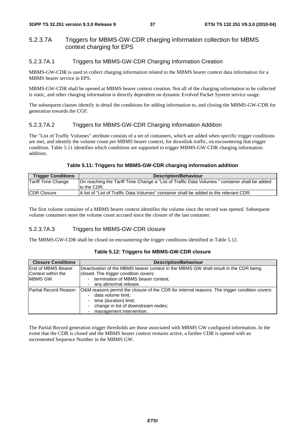## 5.2.3.7A Triggers for MBMS-GW-CDR charging information collection for MBMS context charging for EPS

### 5.2.3.7A.1 Triggers for MBMS-GW-CDR Charging Information Creation

MBMS-GW-CDR is used to collect charging information related to the MBMS bearer context data information for a MBMS bearer service in EPS.

MBMS-GW-CDR shall be opened at MBMS bearer context creation. Not all of the charging information to be collected is static, and other charging information is directly dependent on dynamic Evolved Packet System service usage.

The subsequent clauses identify in detail the conditions for adding information to, and closing the MBMS-GW-CDR for generation towards the CGF.

### 5.2.3.7A.2 Triggers for MBMS-GW-CDR Charging Information Addition

The "List of Traffic Volumes" attribute consists of a set of containers, which are added when specific trigger conditions are met, and identify the volume count per MBMS bearer context, for downlink traffic, on encountering that trigger condition. Table 5.11 identifies which conditions are supported to trigger MBMS-GW-CDR charging information addition.

#### **Table 5.11: Triggers for MBMS-GW-CDR charging information addition**

| <b>Trigger Conditions</b> | <b>Description/Behaviour</b>                                                                                |
|---------------------------|-------------------------------------------------------------------------------------------------------------|
| Tariff Time Change        | On reaching the Tariff Time Change a "List of Traffic Data Volumes" container shall be added<br>to the CDR. |
| <b>CDR Closure</b>        | A list of "List of Traffic Data Volumes" container shall be added to the relevant CDR.                      |

The first volume container of a MBMS bearer context identifies the volume since the record was opened. Subsequent volume containers store the volume count accrued since the closure of the last container.

### 5.2.3.7A.3 Triggers for MBMS-GW-CDR closure

The MBMS-GW-CDR shall be closed on encountering the trigger conditions identified in Table 5.12.

| <b>Closure Conditions</b> | <b>Description/Behaviour</b>                                                                  |  |  |  |
|---------------------------|-----------------------------------------------------------------------------------------------|--|--|--|
| End of MBMS Bearer        | Deactivation of the MBMS bearer context in the MBMS GW shall result in the CDR being          |  |  |  |
| Context within the        | closed. The trigger condition covers:                                                         |  |  |  |
| MBMS GW                   | termination of MBMS bearer context;                                                           |  |  |  |
|                           | any abnormal release.                                                                         |  |  |  |
| Partial Record Reason     | O&M reasons permit the closure of the CDR for internal reasons. The trigger condition covers: |  |  |  |
|                           | data volume limit;                                                                            |  |  |  |
|                           | time (duration) limit;                                                                        |  |  |  |
|                           | change in list of downstream nodes;                                                           |  |  |  |
|                           | management intervention.                                                                      |  |  |  |

#### **Table 5.12: Triggers for MBMS-GW-CDR closure**

The Partial Record generation trigger thresholds are those associated with MBMS GW configured information. In the event that the CDR is closed and the MBMS bearer context remains active, a further CDR is opened with an incremented Sequence Number in the MBMS GW.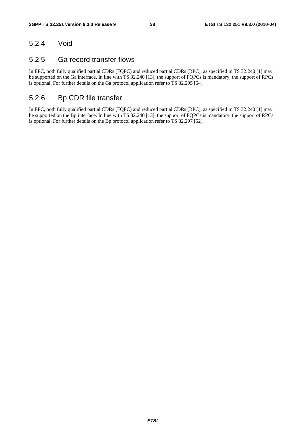# 5.2.4 Void

# 5.2.5 Ga record transfer flows

In EPC, both fully qualified partial CDRs (FQPC) and reduced partial CDRs (RPC), as specified in TS 32.240 [1] may be supported on the Ga interface. In line with TS 32.240 [13], the support of FQPCs is mandatory, the support of RPCs is optional. For further details on the Ga protocol application refer to TS 32.295 [54].

# 5.2.6 Bp CDR file transfer

In EPC, both fully qualified partial CDRs (FQPC) and reduced partial CDRs (RPC), as specified in TS 32.240 [1] may be supported on the Bp interface. In line with TS 32.240 [13], the support of FQPCs is mandatory, the support of RPCs is optional. For further details on the Bp protocol application refer to TS 32.297 [52].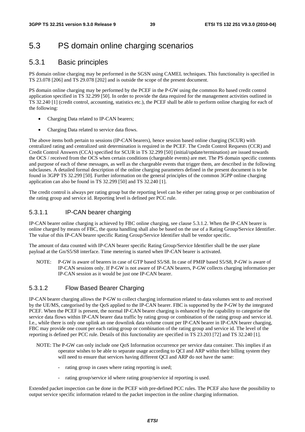# 5.3 PS domain online charging scenarios

# 5.3.1 Basic principles

PS domain online charging may be performed in the SGSN using CAMEL techniques. This functionality is specified in TS 23.078 [206] and TS 29.078 [202] and is outside the scope of the present document.

PS domain online charging may be performed by the PCEF in the P-GW using the common Ro based credit control application specified in TS 32.299 [50]. In order to provide the data required for the management activities outlined in TS 32.240 [1] (credit control, accounting, statistics etc.), the PCEF shall be able to perform online charging for each of the following:

- Charging Data related to IP-CAN bearers;
- Charging Data related to service data flows.

The above items both pertain to sessions (IP-CAN bearers), hence session based online charging (SCUR) with centralized rating and centralized unit determination is required in the PCEF. The Credit Control Requests (CCR) and Credit Control Answers (CCA) specified for SCUR in TS 32.299 [50] (initial/update/termination) are issued towards the OCS / received from the OCS when certain conditions (chargeable events) are met. The PS domain specific contents and purpose of each of these messages, as well as the chargeable events that trigger them, are described in the following subclauses. A detailed formal description of the online charging parameters defined in the present document is to be found in 3GPP TS 32.299 [50]. Further information on the general principles of the common 3GPP online charging application can also be found in TS 32.299 [50] and TS 32.240 [1].

The credit control is always per rating group but the reporting level can be either per rating group or per combination of the rating group and service id. Reporting level is defined per PCC rule.

## 5.3.1.1 IP-CAN bearer charging

IP-CAN bearer online charging is achieved by FBC online charging, see clause 5.3.1.2. When the IP-CAN bearer is online charged by means of FBC, the quota handling shall also be based on the use of a Rating Group/Service Identifier. The value of this IP-CAN bearer specific Rating Group/Service Identifier shall be vendor specific.

The amount of data counted with IP-CAN bearer specific Rating Group/Service Identifier shall be the user plane payload at the Gn/S5/S8 interface. Time metering is started when IP-CAN bearer is activated.

NOTE: P-GW is aware of bearers in case of GTP based S5/S8. In case of PMIP based S5/S8, P-GW is aware of IP-CAN sessions only. If P-GW is not aware of IP-CAN bearers, P-GW collects charging information per IP-CAN session as it would be just one IP-CAN bearer.

### 5.3.1.2 Flow Based Bearer Charging

IP-CAN bearer charging allows the P-GW to collect charging information related to data volumes sent to and received by the UE/MS, categorised by the QoS applied to the IP-CAN bearer. FBC is supported by the P-GW by the integrated PCEF. When the PCEF is present, the normal IP-CAN bearer charging is enhanced by the capability to categorise the service data flows within IP-CAN bearer data traffic by rating group or combination of the rating group and service id. I.e., while there is only one uplink an one downlink data volume count per IP-CAN bearer in IP-CAN bearer charging, FBC may provide one count per each rating group or combination of the rating group and service id. The level of the reporting is defined per PCC rule. Details of this functionality are specified in TS 23.203 [72] and TS 32.240 [1].

- NOTE: The P-GW can only include one QoS Information occurrence per service data container. This implies if an operator wishes to be able to separate usage according to QCI and ARP within their billing system they will need to ensure that services having different QCI and ARP do not have the same:
	- rating group in cases where rating reporting is used;
	- rating group/service id where rating group/service id reporting is used.

Extended packet inspection can be done in the PCEF with pre-defined PCC rules. The PCEF also have the possibility to output service specific information related to the packet inspection in the online charging information.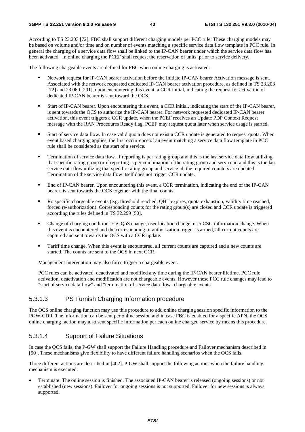According to TS 23.203 [72], FBC shall support different charging models per PCC rule. These charging models may be based on volume and/or time and on number of events matching a specific service data flow template in PCC rule. In general the charging of a service data flow shall be linked to the IP-CAN bearer under which the service data flow has been activated. In online charging the PCEF shall request the reservation of units prior to service delivery.

The following chargeable events are defined for FBC when online charging is activated:

- Network request for IP-CAN bearer activation before the Initiate IP-CAN bearer Activation message is sent.<br>Associated with the network requested dedicated IP-CAN bearer activation procedure, as defined in TS 23.203 [72] and 23.060 [201], upon encountering this event, a CCR initial, indicating the request for activation of dedicated IP-CAN bearer is sent toward the OCS.
- Start of IP-CAN bearer. Upon encountering this event, a CCR initial, indicating the start of the IP-CAN bearer, is sent towards the OCS to authorize the IP-CAN bearer. For network requested dedicated IP-CAN bearer activation, this event triggers a CCR update, when the PCEF receives an Update PDP Context Request message with the RAN Procedures Ready flag. PCEF may request quota later when service usage is started.
- Start of service data flow. In case valid quota does not exist a CCR update is generated to request quota. When event based charging applies, the first occurrence of an event matching a service data flow template in PCC rule shall be considered as the start of a service.
- Termination of service data flow. If reporting is per rating group and this is the last service data flow utilizing<br>that specific rating group or if reporting is per combination of the rating group and service id and this service data flow utilizing that specific rating group and service id, the required counters are updated. Termination of the service data flow itself does not trigger CCR update.
- End of IP-CAN bearer. Upon encountering this event, a CCR termination, indicating the end of the IP-CAN bearer, is sent towards the OCS together with the final counts.
- Ro specific chargeable events (e.g. threshold reached, QHT expires, quota exhaustion, validity time reached, forced re-authorization). Corresponding counts for the rating group(s) are closed and CCR update is triggered according the rules defined in TS 32.299 [50].
- Change of charging condition: E.g. QoS change, user location change, user CSG information change. When this event is encountered and the corresponding re-authorization trigger is armed, all current counts are captured and sent towards the OCS with a CCR update.
- Tariff time change. When this event is encountered, all current counts are captured and a new counts are started. The counts are sent to the OCS in next CCR.

Management intervention may also force trigger a chargeable event.

PCC rules can be activated, deactivated and modified any time during the IP-CAN bearer lifetime. PCC rule activation, deactivation and modification are not chargeable events. However these PCC rule changes may lead to "start of service data flow" and "termination of service data flow" chargeable events.

### 5.3.1.3 PS Furnish Charging Information procedure

The OCS online charging function may use this procedure to add online charging session specific information to the PGW-CDR. The information can be sent per online session and in case FBC is enabled for a specific APN, the OCS online charging faction may also sent specific information per each online charged service by means this procedure.

### 5.3.1.4 Support of Failure Situations

In case the OCS fails, the P-GW shall support the Failure Handling procedure and Failover mechanism described in [50]. These mechanisms give flexibility to have different failure handling scenarios when the OCS fails.

Three different actions are described in [402]. P-GW shall support the following actions when the failure handling mechanism is executed:

• Terminate: The online session is finished. The associated IP-CAN bearer is released (ongoing sessions) or not established (new sessions). Failover for ongoing sessions is not supported. Failover for new sessions is always supported.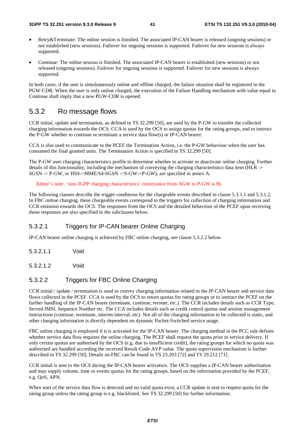- Retry&Terminate: The online session is finished. The associated IP-CAN bearer is released (ongoing sessions) or not established (new sessions). Failover for ongoing sessions is supported. Failover for new sessions is always supported.
- Continue: The online session is finished. The associated IP-CAN bearer is established (new sessions) or not released (ongoing sessions). Failover for ongoing sessions is supported. Failover for new sessions is always supported.

In both cases, if the user is simultaneously online and offline charged, the failure situation shall be registered in the PGW-CDR. When the user is only online charged, the execution of the Failure Handling mechanism with value equal to Continue shall imply that a new PGW-CDR is opened.

# 5.3.2 Ro message flows

CCR initial, update and termination, as defined in TS 32.299 [50], are used by the P-GW to transfer the collected charging information towards the OCS. CCA is used by the OCS to assign quotas for the rating groups, and to instruct the P-GW whether to continue or terminate a service data flow(s) or IP-CAN bearer.

CCA is also used to communicate to the PCEF the Termination Action, i.e. the P-GW behaviour when the user has consumed the final granted units. The Termination Action is specified in TS 32.299 [50].

The P-GW uses charging characteristics profile to determine whether to activate or deactivate online charging. Further details of this functionality, including the mechanism of conveying the charging characteristics data item (HLR -> SGSN -> P-GW, or HSS->MME/S4-SGSN ->S-GW->P-GW), are specified in annex A.

Editor"s note : 'non-3GPP charging characteristics' conveyance from AGW to P-GW is ffs

The following clauses describe the trigger conditions for the chargeable events described in clause 5.3.1.1 and 5.3.1.2. In FBC online charging, these chargeable events correspond to the triggers for collection of charging information and CCR emission towards the OCS. The responses from the OCS and the detailed behaviour of the PCEF upon receiving those responses are also specified in the subclauses below.

### 5.3.2.1 Triggers for IP-CAN bearer Online Charging

IP-CAN bearer online charging is achieved by FBC online charging, see clause 5.3.2.2 below.

- 5.3.2.1.1 Void
- 5.3.2.1.2 Void

### 5.3.2.2 Triggers for FBC Online Charging

CCR initial / update / termination is used to convey charging information related to the IP-CAN bearer and service data flows collected in the PCEF. CCA is used by the OCS to return quotas for rating groups or to instruct the PCEF on the further handling of the IP-CAN bearer (terminate, continue, reroute, etc.). The CCR includes details such as CCR Type, Served IMSI, Sequence Number etc. The CCA includes details such as credit control quotas and session management instructions (continue, terminate, interim interval, etc). Not all of the charging information to be collected is static, and other charging information is directly dependent on dynamic Packet-Switched service usage.

FBC online charging is employed if it is activated for the IP-CAN bearer. The charging method in the PCC rule defines whether service data flow requires the online charging. The PCEF shall request the quota prior to service delivery. If only certain quotas are authorised by the OCS (e.g. due to insufficient credit), the rating groups for which no quota was authorised are handled according the received Result-Code AVP value. The quota supervision mechanism is further described in TS 32.299 [50]. Details on FBC can be found in TS 23.203 [72] and TS 29.212 [71].

CCR initial is sent to the OCS during the IP-CAN bearer activation. The OCS supplies a IP-CAN bearer authorisation and may supply volume, time or events quotas for the rating groups, based on the information provided by the PCEF, e.g. QoS, APN.

When start of the service data flow is detected and no valid quota exist, a CCR update is sent to request quota for the rating group unless the rating group is e.g. blacklisted. See TS 32.299 [50] for further information.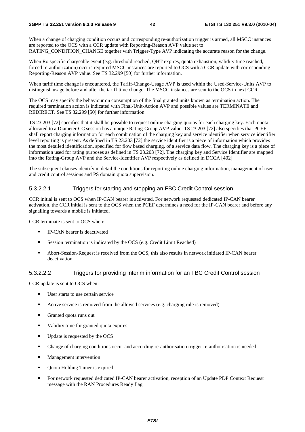#### **3GPP TS 32.251 version 9.3.0 Release 9 42 ETSI TS 132 251 V9.3.0 (2010-04)**

When a change of charging condition occurs and corresponding re-authorization trigger is armed, all MSCC instances are reported to the OCS with a CCR update with Reporting-Reason AVP value set to RATING\_CONDITION\_CHANGE together with Trigger-Type AVP indicating the accurate reason for the change.

When Ro specific chargeable event (e.g. threshold reached, QHT expires, quota exhaustion, validity time reached, forced re-authorization) occurs required MSCC instances are reported to OCS with a CCR update with corresponding Reporting-Reason AVP value. See TS 32.299 [50] for further information.

When tariff time change is encountered, the Tariff-Change-Usage AVP is used within the Used-Service-Units AVP to distinguish usage before and after the tariff time change. The MSCC instances are sent to the OCS in next CCR.

The OCS may specify the behaviour on consumption of the final granted units known as termination action. The required termination action is indicated with Final-Unit-Action AVP and possible values are TERMINATE and REDIRECT. See TS 32.299 [50] for further information.

TS 23.203 [72] specifies that it shall be possible to request online charging quotas for each charging key. Each quota allocated to a Diameter CC session has a unique Rating-Group AVP value. TS 23.203 [72] also specifies that PCEF shall report charging information for each combination of the charging key and service identifier when service identifier level reporting is present. As defined in TS 23.203 [72] the service identifier is a piece of information which provides the most detailed identification, specified for flow based charging, of a service data flow. The charging key is a piece of information used for rating purposes as defined in TS 23.203 [72]. The charging key and Service Identifier are mapped into the Rating-Group AVP and the Service-Identifier AVP respectively as defined in DCCA [402].

The subsequent clauses identify in detail the conditions for reporting online charging information, management of user and credit control sessions and PS domain quota supervision.

#### 5.3.2.2.1 Triggers for starting and stopping an FBC Credit Control session

CCR initial is sent to OCS when IP-CAN bearer is activated. For network requested dedicated IP-CAN bearer activation, the CCR initial is sent to the OCS when the PCEF determines a need for the IP-CAN bearer and before any signalling towards a mobile is initiated.

CCR terminate is sent to OCS when:

- IP-CAN bearer is deactivated<br>
Session termination is indicated
- Session termination is indicated by the OCS (e.g. Credit Limit Reached)
- Abort-Session-Request is received from the OCS, this also results in network initiated IP-CAN bearer deactivation.

#### 5.3.2.2.2 Triggers for providing interim information for an FBC Credit Control session

CCR update is sent to OCS when:

- User starts to use certain service
- Active service is removed from the allowed services (e.g. charging rule is removed)<br>
For Granted quota runs out
- Granted quota runs out<br>Validity time for grants
- Validity time for granted quota expires
- Update is requested by the OCS<br>
Update is requested by the OCS
- Change of charging conditions occur and according re-authorisation trigger re-authorisation is needed<br>■ Management intervention
- Management intervention
- Quota Holding Timer is expired
- For network requested dedicated IP-CAN bearer activation, reception of an Update PDP Context Request message with the RAN Procedures Ready flag.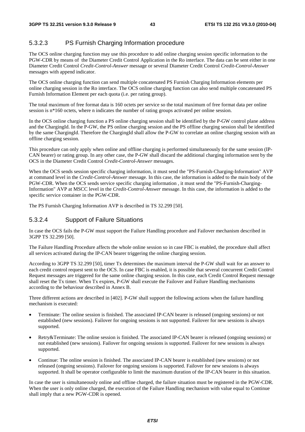## 5.3.2.3 PS Furnish Charging Information procedure

The OCS online charging function may use this procedure to add online charging session specific information to the PGW-CDR by means of the Diameter Credit Control Application in the Ro interface. The data can be sent either in one Diameter Credit Control *Credit-Control-Answer* message or several Diameter Credit Control *Credit-Control-Answer* messages with append indicator.

The OCS online charging function can send multiple concatenated PS Furnish Charging Information elements per online charging session in the Ro interface. The OCS online charging function can also send multiple concatenated PS Furnish Information Element per each quota (i.e. per rating group).

The total maximum of free format data is 160 octets per service so the total maximum of free format data per online session is n<sup>\*160</sup> octets, where n indicates the number of rating groups activated per online session.

In the OCS online charging function a PS online charging session shall be identified by the P-GW control plane address and the ChargingId. In the P-GW, the PS online charging session and the PS offline charging session shall be identified by the same ChargingId. Therefore the ChargingId shall allow the P-GW to correlate an online charging session with an offline charging session.

This procedure can only apply when online and offline charging is performed simultaneously for the same session (IP-CAN bearer) or rating group. In any other case, the P-GW shall discard the additional charging information sent by the OCS in the Diameter Credit Control *Credit-Control-Answer* messages.

When the OCS sends session specific charging information, it must send the "PS-Furnish-Charging-Information" AVP at command level in the *Credit-Control-Answer* message. In this case, the information is added to the main body of the PGW-CDR. When the OCS sends service specific charging information , it must send the "PS-Furnish-Charging-Information" AVP at MSCC level in the *Credit-Control-Answer* message. In this case, the information is added to the specific service container in the PGW-CDR.

The PS Furnish Charging Information AVP is described in TS 32.299 [50].

## 5.3.2.4 Support of Failure Situations

In case the OCS fails the P-GW must support the Failure Handling procedure and Failover mechanism described in 3GPP TS 32.299 [50].

The Failure Handling Procedure affects the whole online session so in case FBC is enabled, the procedure shall affect all services activated during the IP-CAN bearer triggering the online charging session.

According to 3GPP TS 32.299 [50], timer Tx determines the maximum interval the P-GW shall wait for an answer to each credit control request sent to the OCS. In case FBC is enabled, it is possible that several concurrent Credit Control Request messages are triggered for the same online charging session. In this case, each Credit Control Request message shall reset the Tx timer. When Tx expires, P-GW shall execute the Failover and Failure Handling mechanisms according to the behaviour described in Annex B.

Three different actions are described in [402]. P-GW shall support the following actions when the failure handling mechanism is executed:

- Terminate: The online session is finished. The associated IP-CAN bearer is released (ongoing sessions) or not established (new sessions). Failover for ongoing sessions is not supported. Failover for new sessions is always supported.
- Retry&Terminate: The online session is finished. The associated IP-CAN bearer is released (ongoing sessions) or not established (new sessions). Failover for ongoing sessions is supported. Failover for new sessions is always supported.
- Continue: The online session is finished. The associated IP-CAN bearer is established (new sessions) or not released (ongoing sessions). Failover for ongoing sessions is supported. Failover for new sessions is always supported. It shall be operator configurable to limit the maximum duration of the IP-CAN bearer in this situation.

In case the user is simultaneously online and offline charged, the failure situation must be registered in the PGW-CDR. When the user is only online charged, the execution of the Failure Handling mechanism with value equal to Continue shall imply that a new PGW-CDR is opened.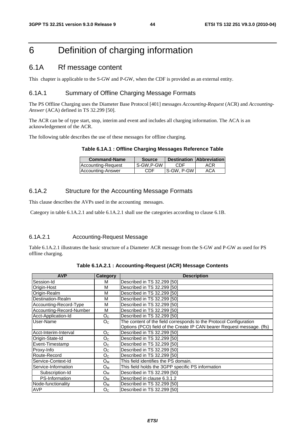# 6 Definition of charging information

# 6.1A Rf message content

This chapter is applicable to the S-GW and P-GW, when the CDF is provided as an external entity.

### 6.1A.1 Summary of Offline Charging Message Formats

The PS Offline Charging uses the Diameter Base Protocol [401] messages *Accounting-Request* (ACR) and *Accounting-Answer* (ACA) defined in TS 32.299 [50].

The ACR can be of type start, stop, interim and event and includes all charging information. The ACA is an acknowledgement of the ACR.

The following table describes the use of these messages for offline charging.

|  | Table 6.1A.1 : Offline Charging Messages Reference Table |  |  |  |
|--|----------------------------------------------------------|--|--|--|
|--|----------------------------------------------------------|--|--|--|

| <b>Command-Name</b> | <b>Source</b> |              | <b>Destination Abbreviation</b> |
|---------------------|---------------|--------------|---------------------------------|
| Accounting-Request  | S-GW.P-GW     | CDE          | ACR                             |
| Accounting-Answer   | CDF           | l S-GW. P-GW | ACA                             |

### 6.1A.2 Structure for the Accounting Message Formats

This clause describes the AVPs used in the accounting messages.

Category in table 6.1A.2.1 and table 6.1A.2.1 shall use the categories according to clause 6.1B.

### 6.1A.2.1 Accounting-Request Message

Table 6.1A.2.1 illustrates the basic structure of a Diameter ACR message from the S-GW and P-GW as used for PS offline charging.

| <b>AVP</b>               | Category       | <b>Description</b>                                                     |
|--------------------------|----------------|------------------------------------------------------------------------|
| Session-Id               | м              | Described in TS 32.299 [50]                                            |
| Origin-Host              | м              | Described in TS 32.299 [50]                                            |
| Origin-Realm             | М              | Described in TS 32,299 [50]                                            |
| Destination-Realm        | м              | Described in TS 32.299 [50]                                            |
| Accounting-Record-Type   | М              | Described in TS 32.299 [50]                                            |
| Accounting-Record-Number | м              | Described in TS 32.299 [50]                                            |
| Acct-Application-Id      | O <sub>C</sub> | Described in TS 32.299 [50]                                            |
| User-Name                | O <sub>C</sub> | The content of the field corresponds to the Protocol Configuration     |
|                          |                | Options (PCO) field of the Create IP CAN bearer Request message. (ffs) |
| Acct-Interim-Interval    | O <sub>C</sub> | Described in TS 32.299 [50]                                            |
| Origin-State-Id          | O <sub>C</sub> | Described in TS 32.299 [50]                                            |
| Event-Timestamp          | O <sub>C</sub> | Described in TS 32.299 [50]                                            |
| Proxy-Info               | O <sub>C</sub> | Described in TS 32,299 [50]                                            |
| Route-Record             | O <sub>C</sub> | Described in TS 32,299 [50]                                            |
| Service-Context-Id       | $O_{M}$        | This field identifies the PS domain.                                   |
| Service-Information      | Oм             | This field holds the 3GPP specific PS information                      |
| Subscription-Id          | Oм             | Described in TS 32.299 [50]                                            |
| PS-Information           | $O_{M}$        | Described in clause 6.3.1.2                                            |
| Node-functionality       | O <sub>M</sub> | Described in TS 32.299 [50]                                            |
| <b>AVP</b>               | O <sub>C</sub> | Described in TS 32.299 [50]                                            |

**Table 6.1A.2.1 : Accounting-Request (ACR) Message Contents**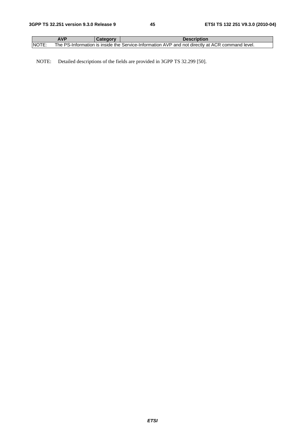|        | <b>AVP</b> | Category | <b>Description</b>                                                                              |
|--------|------------|----------|-------------------------------------------------------------------------------------------------|
| INOTE: |            |          | The PS-Information is inside the Service-Information AVP and not directly at ACR command level. |

NOTE: Detailed descriptions of the fields are provided in 3GPP TS 32.299 [50].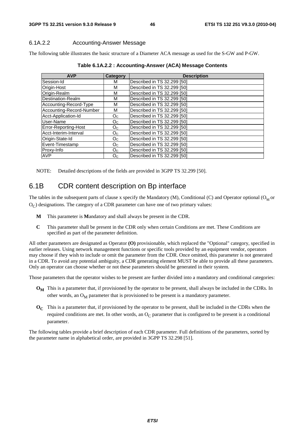### 6.1A.2.2 Accounting-Answer Message

The following table illustrates the basic structure of a Diameter ACA message as used for the S-GW and P-GW.

| <b>AVP</b>               | Category       | <b>Description</b>          |
|--------------------------|----------------|-----------------------------|
| Session-Id               | м              | Described in TS 32.299 [50] |
| Origin-Host              | M              | Described in TS 32.299 [50] |
| Origin-Realm             | м              | Described in TS 32.299 [50] |
| Destination-Realm        | М              | Described in TS 32.299 [50] |
| Accounting-Record-Type   | M              | Described in TS 32.299 [50] |
| Accounting-Record-Number | М              | Described in TS 32.299 [50] |
| Acct-Application-Id      | O <sub>C</sub> | Described in TS 32.299 [50] |
| User-Name                | O <sub>C</sub> | Described in TS 32.299 [50] |
| Error-Reporting-Host     | O <sub>C</sub> | Described in TS 32.299 [50] |
| Acct-Interim-Interval    | O <sub>C</sub> | Described in TS 32.299 [50] |
| Origin-State-Id          | O <sub>C</sub> | Described in TS 32.299 [50] |
| Event-Timestamp          | O <sub>C</sub> | Described in TS 32.299 [50] |
| Proxy-Info               | O <sub>C</sub> | Described in TS 32.299 [50] |
| <b>AVP</b>               | O <sub>C</sub> | Described in TS 32.299 [50] |

**Table 6.1A.2.2 : Accounting-Answer (ACA) Message Contents** 

NOTE: Detailed descriptions of the fields are provided in 3GPP TS 32.299 [50].

## 6.1B CDR content description on Bp interface

The tables in the subsequent parts of clause x specify the Mandatory  $(M)$ , Conditional (C) and Operator optional ( $O_M$  or  $O<sub>C</sub>$ ) designations. The category of a CDR parameter can have one of two primary values:

- **M** This parameter is **M**andatory and shall always be present in the CDR.
- **C** This parameter shall be present in the CDR only when certain Conditions are met. These Conditions are specified as part of the parameter definition.

All other parameters are designated as Operator **(O)** provisionable, which replaced the "Optional" category, specified in earlier releases. Using network management functions or specific tools provided by an equipment vendor, operators may choose if they wish to include or omit the parameter from the CDR. Once omitted, this parameter is not generated in a CDR. To avoid any potential ambiguity, a CDR generating element MUST be able to provide all these parameters. Only an operator can choose whether or not these parameters should be generated in their system.

Those parameters that the operator wishes to be present are further divided into a mandatory and conditional categories:

- **O<sub>M</sub>** This is a parameter that, if provisioned by the operator to be present, shall always be included in the CDRs. In other words, an  $O_M$  parameter that is provisioned to be present is a mandatory parameter.
- **OC** This is a parameter that, if provisioned by the operator to be present, shall be included in the CDRs when the required conditions are met. In other words, an  $O<sub>C</sub>$  parameter that is configured to be present is a conditional parameter.

The following tables provide a brief description of each CDR parameter. Full definitions of the parameters, sorted by the parameter name in alphabetical order, are provided in 3GPP TS 32.298 [51].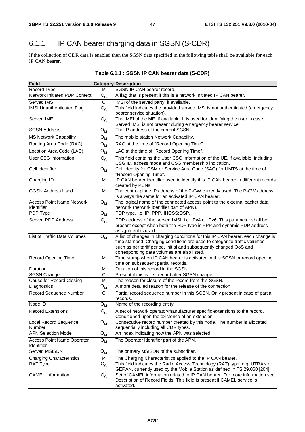# 6.1.1 IP CAN bearer charging data in SGSN (S-CDR)

If the collection of CDR data is enabled then the SGSN data specified in the following table shall be available for each IP CAN bearer.

| <b>Field</b>                         |                           | <b>Category Description</b>                                                                                                                      |
|--------------------------------------|---------------------------|--------------------------------------------------------------------------------------------------------------------------------------------------|
| Record Type                          | M                         | SGSN IP CAN bearer record.                                                                                                                       |
| <b>Network Initiated PDP Context</b> | $O_{C}$                   | A flag that is present if this is a network initiated IP CAN bearer.                                                                             |
| Served IMSI                          | C                         | IMSI of the served party, if available.                                                                                                          |
| <b>IMSI Unauthenticated Flag</b>     | $O_{C}$                   | This field indicates the provided served IMSI is not authenticated (emergency                                                                    |
|                                      |                           | bearer service situation).                                                                                                                       |
| Served IMEI                          | $O_{C}$                   | The IMEI of the ME, if available. It is used for identifying the user in case                                                                    |
|                                      |                           | Served IMSI is not present during emergency bearer service.                                                                                      |
| <b>SGSN Address</b>                  | ${\mathsf O}_{\mathsf M}$ | The IP address of the current SGSN.                                                                                                              |
| <b>MS Network Capability</b>         | $\Omega_{\mathsf{M}}$     | The mobile station Network Capability.                                                                                                           |
| Routing Area Code (RAC)              | $O_{M}$                   | RAC at the time of "Record Opening Time".                                                                                                        |
| Location Area Code (LAC)             | $O_{M}$                   | LAC at the time of "Record Opening Time".                                                                                                        |
| User CSG information                 | $O_{C}$                   | This field contains the User CSG information of the UE, if available, including                                                                  |
|                                      |                           | CSG ID, access mode and CSG membership indication.                                                                                               |
| Cell Identifier                      | $O_{M}$                   | Cell identity for GSM or Service Area Code (SAC) for UMTS at the time of                                                                         |
|                                      |                           | "Record Opening Time".                                                                                                                           |
| Charging ID                          | м                         | IP CAN bearer identifier used to identify this IP CAN bearer in different records                                                                |
| <b>GGSN Address Used</b>             | M                         | created by PCNs.<br>The control plane IP address of the P-GW currently used. The P-GW address                                                    |
|                                      |                           | is always the same for an activated IP CAN bearer.                                                                                               |
| <b>Access Point Name Network</b>     | $O_{M}$                   | The logical name of the connected access point to the external packet data                                                                       |
| Identifier                           |                           | network (network identifier part of APN).                                                                                                        |
| PDP Type                             | ${\mathsf O}_{\mathsf M}$ | PDP type, i.e. IP, PPP, IHOSS:OSP.                                                                                                               |
| Served PDP Address                   | $O_{C}$                   | PDP address of the served IMSI, i.e. IPv4 or IPv6. This parameter shall be                                                                       |
|                                      |                           | present except when both the PDP type is PPP and dynamic PDP address                                                                             |
|                                      |                           | assignment is used.                                                                                                                              |
| List of Traffic Data Volumes         | $O_{M}$                   | A list of changes in charging conditions for this IP CAN bearer, each change is                                                                  |
|                                      |                           | time stamped. Charging conditions are used to categorize traffic volumes,<br>such as per tariff period. Initial and subsequently changed QoS and |
|                                      |                           | corresponding data volumes are also listed.                                                                                                      |
| <b>Record Opening Time</b>           | M                         | Time stamp when IP CAN bearer is activated in this SGSN or record opening                                                                        |
|                                      |                           | time on subsequent partial records.                                                                                                              |
| Duration                             | М                         | Duration of this record in the SGSN.                                                                                                             |
| <b>SGSN Change</b>                   | C                         | Present if this is first record after SGSN change.                                                                                               |
| Cause for Record Closing             | M                         | The reason for closure of the record from this SGSN.                                                                                             |
| Diagnostics                          | $\mathsf{o}_{\mathsf{M}}$ | A more detailed reason for the release of the connection.                                                                                        |
| Record Sequence Number               | $\mathsf{C}$              | Partial record sequence number in this SGSN. Only present in case of partial                                                                     |
|                                      |                           | records.                                                                                                                                         |
| Node ID                              | $O_{M}$                   | Name of the recording entity.                                                                                                                    |
| <b>Record Extensions</b>             | ${\sf o}_{\sf c}$         | A set of network operator/manufacturer specific extensions to the record.                                                                        |
|                                      |                           | Conditioned upon the existence of an extension.                                                                                                  |
| Local Record Sequence<br>Number      | $O_{M}$                   | Consecutive record number created by this node. The number is allocated<br>sequentially including all CDR types.                                 |
| <b>APN Selection Mode</b>            | ${\mathsf O}_{\mathsf M}$ | An index indicating how the APN was selected.                                                                                                    |
| <b>Access Point Name Operator</b>    | $O_{M}$                   | The Operator Identifier part of the APN.                                                                                                         |
| Identifier                           |                           |                                                                                                                                                  |
| Served MSISDN                        | ${\mathsf O}_{\mathsf M}$ | The primary MSISDN of the subscriber.                                                                                                            |
| <b>Charging Characteristics</b>      | M                         | The Charging Characteristics applied to the IP CAN bearer.                                                                                       |
| RAT Type                             | $O_{C}$                   | This field indicates the Radio Access Technology (RAT) type, e.g. UTRAN or                                                                       |
|                                      |                           | GERAN, currently used by the Mobile Station as defined in TS 29.060 [204].                                                                       |
| <b>CAMEL Information</b>             | $O_{C}$                   | Set of CAMEL information related to IP CAN bearer. For more information see                                                                      |
|                                      |                           | Description of Record Fields. This field is present if CAMEL service is                                                                          |
|                                      |                           | activated.                                                                                                                                       |

# **Table 6.1.1 : SGSN IP CAN bearer data (S-CDR)**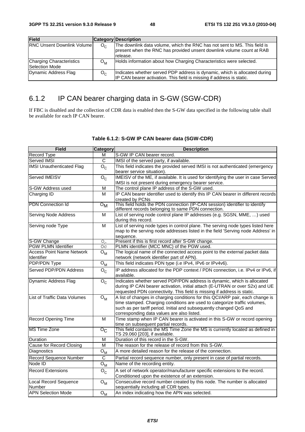| <b>Field</b>                                      |                  | <b>Category Description</b>                                                                                                                                    |
|---------------------------------------------------|------------------|----------------------------------------------------------------------------------------------------------------------------------------------------------------|
| <b>RNC Unsent Downlink Volume</b>                 | O <sub>c</sub>   | The downlink data volume, which the RNC has not sent to MS. This field is<br>present when the RNC has provided unsent downlink volume count at RAB<br>release. |
| <b>Charging Characteristics</b><br>Selection Mode | $O_{\mathsf{M}}$ | Holds information about how Charging Characteristics were selected.                                                                                            |
| Dynamic Address Flag                              | $O_{\alpha}$     | Indicates whether served PDP address is dynamic, which is allocated during<br>IP CAN bearer activation. This field is missing if address is static.            |

# 6.1.2 IP CAN bearer charging data in S-GW (SGW-CDR)

If FBC is disabled and the collection of CDR data is enabled then the S-GW data specified in the following table shall be available for each IP CAN bearer.

| <b>Field</b>                              | Category                        | <b>Description</b>                                                                                                                 |
|-------------------------------------------|---------------------------------|------------------------------------------------------------------------------------------------------------------------------------|
| Record Type                               | м                               | S-GW IP CAN bearer record.                                                                                                         |
| Served IMSI                               | $\overline{C}$                  | IMSI of the served party, if available.                                                                                            |
| <b>IMSI Unauthenticated Flag</b>          | $O_{C}$                         | This field indicates the provided served IMSI is not authenticated (emergency                                                      |
|                                           |                                 | bearer service situation).                                                                                                         |
| Served IMEISV                             | $O_{C}$                         | IMEISV of the ME, if available. It is used for identifying the user in case Served                                                 |
|                                           |                                 | IMSI is not present during emergency bearer service.                                                                               |
| S-GW Address used                         | M                               | The control plane IP address of the S-GW used.                                                                                     |
| Charging ID                               | M                               | IP CAN bearer identifier used to identify this IP CAN bearer in different records                                                  |
|                                           |                                 | created by PCNs                                                                                                                    |
| <b>PDN</b> Connection Id                  | $\overline{\circ}_{\mathsf{M}}$ | This field holds the PDN connection (IP-CAN session) identifier to identify<br>different records belonging to same PDN connection. |
| Serving Node Address                      | M                               | List of serving node control plane IP addresses (e.g. SGSN, MME, ) used                                                            |
|                                           |                                 | during this record.                                                                                                                |
| Serving node Type                         | $\overline{M}$                  | List of serving node types in control plane. The serving node types listed here                                                    |
|                                           |                                 | map to the serving node addresses listed in the field 'Serving node Address' in                                                    |
|                                           |                                 | sequence.<br>Present if this is first record after S-GW change.                                                                    |
| S-GW Change<br><b>PGW PLMN Identifier</b> | $O_{\alpha}$<br>Oс              | PLMN identifier (MCC MNC) of the PGW used.                                                                                         |
| <b>Access Point Name Network</b>          | ${\mathsf O}_{\mathsf M}$       | The logical name of the connected access point to the external packet data                                                         |
| Identifier                                |                                 | network (network identifier part of APN).                                                                                          |
| <b>PDP/PDN Type</b>                       | ${\mathsf O}_{\mathsf M}$       | This field indicates PDN type (i.e IPv4, IPv6 or IPv4v6).                                                                          |
| Served PDP/PDN Address                    |                                 |                                                                                                                                    |
|                                           | $O_{C}$                         | IP address allocated for the PDP context / PDN connection, i.e. IPv4 or IPv6, if<br>available.                                     |
| Dynamic Address Flag                      | $O_{C}$                         | Indicates whether served PDP/PDN address is dynamic, which is allocated                                                            |
|                                           |                                 | during IP CAN bearer activation, initial attach (E-UTRAN or over S2x) and UE                                                       |
|                                           |                                 | requested PDN connectivity. This field is missing if address is static.                                                            |
| List of Traffic Data Volumes              | $O_{M}$                         | A list of changes in charging conditions for this QCI/ARP pair, each change is                                                     |
|                                           |                                 | time stamped. Charging conditions are used to categorize traffic volumes,                                                          |
|                                           |                                 | such as per tariff period. Initial and subsequently changed QoS and                                                                |
|                                           |                                 | corresponding data values are also listed.                                                                                         |
| <b>Record Opening Time</b>                | M                               | Time stamp when IP CAN bearer is activated in this S-GW or record opening                                                          |
| <b>MS Time Zone</b>                       |                                 | time on subsequent partial records.<br>This field contains the MS Time Zone the MS is currently located as defined in              |
|                                           | $\overline{\mathrm{o_{C}}}$     | TS 29.060 [203], if available.                                                                                                     |
| Duration                                  | M                               | Duration of this record in the S-GW.                                                                                               |
| <b>Cause for Record Closing</b>           | М                               | The reason for the release of record from this S-GW.                                                                               |
| Diagnostics                               | ${\bf O}_{\bf M}$               | A more detailed reason for the release of the connection.                                                                          |
| Record Sequence Number                    | C                               | Partial record sequence number, only present in case of partial records.                                                           |
| Node ID                                   | ${\mathsf O}_{\mathsf M}$       | Name of the recording entity.                                                                                                      |
| <b>Record Extensions</b>                  | $O_{\rm C}$                     | A set of network operator/manufacturer specific extensions to the record.                                                          |
|                                           |                                 | Conditioned upon the existence of an extension.                                                                                    |
| Local Record Sequence                     | ${\mathsf O}_{\mathsf M}$       | Consecutive record number created by this node. The number is allocated                                                            |
| Number                                    |                                 | sequentially including all CDR types.                                                                                              |
| <b>APN Selection Mode</b>                 | $O_{M}$                         | An index indicating how the APN was selected.                                                                                      |

### **Table 6.1.2: S-GW IP CAN bearer data (SGW-CDR)**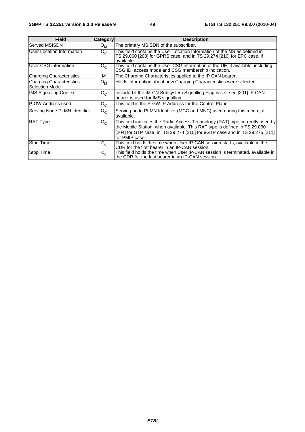| <b>Field</b>                                      | <b>Category</b>  | <b>Description</b>                                                                                                                                                                                                                                           |
|---------------------------------------------------|------------------|--------------------------------------------------------------------------------------------------------------------------------------------------------------------------------------------------------------------------------------------------------------|
| Served MSISDN                                     | $O_{\mathsf{M}}$ | The primary MSISDN of the subscriber.                                                                                                                                                                                                                        |
| User Location Information                         | $O_{C}$          | This field contains the User Location Information of the MS as defined in<br>TS 29.060 [203] for GPRS case, and in TS 29.274 [210] for EPC case, if<br>available.                                                                                            |
| User CSG information                              | $O_{C}$          | This field contains the User CSG information of the UE, if available, including<br>CSG ID, access mode and CSG membership indication.                                                                                                                        |
| <b>Charging Characteristics</b>                   | м                | The Charging Characteristics applied to the IP CAN bearer.                                                                                                                                                                                                   |
| <b>Charging Characteristics</b><br>Selection Mode | $O_{\mathsf{M}}$ | Holds information about how Charging Characteristics were selected.                                                                                                                                                                                          |
| <b>IMS Signalling Context</b>                     | $O_{C}$          | Included if the IM-CN Subsystem Signalling Flag is set, see [201] IP CAN<br>bearer is used for IMS signalling.                                                                                                                                               |
| P-GW Address used.                                | $O_{C}$          | This field is the P-GW IP Address for the Control Plane                                                                                                                                                                                                      |
| Serving Node PLMN Identifier                      | $O_{C}$          | Serving node PLMN Identifier (MCC and MNC) used during this record, if<br>available.                                                                                                                                                                         |
| <b>RAT Type</b>                                   | $O_{C}$          | This field indicates the Radio Access Technology (RAT) type currently used by<br>the Mobile Station, when available. This RAT type is defined in TS 29.060<br>[204] for GTP case, in TS 29.274 [210] for eGTP case and in TS 29.275 [211]<br>lfor PMIP case. |
| <b>Start Time</b>                                 | $O_{\alpha}$     | This field holds the time when User IP-CAN session starts, available in the<br>CDR for the first bearer in an IP-CAN session.                                                                                                                                |
| <b>Stop Time</b>                                  | $O_{\Gamma}$     | This field holds the time when User IP-CAN session is terminated, available in<br>the CDR for the last bearer in an IP-CAN session.                                                                                                                          |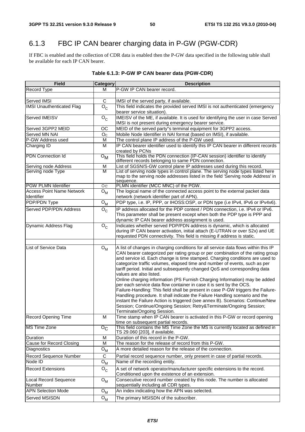# 6.1.3 FBC IP CAN bearer charging data in P-GW (PGW-CDR)

If FBC is enabled and the collection of CDR data is enabled then the P-GW data specified in the following table shall be available for each IP CAN bearer.

| <b>Field</b>                                   | <b>Category</b>                 | <b>Description</b>                                                                                                                                                 |
|------------------------------------------------|---------------------------------|--------------------------------------------------------------------------------------------------------------------------------------------------------------------|
| <b>Record Type</b>                             | М                               | P-GW IP CAN bearer record.                                                                                                                                         |
|                                                |                                 |                                                                                                                                                                    |
| Served IMSI                                    | C                               | IMSI of the served party, if available.                                                                                                                            |
| <b>IMSI Unauthenticated Flag</b>               | $O_{C}$                         | This field indicates the provided served IMSI is not authenticated (emergency                                                                                      |
| Served IMEISV                                  |                                 | bearer service situation).                                                                                                                                         |
|                                                | $O_{\rm C}$                     | IMEISV of the ME, if available. It is used for identifying the user in case Served<br>IMSI is not present during emergency bearer service.                         |
| Served 3GPP2 MEID                              | OC                              | MEID of the served party"s terminal equipment for 3GPP2 access.                                                                                                    |
| Served MN NAI                                  | O <sub>C</sub>                  | Mobile Node Identifier in NAI format (based on IMSI), if available.                                                                                                |
| P-GW Address used                              | Μ                               | The control plane IP address of the P-GW used.                                                                                                                     |
| Charging ID                                    | M                               | IP CAN bearer identifier used to identify this IP CAN bearer in different records                                                                                  |
|                                                |                                 | created by PCNs                                                                                                                                                    |
| <b>PDN</b> Connection Id                       | $\overline{\circ}_{\mathsf{M}}$ | This field holds the PDN connection (IP-CAN session) identifier to identify<br>different records belonging to same PDN connection.                                 |
| Serving node Address                           | Μ                               | List of SGSN/S-GW control plane IP addresses used during this record.                                                                                              |
| Serving node Type                              | M                               | List of serving node types in control plane. The serving node types listed here<br>map to the serving node addresses listed in the field 'Serving node Address' in |
|                                                |                                 | sequence.                                                                                                                                                          |
| <b>PGW PLMN Identifier</b>                     | O <sub>C</sub>                  | PLMN identifier (MCC MNC) of the PGW.                                                                                                                              |
| <b>Access Point Name Network</b><br>Identifier | $O_{M}$                         | The logical name of the connected access point to the external packet data<br>network (network identifier part of APN).                                            |
| PDP/PDN Type                                   | ${\bf O}_{{\sf M}}$             | PDP type, i.e. IP, PPP, or IHOSS:OSP, or PDN type (i.e IPv4, IPv6 or IPv4v6).                                                                                      |
| Served PDP/PDN Address                         |                                 | IP address allocated for the PDP context / PDN connection, i.e. IPv4 or IPv6.                                                                                      |
|                                                | $O_{C}$                         | This parameter shall be present except when both the PDP type is PPP and                                                                                           |
|                                                |                                 | dynamic IP CAN bearer address assignment is used.                                                                                                                  |
| Dynamic Address Flag                           | $O_{C}$                         | Indicates whether served PDP/PDN address is dynamic, which is allocated                                                                                            |
|                                                |                                 | during IP CAN bearer activation, initial attach (E-UTRAN or over S2x) and UE                                                                                       |
|                                                |                                 | requested PDN connectivity. This field is missing if address is static.                                                                                            |
|                                                |                                 |                                                                                                                                                                    |
| <b>List of Service Data</b>                    | $O_{M}$                         | A list of changes in charging conditions for all service data flows within this IP                                                                                 |
|                                                |                                 | CAN bearer categorized per rating group or per combination of the rating group<br>and service id. Each change is time stamped. Charging conditions are used to     |
|                                                |                                 | categorize traffic volumes, elapsed time and number of events, such as per                                                                                         |
|                                                |                                 | tariff period. Initial and subsequently changed QoS and corresponding data                                                                                         |
|                                                |                                 | values are also listed.                                                                                                                                            |
|                                                |                                 | Online charging information (PS Furnish Charging Information) may be added                                                                                         |
|                                                |                                 | per each service data flow container in case it is sent by the OCS.                                                                                                |
|                                                |                                 | Failure-Handling: This field shall be present in case P-GW triggers the Failure-                                                                                   |
|                                                |                                 | Handling procedure. It shall indicate the Failure Handling scenario and the<br>instant the Failure Action is triggered (see annex B). Scenarios: Continue/New      |
|                                                |                                 | Session; Continue/Ongoing Session; Retry&Terminate/Ongoing Session;                                                                                                |
|                                                |                                 | Terminate/Ongoing Session.                                                                                                                                         |
| <b>Record Opening Time</b>                     | M                               | Time stamp when IP CAN bearer is activated in this P-GW or record opening                                                                                          |
|                                                |                                 | time on subsequent partial records.                                                                                                                                |
| <b>MS Time Zone</b>                            | $\overline{\mathrm{o_{C}}}$     | This field contains the MS Time Zone the MS is currently located as defined in<br>TS 29.060 [203], if available.                                                   |
| Duration                                       | M                               | Duration of this record in the P-GW.                                                                                                                               |
| Cause for Record Closing                       | M                               | The reason for the release of record from this P-GW.                                                                                                               |
| Diagnostics                                    | ${\mathsf O}_{\mathsf M}$       | A more detailed reason for the release of the connection.                                                                                                          |
| Record Sequence Number                         | C                               | Partial record sequence number, only present in case of partial records.                                                                                           |
| Node ID                                        | $O_{M}$                         | Name of the recording entity.                                                                                                                                      |
| <b>Record Extensions</b>                       | $O_{C}$                         | A set of network operator/manufacturer specific extensions to the record.                                                                                          |
|                                                |                                 | Conditioned upon the existence of an extension.                                                                                                                    |
| Local Record Sequence<br>Number                | $O_{M}$                         | Consecutive record number created by this node. The number is allocated<br>sequentially including all CDR types.                                                   |
| <b>APN Selection Mode</b>                      | $O_{M}$                         | An index indicating how the APN was selected.                                                                                                                      |
|                                                |                                 |                                                                                                                                                                    |
| Served MSISDN                                  | $O_{M}$                         | The primary MSISDN of the subscriber.                                                                                                                              |

# **Table 6.1.3: P-GW IP CAN bearer data (PGW-CDR)**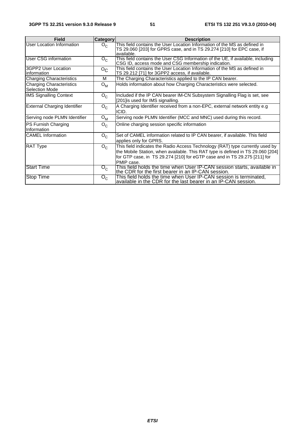| <b>Field</b>                                             | Category           | <b>Description</b>                                                                                                                                                                                                                                          |
|----------------------------------------------------------|--------------------|-------------------------------------------------------------------------------------------------------------------------------------------------------------------------------------------------------------------------------------------------------------|
| User Location Information                                | $O_{C}$            | This field contains the User Location Information of the MS as defined in<br>TS 29.060 [203] for GPRS case, and in TS 29.274 [210] for EPC case, if<br>available.                                                                                           |
| <b>User CSG information</b>                              | $O_{C}$            | This field contains the User CSG Information of the UE, if available, including<br>CSG ID, access mode and CSG membership indication.                                                                                                                       |
| 3GPP2 User Location<br>linformation                      | $O_{C}$            | This field contains the User Location Information of the MS as defined in<br>TS 29.212 [71] for 3GPP2 access, if available.                                                                                                                                 |
| <b>Charging Characteristics</b>                          | м                  | The Charging Characteristics applied to the IP CAN bearer.                                                                                                                                                                                                  |
| <b>Charging Characteristics</b><br><b>Selection Mode</b> | $O_{M}$            | Holds information about how Charging Characteristics were selected.                                                                                                                                                                                         |
| <b>IMS Signalling Context</b>                            | $O_{C}$            | Included if the IP CAN bearer IM-CN Subsystem Signalling Flag is set, see<br>[201] is used for IMS signalling.                                                                                                                                              |
| External Charging Identifier                             | $O_{C}$            | A Charging Identifier received from a non-EPC, external network entity e.g<br>ICID.                                                                                                                                                                         |
| Serving node PLMN Identifier                             | $O_{M}$            | Serving node PLMN Identifier (MCC and MNC) used during this record.                                                                                                                                                                                         |
| PS Furnish Charging<br>Information                       | $O_{C}$            | Online charging session specific information                                                                                                                                                                                                                |
| <b>CAMEL</b> Information                                 | $O_{C}$            | Set of CAMEL information related to IP CAN bearer, if available. This field<br>applies only for GPRS.                                                                                                                                                       |
| <b>RAT Type</b>                                          | $O_{C}$            | This field indicates the Radio Access Technology (RAT) type currently used by<br>the Mobile Station, when available. This RAT type is defined in TS 29.060 [204]<br>for GTP case, in TS 29.274 [210] for eGTP case and in TS 29.275 [211] for<br>PMIP case. |
| <b>Start Time</b>                                        | $\overline{O}_{C}$ | This field holds the time when User IP-CAN session starts, available in<br>the CDR for the first bearer in an IP-CAN session.                                                                                                                               |
| <b>Stop Time</b>                                         | $O_{\rm C}$        | This field holds the time when User IP-CAN session is terminated,<br>available in the CDR for the last bearer in an IP-CAN session.                                                                                                                         |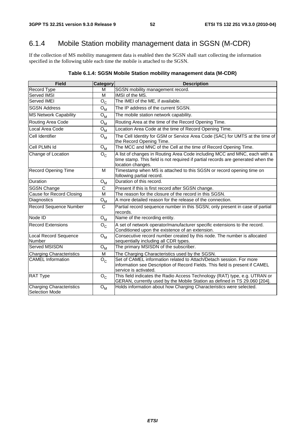# 6.1.4 Mobile Station mobility management data in SGSN (M-CDR)

If the collection of MS mobility management data is enabled then the SGSN shall start collecting the information specified in the following table each time the mobile is attached to the SGSN.

| <b>Field</b>                               | Category                  | <b>Description</b>                                                                                                                                                                 |  |
|--------------------------------------------|---------------------------|------------------------------------------------------------------------------------------------------------------------------------------------------------------------------------|--|
| Record Type                                | M                         | SGSN mobility management record.                                                                                                                                                   |  |
| <b>Served IMSI</b>                         | M                         | IMSI of the MS.                                                                                                                                                                    |  |
| Served IMEI                                | $O_{C}$                   | The IMEI of the ME, if available.                                                                                                                                                  |  |
| <b>SGSN Address</b>                        | $O_{M}$                   | The IP address of the current SGSN.                                                                                                                                                |  |
| <b>MS Network Capability</b>               | ${\mathsf O}_{\mathsf M}$ | The mobile station network capability.                                                                                                                                             |  |
| Routing Area Code                          | ${\mathsf O}_{\mathsf M}$ | Routing Area at the time of the Record Opening Time.                                                                                                                               |  |
| Local Area Code                            | ${\mathsf O}_{\mathsf M}$ | Location Area Code at the time of Record Opening Time.                                                                                                                             |  |
| Cell Identifier                            | $O_{M}$                   | The Cell Identity for GSM or Service Area Code (SAC) for UMTS at the time of<br>the Record Opening Time.                                                                           |  |
| Cell PLMN Id                               | $O_M$                     | The MCC and MNC of the Cell at the time of Record Opening Time.                                                                                                                    |  |
| Change of Location                         | $O_{C}$                   | A list of changes in Routing Area Code including MCC and MNC, each with a<br>time stamp. This field is not required if partial records are generated when the<br>location changes. |  |
| <b>Record Opening Time</b>                 | M                         | Timestamp when MS is attached to this SGSN or record opening time on<br>following partial record.                                                                                  |  |
| Duration                                   | ${\bf O}_{\bf M}$         | Duration of this record.                                                                                                                                                           |  |
| SGSN Change                                | C                         | Present if this is first record after SGSN change.                                                                                                                                 |  |
| <b>Cause for Record Closing</b>            | M                         | The reason for the closure of the record in this SGSN.                                                                                                                             |  |
| Diagnostics                                | ${\mathsf O}_{\mathsf M}$ | A more detailed reason for the release of the connection.                                                                                                                          |  |
| <b>Record Sequence Number</b>              | $\mathsf{C}$              | Partial record sequence number in this SGSN; only present in case of partial<br>records.                                                                                           |  |
| Node ID                                    | $O_{M_{\_}}$              | Name of the recording entity.                                                                                                                                                      |  |
| <b>Record Extensions</b>                   | $O_{C}$                   | A set of network operator/manufacturer specific extensions to the record.<br>Conditioned upon the existence of an extension.                                                       |  |
| Local Record Sequence<br>Number            | $O_{M}$                   | Consecutive record number created by this node. The number is allocated<br>sequentially including all CDR types.                                                                   |  |
| Served MSISDN                              | $O_{M}$                   | The primary MSISDN of the subscriber.                                                                                                                                              |  |
| <b>Charging Characteristics</b>            | M                         | The Charging Characteristics used by the SGSN.                                                                                                                                     |  |
| <b>CAMEL</b> Information                   | $O_{C}$                   | Set of CAMEL information related to Attach/Detach session. For more<br>information see Description of Record Fields. This field is present if CAMEL<br>service is activated.       |  |
| <b>RAT Type</b>                            | $O_{C}$                   | This field indicates the Radio Access Technology (RAT) type, e.g. UTRAN or<br>GERAN, currently used by the Mobile Station as defined in TS 29.060 [204].                           |  |
| Charging Characteristics<br>Selection Mode | $O_{M}$                   | Holds information about how Charging Characteristics were selected.                                                                                                                |  |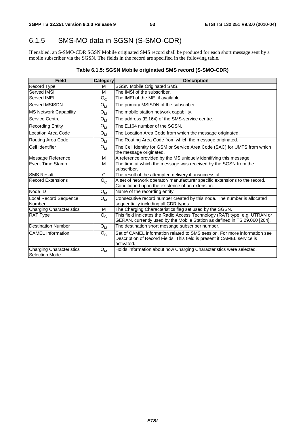# 6.1.5 SMS-MO data in SGSN (S-SMO-CDR)

If enabled, an S-SMO-CDR SGSN Mobile originated SMS record shall be produced for each short message sent by a mobile subscriber via the SGSN. The fields in the record are specified in the following table.

## **Table 6.1.5: SGSN Mobile originated SMS record (S-SMO-CDR)**

| <b>Field</b>                                      | Category                  | <b>Description</b>                                                                                                                                                 |  |
|---------------------------------------------------|---------------------------|--------------------------------------------------------------------------------------------------------------------------------------------------------------------|--|
| <b>Record Type</b>                                | м                         | <b>SGSN Mobile Originated SMS.</b>                                                                                                                                 |  |
| <b>Served IMSI</b>                                | м                         | The IMSI of the subscriber.                                                                                                                                        |  |
| Served IMEI                                       | $O_{C}$                   | The IMEI of the ME, if available.                                                                                                                                  |  |
| Served MSISDN                                     | $\mathsf{o}_{\mathsf{M}}$ | The primary MSISDN of the subscriber.                                                                                                                              |  |
| <b>MS Network Capability</b>                      | $O_{M}$                   | The mobile station network capability.                                                                                                                             |  |
| Service Centre                                    | $O_{M}$                   | The address (E.164) of the SMS-service centre.                                                                                                                     |  |
| <b>Recording Entity</b>                           | $O_{M}$                   | The E.164 number of the SGSN.                                                                                                                                      |  |
| Location Area Code                                | $O_{\mathsf{M}}$          | The Location Area Code from which the message originated.                                                                                                          |  |
| Routing Area Code                                 | $O_{M}$                   | The Routing Area Code from which the message originated.                                                                                                           |  |
| Cell Identifier                                   | $O_{M}$                   | The Cell Identity for GSM or Service Area Code (SAC) for UMTS from which<br>the message originated.                                                                |  |
| Message Reference                                 | M                         | A reference provided by the MS uniquely identifying this message.                                                                                                  |  |
| <b>Event Time Stamp</b>                           | M                         | The time at which the message was received by the SGSN from the<br>subscriber.                                                                                     |  |
| <b>SMS Result</b>                                 | C                         | The result of the attempted delivery if unsuccessful.                                                                                                              |  |
| <b>Record Extensions</b>                          | $O_{C}$                   | A set of network operator/manufacturer specific extensions to the record.<br>Conditioned upon the existence of an extension.                                       |  |
| Node ID                                           | $O_{\mathsf{M}}$          | Name of the recording entity.                                                                                                                                      |  |
| Local Record Sequence<br>Number                   | $O_{M}$                   | Consecutive record number created by this node. The number is allocated<br>sequentially including all CDR types.                                                   |  |
| <b>Charging Characteristics</b>                   | M                         | The Charging Characteristics flag set used by the SGSN.                                                                                                            |  |
| <b>RAT Type</b>                                   | $O_{C}$                   | This field indicates the Radio Access Technology (RAT) type, e.g. UTRAN or<br>GERAN, currently used by the Mobile Station as defined in TS 29.060 [204].           |  |
| <b>Destination Number</b>                         | $O_{M}$                   | The destination short message subscriber number.                                                                                                                   |  |
| <b>CAMEL</b> Information                          | $O_{C}$                   | Set of CAMEL information related to SMS session. For more information see<br>Description of Record Fields. This field is present if CAMEL service is<br>activated. |  |
| Charging Characteristics<br><b>Selection Mode</b> | $O_{M}$                   | Holds information about how Charging Characteristics were selected.                                                                                                |  |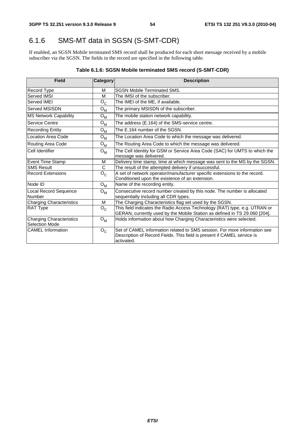# 6.1.6 SMS-MT data in SGSN (S-SMT-CDR)

If enabled, an SGSN Mobile terminated SMS record shall be produced for each short message received by a mobile subscriber via the SGSN. The fields in the record are specified in the following table.

## **Table 6.1.6: SGSN Mobile terminated SMS record (S-SMT-CDR)**

| <b>Field</b>                                      | Category     | <b>Description</b>                                                                                                                                                 |
|---------------------------------------------------|--------------|--------------------------------------------------------------------------------------------------------------------------------------------------------------------|
| Record Type                                       | M            | <b>SGSN Mobile Terminated SMS.</b>                                                                                                                                 |
| Served IMSI                                       | M            | The IMSI of the subscriber.                                                                                                                                        |
| Served IMEI                                       | $O_{C}$      | The IMEI of the ME, if available.                                                                                                                                  |
| Served MSISDN                                     | $O_{M}$      | The primary MSISDN of the subscriber.                                                                                                                              |
| <b>MS Network Capability</b>                      | $O_M$        | The mobile station network capability.                                                                                                                             |
| Service Centre                                    | $O_{M}$      | The address (E.164) of the SMS-service centre.                                                                                                                     |
| <b>Recording Entity</b>                           | $O_{M}$      | The E.164 number of the SGSN.                                                                                                                                      |
| <b>Location Area Code</b>                         | $O_{M}$      | The Location Area Code to which the message was delivered.                                                                                                         |
| Routing Area Code                                 | $O_{M}$      | The Routing Area Code to which the message was delivered.                                                                                                          |
| Cell Identifier                                   | $O_{M}$      | The Cell Identity for GSM or Service Area Code (SAC) for UMTS to which the<br>message was delivered.                                                               |
| Event Time Stamp                                  | M            | Delivery time stamp, time at which message was sent to the MS by the SGSN.                                                                                         |
| <b>SMS Result</b>                                 | $\mathsf{C}$ | The result of the attempted delivery if unsuccessful.                                                                                                              |
| <b>Record Extensions</b>                          | $O_{C}$      | A set of network operator/manufacturer specific extensions to the record.<br>Conditioned upon the existence of an extension.                                       |
| Node ID                                           | $O_{M}$      | Name of the recording entity.                                                                                                                                      |
| Local Record Sequence<br>Number                   | $O_{M}$      | Consecutive record number created by this node. The number is allocated<br>sequentially including all CDR types.                                                   |
| <b>Charging Characteristics</b>                   | M            | The Charging Characteristics flag set used by the SGSN.                                                                                                            |
| <b>RAT Type</b>                                   | $O_{C}$      | This field indicates the Radio Access Technology (RAT) type, e.g. UTRAN or<br>GERAN, currently used by the Mobile Station as defined in TS 29.060 [204].           |
| <b>Charging Characteristics</b><br>Selection Mode | $O_{M}$      | Holds information about how Charging Characteristics were selected.                                                                                                |
| <b>CAMEL</b> Information                          | $O_{C}$      | Set of CAMEL information related to SMS session. For more information see<br>Description of Record Fields. This field is present if CAMEL service is<br>activated. |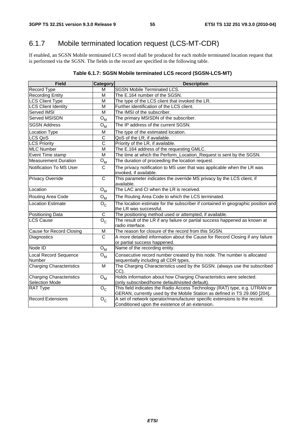# 6.1.7 Mobile terminated location request (LCS-MT-CDR)

If enabled, an SGSN Mobile terminated LCS record shall be produced for each mobile terminated location request that is performed via the SGSN. The fields in the record are specified in the following table.

| Table 6.1.7: SGSN Mobile terminated LCS record (SGSN-LCS-MT) |  |
|--------------------------------------------------------------|--|
|--------------------------------------------------------------|--|

| <b>Field</b>                                             | Category                  | <b>Description</b>                                                                                                                                       |
|----------------------------------------------------------|---------------------------|----------------------------------------------------------------------------------------------------------------------------------------------------------|
| Record Type                                              | м                         | <b>SGSN Mobile Terminated LCS.</b>                                                                                                                       |
| <b>Recording Entity</b>                                  | M                         | The E.164 number of the SGSN.                                                                                                                            |
| <b>LCS Client Type</b>                                   | M                         | The type of the LCS client that invoked the LR.                                                                                                          |
| <b>LCS Client Identity</b>                               | м                         | Further identification of the LCS client.                                                                                                                |
| Served IMSI                                              | M                         | The IMSI of the subscriber.                                                                                                                              |
| Served MSISDN                                            | ${\mathsf O}_{\mathsf M}$ | The primary MSISDN of the subscriber.                                                                                                                    |
| <b>SGSN Address</b>                                      | ${\bf O}_{\bf M}$         | The IP address of the current SGSN.                                                                                                                      |
| <b>Location Type</b>                                     | M                         | The type of the estimated location.                                                                                                                      |
| LCS QoS                                                  | C                         | QoS of the LR, if available.                                                                                                                             |
| <b>LCS Priority</b>                                      | $\overline{\text{c}}$     | Priority of the LR, if available.                                                                                                                        |
| <b>MLC Number</b>                                        | M                         | The E.164 address of the requesting GMLC.                                                                                                                |
| Event Time stamp                                         | M                         | The time at which the Perform_Location_Request is sent by the SGSN.                                                                                      |
| <b>Measurement Duration</b>                              | $O_{\mathsf{M}}$          | The duration of proceeding the location request.                                                                                                         |
| Notification To MS User                                  | $\mathsf{C}$              | The privacy notification to MS user that was applicable when the LR was<br>invoked, if available.                                                        |
| Privacy Override                                         | C                         | This parameter indicates the override MS privacy by the LCS client, if<br>available.                                                                     |
| Location                                                 | $O_{M}$                   | The LAC and CI when the LR is received.                                                                                                                  |
| Routing Area Code                                        | ${\sf O}_{\sf M}$         | The Routing Area Code to which the LCS terminated.                                                                                                       |
| <b>Location Estimate</b>                                 | $O_{C}$                   | The location estimate for the subscriber if contained in geographic position and<br>the LR was successful.                                               |
| <b>Positioning Data</b>                                  | C                         | The positioning method used or attempted, if available.                                                                                                  |
| <b>LCS Cause</b>                                         | $\overline{O}_C$          | The result of the LR if any failure or partial success happened as known at<br>radio interface.                                                          |
| Cause for Record Closing                                 | M                         | The reason for closure of the record from this SGSN.                                                                                                     |
| Diagnostics                                              | $\mathsf{C}$              | A more detailed information about the Cause for Record Closing if any failure<br>or partial success happened.                                            |
| Node ID                                                  | $O_{M}$                   | Name of the recording entity.                                                                                                                            |
| Local Record Sequence<br>Number                          | ${\bf O}_{\bf M}$         | Consecutive record number created by this node. The number is allocated<br>sequentially including all CDR types.                                         |
| <b>Charging Characteristics</b>                          | M                         | The Charging Characteristics used by the SGSN. (always use the subscribed<br>CC).                                                                        |
| <b>Charging Characteristics</b><br><b>Selection Mode</b> | ${\mathsf O}_{\mathsf M}$ | Holds information about how Charging Characteristics were selected.<br>(only subscribed/home default/visited default).                                   |
| <b>RAT Type</b>                                          | $O_{C}$                   | This field indicates the Radio Access Technology (RAT) type, e.g. UTRAN or<br>GERAN, currently used by the Mobile Station as defined in TS 29.060 [204]. |
| Record Extensions                                        | $\mathsf{o}_{\mathsf{c}}$ | A set of network operator/manufacturer specific extensions to the record.<br>Conditioned upon the existence of an extension.                             |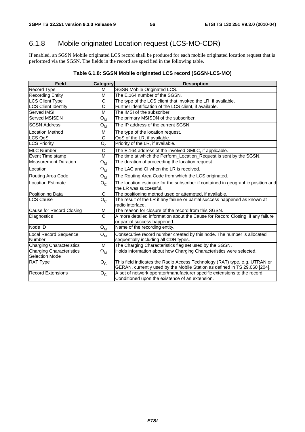# 6.1.8 Mobile originated Location request (LCS-MO-CDR)

If enabled, an SGSN Mobile originated LCS record shall be produced for each mobile originated location request that is performed via the SGSN. The fields in the record are specified in the following table.

## **Table 6.1.8: SGSN Mobile originated LCS record (SGSN-LCS-MO)**

| <b>Field</b>                                      | <b>Category</b>           | <b>Description</b>                                                                                                                                       |
|---------------------------------------------------|---------------------------|----------------------------------------------------------------------------------------------------------------------------------------------------------|
| Record Type                                       | м                         | SGSN Mobile Originated LCS.                                                                                                                              |
| Recording Entity                                  | M                         | The E.164 number of the SGSN.                                                                                                                            |
| <b>LCS Client Type</b>                            | C                         | The type of the LCS client that invoked the LR, if available.                                                                                            |
| <b>LCS Client Identity</b>                        | C                         | Further identification of the LCS client, if available.                                                                                                  |
| <b>Served IMSI</b>                                | M                         | The IMSI of the subscriber.                                                                                                                              |
| <b>Served MSISDN</b>                              | ${\bf O}_{{\bf M}}$       | The primary MSISDN of the subscriber.                                                                                                                    |
| <b>SGSN Address</b>                               | ${\mathsf O}_{\mathsf M}$ | The IP address of the current SGSN.                                                                                                                      |
| <b>Location Method</b>                            | M                         | The type of the location request.                                                                                                                        |
| LCS QoS                                           | C                         | QoS of the LR, if available.                                                                                                                             |
| <b>LCS Priority</b>                               | $O_c$                     | Priority of the LR, if available.                                                                                                                        |
| <b>MLC Number</b>                                 | $\overline{c}$            | The E.164 address of the involved GMLC, if applicable.                                                                                                   |
| Event Time stamp                                  | M                         | The time at which the Perform_Location_Request is sent by the SGSN.                                                                                      |
| <b>Measurement Duration</b>                       | $O_{M}$                   | The duration of proceeding the location request.                                                                                                         |
| Location                                          | $O_{M}$                   | The LAC and CI when the LR is received.                                                                                                                  |
| Routing Area Code                                 | ${\bf O}_{{\bf M}}$       | The Routing Area Code from which the LCS originated.                                                                                                     |
| <b>Location Estimate</b>                          | $O_{C}$                   | The location estimate for the subscriber if contained in geographic position and<br>the LR was successful.                                               |
| Positioning Data                                  | C                         | The positioning method used or attempted, if available.                                                                                                  |
| <b>LCS Cause</b>                                  | $\overline{O}_C$          | The result of the LR if any failure or partial success happened as known at<br>radio interface.                                                          |
| Cause for Record Closing                          | м                         | The reason for closure of the record from this SGSN.                                                                                                     |
| Diagnostics                                       | $\overline{c}$            | A more detailed information about the Cause for Record Closing if any failure<br>or partial success happened.                                            |
| Node ID                                           | ${\bf O}_{{\bf M}}$       | Name of the recording entity.                                                                                                                            |
| <b>Local Record Sequence</b><br><b>Number</b>     | ${\mathsf O}_{\mathsf M}$ | Consecutive record number created by this node. The number is allocated<br>sequentially including all CDR types.                                         |
| <b>Charging Characteristics</b>                   | M                         | The Charging Characteristics flag set used by the SGSN.                                                                                                  |
| <b>Charging Characteristics</b><br>Selection Mode | $O_{M}$                   | Holds information about how Charging Characteristics were selected.                                                                                      |
| <b>RAT Type</b>                                   | $O_{C}$                   | This field indicates the Radio Access Technology (RAT) type, e.g. UTRAN or<br>GERAN, currently used by the Mobile Station as defined in TS 29.060 [204]. |
| Record Extensions                                 | $O_{C}$                   | A set of network operator/manufacturer specific extensions to the record.<br>Conditioned upon the existence of an extension.                             |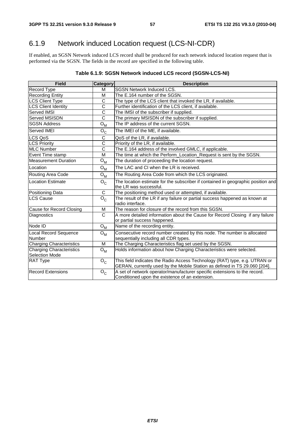# 6.1.9 Network induced Location request (LCS-NI-CDR)

If enabled, an SGSN Network induced LCS record shall be produced for each network induced location request that is performed via the SGSN. The fields in the record are specified in the following table.

#### **Table 6.1.9: SGSN Network induced LCS record (SGSN-LCS-NI)**

| <b>Field</b>                               | Category                                         | <b>Description</b>                                                                                                                                       |
|--------------------------------------------|--------------------------------------------------|----------------------------------------------------------------------------------------------------------------------------------------------------------|
| <b>Record Type</b>                         | м                                                | <b>SGSN Network Induced LCS.</b>                                                                                                                         |
| <b>Recording Entity</b>                    | м                                                | The E.164 number of the SGSN.                                                                                                                            |
| <b>LCS Client Type</b>                     | C                                                | The type of the LCS client that invoked the LR, if available.                                                                                            |
| <b>LCS Client Identity</b>                 | C                                                | Further identification of the LCS client, if available.                                                                                                  |
| Served IMSI                                | C                                                | The IMSI of the subscriber if supplied.                                                                                                                  |
| Served MSISDN                              | $\mathsf{C}$                                     | The primary MSISDN of the subscriber if supplied.                                                                                                        |
| <b>SGSN Address</b>                        | $\overline{\mathsf{o}}_{\underline{\mathsf{M}}}$ | The IP address of the current SGSN.                                                                                                                      |
| Served IMEI                                | $O_{C}$                                          | The IMEI of the ME, if available.                                                                                                                        |
| LCS QoS                                    | С                                                | QoS of the LR, if available.                                                                                                                             |
| <b>LCS Priority</b>                        | C                                                | Priority of the LR, if available.                                                                                                                        |
| <b>MLC Number</b>                          | C                                                | The E.164 address of the involved GMLC, if applicable.                                                                                                   |
| Event Time stamp                           | M                                                | The time at which the Perform_Location_Request is sent by the SGSN.                                                                                      |
| <b>Measurement Duration</b>                | $O_{M}$                                          | The duration of proceeding the location request.                                                                                                         |
| Location                                   | ${\sf O}_{\sf M}$                                | The LAC and CI when the LR is received.                                                                                                                  |
| Routing Area Code                          | $O_{M}$                                          | The Routing Area Code from which the LCS originated.                                                                                                     |
| <b>Location Estimate</b>                   | $O_{C}$                                          | The location estimate for the subscriber if contained in geographic position and<br>the LR was successful.                                               |
| Positioning Data                           | $\mathbf C$                                      | The positioning method used or attempted, if available.                                                                                                  |
| <b>LCS Cause</b>                           | $O_{C}$                                          | The result of the LR if any failure or partial success happened as known at<br>radio interface.                                                          |
| Cause for Record Closing                   | м                                                | The reason for closure of the record from this SGSN.                                                                                                     |
| Diagnostics                                | $\mathsf{C}$                                     | A more detailed information about the Cause for Record Closing if any failure<br>or partial success happened.                                            |
| Node ID                                    | ${\bf O}_{{\bf M}}$                              | Name of the recording entity.                                                                                                                            |
| <b>Local Record Sequence</b><br>Number     | $O_{M}$                                          | Consecutive record number created by this node. The number is allocated<br>sequentially including all CDR types.                                         |
| <b>Charging Characteristics</b>            | м                                                | The Charging Characteristics flag set used by the SGSN.                                                                                                  |
| Charging Characteristics<br>Selection Mode | $O_{M}$                                          | Holds information about how Charging Characteristics were selected.                                                                                      |
| <b>RAT Type</b>                            | $O_{C}$                                          | This field indicates the Radio Access Technology (RAT) type, e.g. UTRAN or<br>GERAN, currently used by the Mobile Station as defined in TS 29.060 [204]. |
| <b>Record Extensions</b>                   | $O_{\rm C}$                                      | A set of network operator/manufacturer specific extensions to the record.<br>Conditioned upon the existence of an extension.                             |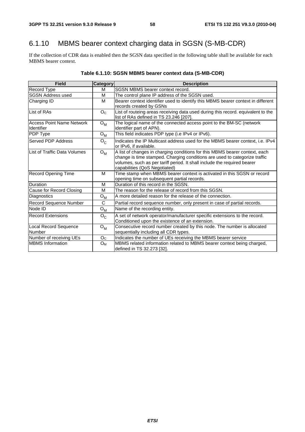# 6.1.10 MBMS bearer context charging data in SGSN (S-MB-CDR)

If the collection of CDR data is enabled then the SGSN data specified in the following table shall be available for each MBMS bearer context.

| <b>Field</b>                                   | <b>Category</b>  | <b>Description</b>                                                                                                                                                                                                                                                     |
|------------------------------------------------|------------------|------------------------------------------------------------------------------------------------------------------------------------------------------------------------------------------------------------------------------------------------------------------------|
| Record Type                                    | м                | <b>SGSN MBMS bearer context record.</b>                                                                                                                                                                                                                                |
| <b>SGSN Address used</b>                       | M                | The control plane IP address of the SGSN used.                                                                                                                                                                                                                         |
| Charging ID                                    | M                | Bearer context identifier used to identify this MBMS bearer context in different                                                                                                                                                                                       |
|                                                |                  | records created by GSNs                                                                                                                                                                                                                                                |
| List of RAs                                    | O <sub>C</sub>   | List of routeing areas receiving data used during this record. equivalent to the<br>list of RAs defined in TS 23.246 [207].                                                                                                                                            |
| Access Point Name Network<br><b>Identifier</b> | $O_{M}$          | The logical name of the connected access point to the BM-SC (network<br>identifier part of APN).                                                                                                                                                                       |
| <b>PDP Type</b>                                | $O_{\mathsf{M}}$ | This field indicates PDP type (i.e IPv4 or IPv6).                                                                                                                                                                                                                      |
| <b>Served PDP Address</b>                      | $O_{C}$          | Indicates the IP Multicast address used for the MBMS bearer context, i.e. IPv4<br>or IPv6, if available.                                                                                                                                                               |
| List of Traffic Data Volumes                   | $O_{\mathsf{M}}$ | A list of changes in charging conditions for this MBMS bearer context, each<br>change is time stamped. Charging conditions are used to categorize traffic<br>volumes, such as per tariff period. It shall include the required bearer<br>capabilities (QoS Negotiated) |
| <b>Record Opening Time</b>                     | м                | Time stamp when MBMS bearer context is activated in this SGSN or record<br>opening time on subsequent partial records.                                                                                                                                                 |
| Duration                                       | M                | Duration of this record in the SGSN.                                                                                                                                                                                                                                   |
| Cause for Record Closing                       | M                | The reason for the release of record from this SGSN.                                                                                                                                                                                                                   |
| Diagnostics                                    | $O_{M}$          | A more detailed reason for the release of the connection.                                                                                                                                                                                                              |
| Record Sequence Number                         | C                | Partial record sequence number, only present in case of partial records.                                                                                                                                                                                               |
| Node ID                                        | $O_{M}$          | Name of the recording entity.                                                                                                                                                                                                                                          |
| <b>Record Extensions</b>                       | $O_{C}$          | A set of network operator/manufacturer specific extensions to the record.<br>Conditioned upon the existence of an extension.                                                                                                                                           |
| Local Record Sequence<br>Number                | $O_{M}$          | Consecutive record number created by this node. The number is allocated<br>sequentially including all CDR types.                                                                                                                                                       |
| Number of receiving UEs                        | O <sub>C</sub>   | Indicates the number of UEs receiving the MBMS bearer service                                                                                                                                                                                                          |
| <b>IMBMS</b> Information                       | $O_M$            | MBMS related information related to MBMS bearer context being charged.<br>defined in TS 32.273 [32].                                                                                                                                                                   |

# **Table 6.1.10: SGSN MBMS bearer context data (S-MB-CDR)**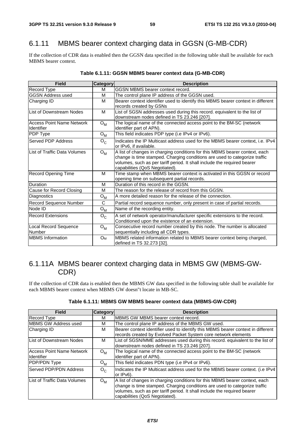# 6.1.11 MBMS bearer context charging data in GGSN (G-MB-CDR)

If the collection of CDR data is enabled then the GGSN data specified in the following table shall be available for each MBMS bearer context.

| <b>Field</b>                                   | <b>Category</b>  | <b>Description</b>                                                                                                                                                                                                                                                      |
|------------------------------------------------|------------------|-------------------------------------------------------------------------------------------------------------------------------------------------------------------------------------------------------------------------------------------------------------------------|
| Record Type                                    | м                | <b>GGSN MBMS bearer context record.</b>                                                                                                                                                                                                                                 |
| <b>GGSN Address used</b>                       | M                | The control plane IP address of the GGSN used.                                                                                                                                                                                                                          |
| Charging ID                                    | м                | Bearer context identifier used to identify this MBMS bearer context in different                                                                                                                                                                                        |
|                                                |                  | records created by GSNs                                                                                                                                                                                                                                                 |
| List of Downstream Nodes                       | м                | List of SGSN addresses used during this record. equivalent to the list of<br>downstream nodes defined in TS 23.246 [207].                                                                                                                                               |
| <b>Access Point Name Network</b><br>Identifier | $O_{M}$          | The logical name of the connected access point to the BM-SC (network<br>identifier part of APN).                                                                                                                                                                        |
| PDP Type                                       | $O_{\mathsf{M}}$ | This field indicates PDP type (i.e IPv4 or IPv6).                                                                                                                                                                                                                       |
| Served PDP Address                             | $O_{C}$          | Indicates the IP Multicast address used for the MBMS bearer context, i.e. IPv4<br>or IPv6, if available.                                                                                                                                                                |
| List of Traffic Data Volumes                   | $O_{\mathsf{M}}$ | A list of changes in charging conditions for this MBMS bearer context, each<br>change is time stamped. Charging conditions are used to categorize traffic<br>volumes, such as per tariff period. It shall include the required bearer<br>capabilities (QoS Negotiated). |
| <b>Record Opening Time</b>                     | м                | Time stamp when MBMS bearer context is activated in this GGSN or record<br>opening time on subsequent partial records.                                                                                                                                                  |
| Duration                                       | M                | Duration of this record in the GGSN.                                                                                                                                                                                                                                    |
| Cause for Record Closing                       | м                | The reason for the release of record from this GGSN.                                                                                                                                                                                                                    |
| Diagnostics                                    | $O_{M}$          | A more detailed reason for the release of the connection.                                                                                                                                                                                                               |
| Record Sequence Number                         | C                | Partial record sequence number, only present in case of partial records.                                                                                                                                                                                                |
| Node ID                                        | $O_{M}$          | Name of the recording entity.                                                                                                                                                                                                                                           |
| <b>Record Extensions</b>                       | $O_{C}$          | A set of network operator/manufacturer specific extensions to the record.<br>Conditioned upon the existence of an extension.                                                                                                                                            |
| Local Record Sequence<br>Number                | $O_{\mathsf{M}}$ | Consecutive record number created by this node. The number is allocated<br>sequentially including all CDR types.                                                                                                                                                        |
| <b>MBMS</b> Information                        | $O_M$            | MBMS related information related to MBMS bearer context being charged,<br>defined in TS 32.273 [32].                                                                                                                                                                    |

## **Table 6.1.11: GGSN MBMS bearer context data (G-MB-CDR)**

# 6.1.11A MBMS bearer context charging data in MBMS GW (MBMS-GW-CDR)

If the collection of CDR data is enabled then the MBMS GW data specified in the following table shall be available for each MBMS bearer context when MBMS GW doesn"t locate in MB-SC.

| <b>Field</b>                                          | <b>Category</b>  | <b>Description</b>                                                                                                                                                                                                                                                      |
|-------------------------------------------------------|------------------|-------------------------------------------------------------------------------------------------------------------------------------------------------------------------------------------------------------------------------------------------------------------------|
| <b>Record Type</b>                                    | м                | IMBMS GW MBMS bearer context record.                                                                                                                                                                                                                                    |
| <b>MBMS GW Address used</b>                           | м                | The control plane IP address of the MBMS GW used.                                                                                                                                                                                                                       |
| Charging ID                                           | м                | Bearer context identifier used to identify this MBMS bearer context in different                                                                                                                                                                                        |
|                                                       |                  | records created by Evolved Packet System core network elements                                                                                                                                                                                                          |
| List of Downstream Nodes                              | м                | List of SGSN/MME addresses used during this record. equivalent to the list of<br>downstream nodes defined in TS 23.246 [207].                                                                                                                                           |
| <b>Access Point Name Network</b><br><b>Identifier</b> | $O_{\mathsf{M}}$ | The logical name of the connected access point to the BM-SC (network<br>lidentifier part of APN).                                                                                                                                                                       |
| PDP/PDN Type                                          | $O_{\mathsf{M}}$ | This field indicates PDN type (i.e IPv4 or IPv6).                                                                                                                                                                                                                       |
| Served PDP/PDN Address                                | $O_{C}$          | Indicates the IP Multicast address used for the MBMS bearer context. (i.e IPv4<br>or IPv6).                                                                                                                                                                             |
| List of Traffic Data Volumes                          | $O_{M}$          | A list of changes in charging conditions for this MBMS bearer context, each<br>change is time stamped. Charging conditions are used to categorize traffic<br>volumes, such as per tariff period. It shall include the required bearer<br>capabilities (QoS Negotiated). |

|  | Table 6.1.11: MBMS GW MBMS bearer context data (MBMS-GW-CDR) |  |  |  |
|--|--------------------------------------------------------------|--|--|--|
|--|--------------------------------------------------------------|--|--|--|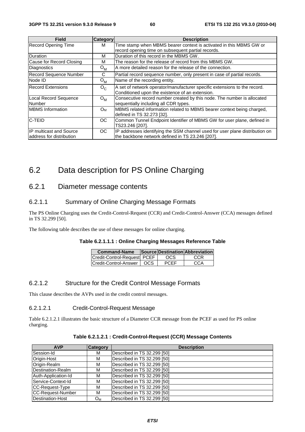| <b>Field</b>                  | <b>Category</b>  | <b>Description</b>                                                           |
|-------------------------------|------------------|------------------------------------------------------------------------------|
| <b>Record Opening Time</b>    | м                | Time stamp when MBMS bearer context is activated in this MBMS GW or          |
|                               |                  | record opening time on subsequent partial records.                           |
| Duration                      | М                | Duration of this record in the MBMS GW.                                      |
| Cause for Record Closing      | M                | The reason for the release of record from this MBMS GW.                      |
| Diagnostics                   | $O_{\mathsf{M}}$ | A more detailed reason for the release of the connection.                    |
| <b>Record Sequence Number</b> | С                | Partial record sequence number, only present in case of partial records.     |
| Node ID                       | $O_{\mathsf{M}}$ | Name of the recording entity.                                                |
| <b>Record Extensions</b>      | $O_{C}$          | A set of network operator/manufacturer specific extensions to the record.    |
|                               |                  | Conditioned upon the existence of an extension.                              |
| Local Record Sequence         | $O_{M}$          | Consecutive record number created by this node. The number is allocated      |
| <b>Number</b>                 |                  | sequentially including all CDR types.                                        |
| <b>MBMS</b> Information       | O <sub>M</sub>   | MBMS related information related to MBMS bearer context being charged,       |
|                               |                  | defined in TS 32.273 [32].                                                   |
| <b>IC-TEID</b>                | OС               | Common Tunnel Endpoint Identifier of MBMS GW for user plane, defined in      |
|                               |                  | TS23.246 [207].                                                              |
| IP multicast and Source       | OC               | IP addresses identifying the SSM channel used for user plane distribution on |
| laddress for distribution     |                  | the backbone network defined in TS 23.246 [207].                             |

# 6.2 Data description for PS Online Charging

# 6.2.1 Diameter message contents

## 6.2.1.1 Summary of Online Charging Message Formats

The PS Online Charging uses the Credit-Control-Request (CCR) and Credit-Control-Answer (CCA) messages defined in TS 32.299 [50].

The following table describes the use of these messages for online charging.

#### **Table 6.2.1.1.1 : Online Charging Messages Reference Table**

| <b>Command-Name</b>          |     |             | Source Destination Abbreviation |
|------------------------------|-----|-------------|---------------------------------|
| Credit-Control-Reauestl PCEF |     | OCS         | CCR                             |
| Credit-Control-Answer        | OCS | <b>PCFF</b> | CCA                             |

### 6.2.1.2 Structure for the Credit Control Message Formats

This clause describes the AVPs used in the credit control messages.

#### 6.2.1.2.1 Credit-Control-Request Message

Table 6.2.1.2.1 illustrates the basic structure of a Diameter CCR message from the PCEF as used for PS online charging.

| <b>AVP</b>          | Category | <b>Description</b>          |
|---------------------|----------|-----------------------------|
| Session-Id          | M        | Described in TS 32.299 [50] |
| Origin-Host         | M        | Described in TS 32.299 [50] |
| Origin-Realm        | M        | Described in TS 32.299 [50] |
| Destination-Realm   | M        | Described in TS 32.299 [50] |
| Auth-Application-Id | M        | Described in TS 32.299 [50] |
| Service-Context-Id  | M        | Described in TS 32.299 [50] |
| CC-Request-Type     | M        | Described in TS 32.299 [50] |
| CC-Request-Number   | M        | Described in TS 32.299 [50] |
| Destination-Host    | $O_{M}$  | Described in TS 32.299 [50] |

#### **Table 6.2.1.2.1 : Credit-Control-Request (CCR) Message Contents**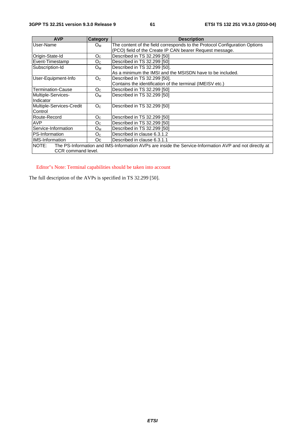| <b>AVP</b>               | Category       | <b>Description</b>                                                                                     |
|--------------------------|----------------|--------------------------------------------------------------------------------------------------------|
| User-Name                | $O_{M}$        | The content of the field corresponds to the Protocol Configuration Options                             |
|                          |                | (PCO) field of the Create IP CAN bearer Request message.                                               |
| Origin-State-Id          | O <sub>C</sub> | Described in TS 32.299 [50]                                                                            |
| Event-Timestamp          | O <sub>C</sub> | Described in TS 32.299 [50]                                                                            |
| Subscription-Id          | O <sub>M</sub> | Described in TS 32.299 [50].                                                                           |
|                          |                | As a minimum the IMSI and the MSISDN have to be included.                                              |
| User-Equipment-Info      | O <sub>C</sub> | Described in TS 32.299 [50].                                                                           |
|                          |                | Contains the identification of the terminal (IMEISV etc.)                                              |
| <b>Termination-Cause</b> | O <sub>C</sub> | Described in TS 32.299 [50]                                                                            |
| Multiple-Services-       | $O_{M}$        | Described in TS 32.299 [50]                                                                            |
| Indicator                |                |                                                                                                        |
| Multiple-Services-Credit | O <sub>C</sub> | Described in TS 32.299 [50]                                                                            |
| Control                  |                |                                                                                                        |
| Route-Record             | O <sub>C</sub> | Described in TS 32.299 [50]                                                                            |
| AVP                      | $O_{C}$        | Described in TS 32.299 [50]                                                                            |
| Service-Information      | $O_{M}$        | Described in TS 32.299 [50]                                                                            |
| PS-Information           | O <sub>C</sub> | Described in clause 6.3.1.2                                                                            |
| IIMS-Information         | Oc             | Described in clause 6.3.1.1                                                                            |
| <b>NOTE:</b>             |                | The PS-Information and IMS-Information AVPs are inside the Service-Information AVP and not directly at |
| CCR command level.       |                |                                                                                                        |

Editor"s Note: Terminal capabilities should be taken into account

The full description of the AVPs is specified in TS 32.299 [50].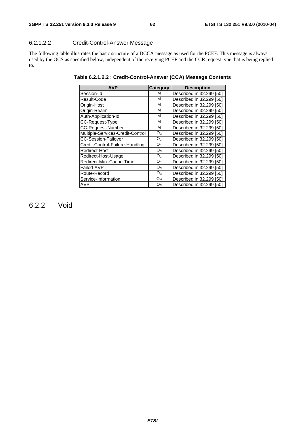## 6.2.1.2.2 Credit-Control-Answer Message

The following table illustrates the basic structure of a DCCA message as used for the PCEF. This message is always used by the OCS as specified below, independent of the receiving PCEF and the CCR request type that is being replied to.

| <b>AVP</b>                       | Category       | <b>Description</b>       |
|----------------------------------|----------------|--------------------------|
| Session-Id                       | м              | Described in 32.299 [50] |
| Result-Code                      | М              | Described in 32.299 [50] |
| Origin-Host                      | М              | Described in 32.299 [50] |
| Origin-Realm                     | М              | Described in 32.299 [50] |
| Auth-Application-Id              | М              | Described in 32.299 [50] |
| CC-Request-Type                  | M              | Described in 32,299 [50] |
| <b>CC-Request-Number</b>         | М              | Described in 32,299 [50] |
| Multiple-Services-Credit-Control | O <sub>C</sub> | Described in 32.299 [50] |
| <b>CC-Session-Failover</b>       | O <sub>C</sub> | Described in 32,299 [50] |
| Credit-Control-Failure-Handling  | $O_{C}$        | Described in 32.299 [50] |
| Redirect-Host                    | $O_{C}$        | Described in 32.299 [50] |
| Redirect-Host-Usage              | O <sub>C</sub> | Described in 32.299 [50] |
| Redirect-Max-Cache-Time          | $O_{C}$        | Described in 32.299 [50] |
| Failed-AVP                       | O <sub>c</sub> | Described in 32.299 [50] |
| Route-Record                     | O <sub>c</sub> | Described in 32.299 [50] |
| Service-Information              | $O_{M}$        | Described in 32.299 [50] |
| AVP                              | O <sub>c</sub> | Described in 32.299 [50] |

**Table 6.2.1.2.2 : Credit-Control-Answer (CCA) Message Contents** 

6.2.2 Void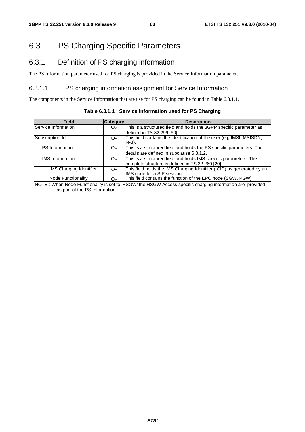# 6.3 PS Charging Specific Parameters

# 6.3.1 Definition of PS charging information

The PS Information parameter used for PS charging is provided in the Service Information parameter.

### 6.3.1.1 PS charging information assignment for Service Information

The components in the Service Information that are use for PS charging can be found in Table 6.3.1.1.

| <b>Field</b>                   | Category       | <b>Description</b>                                                                                        |
|--------------------------------|----------------|-----------------------------------------------------------------------------------------------------------|
| Service Information            | $O_{M}$        | This is a structured field and holds the 3GPP specific parameter as                                       |
|                                |                | defined in TS 32.299 [50].                                                                                |
| Subscription-Id                | O <sub>C</sub> | This field contains the identification of the user (e.g IMSI, MSISDN,<br>NAI).                            |
| <b>PS</b> Information          | $O_{M}$        | This is a structured field and holds the PS specific parameters. The                                      |
|                                |                | details are defined in subclause 6.3.1.2.                                                                 |
| <b>IMS</b> Information         | $O_{M}$        | This is a structured field and holds IMS specific parameters. The                                         |
|                                |                | complete structure is defined in TS 32.260 [20].                                                          |
| <b>IMS Charging Identifier</b> | O <sub>c</sub> | This field holds the IMS Charging Identifier (ICID) as generated by an<br>IMS node for a SIP session.     |
| Node Functionality             | $O_{M}$        | This field contains the function of the EPC node (SGW, PGW)                                               |
|                                |                | NOTE: When Node Functionality is set to 'HSGW' the HSGW Access specific charging information are provided |
| as part of the PS Information  |                |                                                                                                           |

**Table 6.3.1.1 : Service Information used for PS Charging**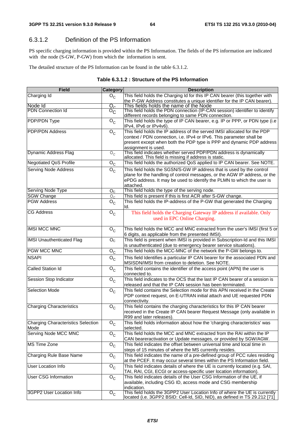## 6.3.1.2 Definition of the PS Information

PS specific charging information is provided within the PS Information. The fields of the PS information are indicated with the node (S-GW, P-GW) from which the information is sent.

The detailed structure of the PS Information can be found in the table 6.3.1.2.

|  |  | Table 6.3.1.2 : Structure of the PS Information |
|--|--|-------------------------------------------------|
|--|--|-------------------------------------------------|

| <b>Field</b>                       | <b>Category</b>                    | <b>Description</b>                                                           |
|------------------------------------|------------------------------------|------------------------------------------------------------------------------|
| Charging Id                        | $O_{C}$                            | This field holds the Charging Id for this IP CAN bearer (this together with  |
|                                    |                                    | the P-GW Address constitutes a unique identifier for the IP CAN bearer).     |
| Node Id                            | $\overline{\mathrm{O}_\mathrm{C}}$ | This fields holds the name of the Node                                       |
| <b>PDN Connection Id</b>           | $\overline{O}_{\mathbb{C}}$        | This field holds the PDN connection (IP-CAN session) identifier to identify  |
|                                    |                                    | different records belonging to same PDN connection.                          |
| <b>PDP/PDN Type</b>                | $O_{C}$                            | This field holds the type of IP CAN bearer, e.g. IP or PPP, or PDN type (i.e |
|                                    |                                    | IPv4, IPv6 or IPv4v6).                                                       |
| <b>PDP/PDN Address</b>             | $O_{\rm C}$                        | This field holds the IP address of the served IMSI allocated for the PDP     |
|                                    |                                    | context / PDN connection, i.e. IPv4 or IPv6. This parameter shall be         |
|                                    |                                    | present except when both the PDP type is PPP and dynamic PDP address         |
|                                    |                                    | assignment is used.                                                          |
| <b>Dynamic Address Flag</b>        | $O_C$                              | This field indicates whether served PDP/PDN address is dynamically           |
|                                    |                                    | allocated. This field is missing if address is static.                       |
| <b>Negotiated QoS Profile</b>      | $\mathsf{o}_{\mathsf{c}}$          | This field holds the authorized QoS applied to IP CAN bearer. See NOTE.      |
|                                    |                                    |                                                                              |
| <b>Serving Node Address</b>        | $O_{C}$                            | This field holds the SGSN/S-GW IP address that is used by the control        |
|                                    |                                    | plane for the handling of control messages, or the AGW IP address, or the    |
|                                    |                                    | ePDG address. It may be used to identify the PLMN to which the user is       |
|                                    |                                    | attached.                                                                    |
| Serving Node Type                  | O <sub>C</sub>                     | This field holds the type of the serving node.                               |
| <b>SGW Change</b>                  | $O_{C}$                            | This field is present if this is first ACR after S-GW change.                |
| <b>PGW Address</b>                 | $\overline{O}_C$                   | This field holds the IP-address of the P-GW that generated the Charging      |
|                                    |                                    | ld.                                                                          |
| <b>CG Address</b>                  | $O_{C}$                            | This field holds the Charging Gateway IP address if available. Only          |
|                                    |                                    | used in EPC Online Charging.                                                 |
|                                    |                                    |                                                                              |
| <b>IMSI MCC MNC</b>                | $O_{\rm C}$                        | This field holds the MCC and MNC extracted from the user's IMSI (first 5 or  |
|                                    |                                    | 6 digits, as applicable from the presented IMSI).                            |
| <b>IMSI Unauthenticated Flag</b>   | O <sub>C</sub>                     | This field is present when IMSI is provided in Subscription-Id and this IMSI |
|                                    |                                    | is unauthenticated (due to emergency bearer service situations).             |
| <b>PGW MCC MNC</b>                 | $O_{C}$                            | This field holds the MCC-MNC of the network the P-GW belongs to.             |
|                                    |                                    |                                                                              |
| <b>NSAPI</b>                       | $O_{C}$                            | This field Identifies a particular IP CAN bearer for the associated PDN and  |
|                                    |                                    | MSISDN/IMSI from creation to deletion. See NOTE.                             |
| <b>Called Station Id</b>           | $\overline{O}_C$                   | This field contains the identifier of the access point (APN) the user is     |
|                                    |                                    | connected to.                                                                |
| Session Stop Indicator             | $O_{\rm C}$                        | This field indicates to the OCS that the last IP CAN bearer of a session is  |
|                                    |                                    | released and that the IP CAN session has been terminated.                    |
| <b>Selection Mode</b>              | $\overline{O}_C$                   | This field contains the Selection mode for this APN received in the Create   |
|                                    |                                    | PDP context request, on E-UTRAN initial attach and UE requested PDN          |
|                                    |                                    | connectivity.                                                                |
| <b>Charging Characteristics</b>    | $O_{\rm C}$                        | This field contains the charging characteristics for this IP CAN bearer      |
|                                    |                                    | received in the Create IP CAN bearer Request Message (only available in      |
|                                    |                                    | R99 and later releases).                                                     |
| Charging Characteristics Selection | $O_{\rm C}$                        | This field holds information about how the 'charging characteristics' was    |
| Mode                               |                                    | selected.                                                                    |
| Serving Node MCC MNC               | $\overline{O}_C$                   | This field holds the MCC and MNC extracted from the RAI within the IP        |
|                                    |                                    | CAN beareractivation or Update messages, or provided by SGW/AGW.             |
| <b>MS Time Zone</b>                | $O_{C}$                            | This field indicates the offset between universal time and local time in     |
|                                    |                                    | steps of 15 minutes of where the MS currently resides.                       |
|                                    |                                    | This field indicates the name of a pre-defined group of PCC rules residing   |
| Charging Rule Base Name            | $O_{C}$                            |                                                                              |
|                                    |                                    | at the PCEF. It may occur several times within the PS Information field.     |
| User Location Info                 | $O_{C}$                            | This field indicates details of where the UE is currently located (e.g. SAI, |
|                                    |                                    | TAI, RAI, CGI, ECGI or access-specific user location information).           |
| <b>User CSG Information</b>        | $O_{C}$                            | This field indicates details of the User CSG Information of the UE, if       |
|                                    |                                    | available, including CSG ID, access mode and CSG membership                  |
|                                    |                                    | indication.                                                                  |
| 3GPP2 User Location Info           | $\overline{O}_C$                   | This field holds the 3GPP2 User Location Info of where the UE is currently   |
|                                    |                                    | located (i.e. 3GPP2 BSID: Cell-Id, SID, NID), as defined in TS 29.212 [71]   |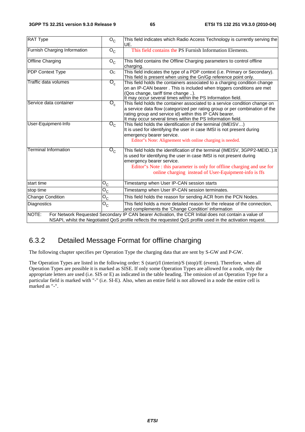| <b>RAT Type</b>              | $O_{C}$                              | This field indicates which Radio Access Technology is currently serving the<br>UE.                                                                                                                                                                                                                                 |
|------------------------------|--------------------------------------|--------------------------------------------------------------------------------------------------------------------------------------------------------------------------------------------------------------------------------------------------------------------------------------------------------------------|
| Furnish Charging Information | $O_{C}$                              | This field contains the PS Furnish Information Elements.                                                                                                                                                                                                                                                           |
| <b>Offline Charging</b>      | $O_{C}$                              | This field contains the Offline Charging parameters to control offline<br>charging.                                                                                                                                                                                                                                |
| <b>PDP Context Type</b>      | O <sub>C</sub>                       | This field indicates the type of a PDP context (i.e. Primary or Secondary).<br>This field is present when using the Gn/Gp reference point only.                                                                                                                                                                    |
| Traffic data volumes         | $\overline{\mathrm{O}_{\mathrm{c}}}$ | This field holds the containers associated to a charging condition change<br>on an IP-CAN bearer. This is included when triggers conditions are met<br>(Qos change, tariff time change ).<br>It may occur several times within the PS Information field.                                                           |
| Service data container       | $\overline{\mathrm{O}_{\mathrm{c}}}$ | This field holds the container associated to a service condition change on<br>a service data flow (categorized per rating group or per combination of the<br>rating group and service id) within this IP CAN bearer.<br>It may occur several times within the PS Information field.                                |
| User-Equipment-Info          | $\overline{\mathrm{o_{c}}}$          | This field holds the identification of the terminal (IMEISV)<br>It is used for identifying the user in case IMSI is not present during<br>emergency bearer service.<br>Editor"s Note: Alignement with online charging is needed.                                                                                   |
| Terminal Information         | $O_{\rm C}$                          | This field holds the identification of the terminal (IMEISV, 3GPP2-MEID).It<br>is used for identifying the user in case IMSI is not present during<br>emergency bearer service.<br>Editor"s Note: this parameter is only for offline charging and use for<br>online charging instead of User-Equipment-info is ffs |
| start time                   | $O_{C}$                              | Timestamp when User IP-CAN session starts                                                                                                                                                                                                                                                                          |
| stop time                    | $O_{\rm C}$                          | Timestamp when User IP-CAN session terminates.                                                                                                                                                                                                                                                                     |
| Change Condition             | $O_C$                                | This field holds the reason for sending ACR from the PCN Nodes.                                                                                                                                                                                                                                                    |
| Diagnostics                  | $O_C$                                | This field holds a more detailed reason for the release of the connection,<br>and complements the 'Change Condition' information                                                                                                                                                                                   |
| NOTE:                        |                                      | For Network Requested Secondary IP CAN bearer Activation, the CCR Initial does not contain a value of<br>NSAPI, whilst the Negotiated QoS profile reflects the requested QoS profile used in the activation request.                                                                                               |

# 6.3.2 Detailed Message Format for offline charging

The following chapter specifies per Operation Type the charging data that are sent by S-GW and P-GW.

The Operation Types are listed in the following order: S (start)/I (interim)/S (stop)/E (event). Therefore, when all Operation Types are possible it is marked as SISE. If only some Operation Types are allowed for a node, only the appropriate letters are used (i.e. SIS or E) as indicated in the table heading. The omission of an Operation Type for a particular field is marked with "-" (i.e. SI-E). Also, when an entire field is not allowed in a node the entire cell is marked as "-".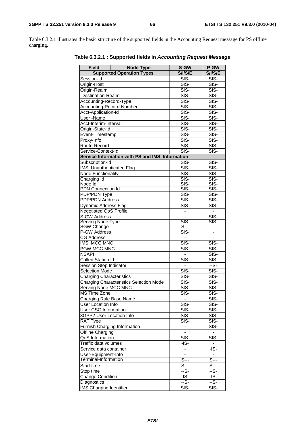Table 6.3.2.1 illustrates the basic structure of the supported fields in the Accounting Request message for PS offline charging.

| <b>Field</b>                     | <b>Node Type</b>                                | S-GW                        | P-GW                     |
|----------------------------------|-------------------------------------------------|-----------------------------|--------------------------|
|                                  | <b>Supported Operation Types</b>                | <b>S/I/S/E</b>              | <b>S/I/S/E</b>           |
|                                  |                                                 | $SIS-$                      |                          |
| Session-Id                       |                                                 |                             | SIS-                     |
| Origin-Host                      |                                                 | $\overline{\text{SIS}}$     | SIS-                     |
| Origin-Realm                     |                                                 | SIS-                        | SIS-                     |
| Destination-Realm                |                                                 | SIS-                        | SIS-                     |
| Accounting-Record-Type           |                                                 | SIS-                        | SIS-                     |
| Accounting-Record-Number         |                                                 | SIS-                        | SIS-                     |
| Acct-Application-Id              |                                                 | $SIS-$                      | $SIS-$                   |
| User-Name                        |                                                 | SIS-                        | SIS-                     |
| Acct-Interim-Interval            |                                                 | $SIS-$                      | $SIS-$                   |
| Origin-State-Id                  |                                                 | SIS-                        | SIS-                     |
| Event-Timestamp                  |                                                 | $SI\overline{S}$ -          | SIS-                     |
| Proxy-Info                       |                                                 | SIS-                        | SIS-                     |
| Route-Record                     |                                                 | SIS-                        | SIS-                     |
| Service-Context-Id               |                                                 | $\overline{\text{S}}$ IS-   | SIS-                     |
|                                  | Service Information with PS and IMS Information |                             |                          |
| Subscription-Id                  |                                                 | SIS-                        | SIS-                     |
| <b>IMSI Unauthenticated Flag</b> |                                                 | SIS-                        | SIS-                     |
| <b>Node Functionality</b>        |                                                 | SIS-                        | SIS-                     |
| Charging Id                      |                                                 | $SIS-$                      | $\overline{\text{SIS}}$  |
| Node Id                          |                                                 | $SIS-$                      | $SIS-$                   |
| <b>PDN Connection Id</b>         |                                                 | SIS-                        | $SIS-$                   |
| PDP/PDN Type                     |                                                 | SIS-                        | SIS-                     |
| <b>PDP/PDN Address</b>           |                                                 | SIS-                        | $\overline{\text{SIS}}$  |
| <b>Dynamic Address Flag</b>      |                                                 | SIS-                        | SIS-                     |
| <b>Negotiated QoS Profile</b>    |                                                 |                             | $\overline{\phantom{a}}$ |
| <b>S-GW Address</b>              |                                                 | $\overline{\phantom{a}}$    |                          |
| <b>Serving Node Type</b>         |                                                 | SIS-                        | SIS-<br>SIS-             |
| SGW Change                       |                                                 | $S^{--}$                    |                          |
| P-GW Address                     |                                                 | SIS-                        |                          |
| <b>CG Address</b>                |                                                 |                             | $\overline{\phantom{m}}$ |
| <b>IMSI MCC MNC</b>              |                                                 | $\overline{\text{SIS}}$     | SIS-                     |
|                                  |                                                 |                             |                          |
| PGW MCC MNC                      |                                                 | SIS-                        | SIS-                     |
| <b>NSAPI</b>                     |                                                 | $\blacksquare$              | SIS-                     |
| <b>Called Station Id</b>         |                                                 | SIS-                        | SIS-                     |
| Session Stop Indicator           |                                                 |                             | $-\overline{S}$          |
| <b>Selection Mode</b>            |                                                 | SIS-                        | SIS-                     |
| <b>Charging Characteristics</b>  |                                                 | SIS-                        | SIS-                     |
|                                  | <b>Charging Characteristics Selection Mode</b>  | SIS-                        | SIS-                     |
| Serving Node MCC MNC             |                                                 | $\overline{\text{SIS}}$     | $\overline{\text{SIS}}$  |
| MS Time Zone                     |                                                 | $SIS-$                      | $SIS-$                   |
| Charging Rule Base Name          |                                                 | $\overline{\phantom{a}}$    | SIS-                     |
| <b>User Location Info</b>        |                                                 | SIS-                        | SIS-                     |
| <b>User CSG Information</b>      |                                                 | SIS-                        | SIS-                     |
| 3GPP2 User Location Info         |                                                 | SIS-                        | SIS-                     |
| RAT Type                         |                                                 | SIS-                        | SIS-                     |
|                                  | Furnish Charging Information                    | $\blacksquare$              | SIS-                     |
| Offline Charging                 |                                                 | $\overline{\phantom{0}}$    | $\blacksquare$           |
| QoS Information                  |                                                 | $\overline{\text{SIS}}$     | $\overline{\text{SIS}}$  |
| Traffic data volumes             |                                                 | -IS-                        | ۰                        |
| Service data container           |                                                 |                             | -IS-                     |
|                                  |                                                 | -<br>÷,                     |                          |
| User-Equipment-Info              |                                                 |                             | $\blacksquare$           |
| Terminal-Information             |                                                 | $\overline{\mathbb{S}}$ --- | $S--$                    |
| Start time                       |                                                 | S---                        | S---                     |
| Stop time                        |                                                 | --S-                        | --S-                     |
| <b>Change Condition</b>          |                                                 | $-IS-$                      | $-IS-$                   |
| <b>Diagnostics</b>               |                                                 | $-S-$                       | $-\overline{S}$          |
| <b>IMS Charging Identifier</b>   |                                                 | SIS-                        | SIS-                     |

**Table 6.3.2.1 : Supported fields in** *Accounting Request Message*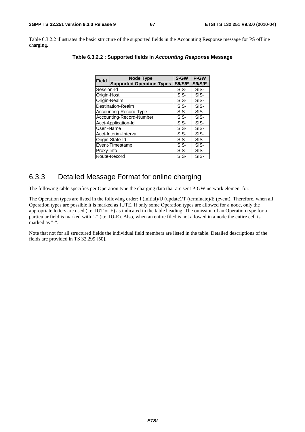Table 6.3.2.2 illustrates the basic structure of the supported fields in the Accounting Response message for PS offline charging.

| <b>Field</b>             | <b>Node Type</b>                 | S-GW           | <b>P-GW</b>    |
|--------------------------|----------------------------------|----------------|----------------|
|                          | <b>Supported Operation Types</b> | <b>S/I/S/E</b> | <b>S/I/S/E</b> |
| Session-Id               |                                  | SIS-           | SIS-           |
| Origin-Host              |                                  | SIS-           | SIS-           |
| Origin-Realm             |                                  | SIS-           | SIS-           |
| Destination-Realm        |                                  | SIS-           | SIS-           |
| Accounting-Record-Type   |                                  | SIS-           | SIS-           |
| Accounting-Record-Number |                                  | SIS-           | SIS-           |
| Acct-Application-Id      |                                  | SIS-           | SIS-           |
| User-Name                |                                  | SIS-           | SIS-           |
|                          | Acct-Interim-Interval            | SIS-           | SIS-           |
|                          | Origin-State-Id                  | SIS-           | SIS-           |
|                          | Event-Timestamp                  | SIS-           | SIS-           |
| Proxy-Info               |                                  | SIS-           | SIS-           |
|                          | Route-Record                     | SIS-           | SIS-           |

|  | Table 6.3.2.2 : Supported fields in Accounting Response Message |
|--|-----------------------------------------------------------------|
|--|-----------------------------------------------------------------|

# 6.3.3 Detailed Message Format for online charging

The following table specifies per Operation type the charging data that are sent P-GW network element for:

The Operation types are listed in the following order: I (initial)/U (update)/T (terminate)/E (event). Therefore, when all Operation types are possible it is marked as IUTE. If only some Operation types are allowed for a node, only the appropriate letters are used (i.e. IUT or E) as indicated in the table heading. The omission of an Operation type for a particular field is marked with "-" (i.e. IU-E). Also, when an entire filed is not allowed in a node the entire cell is marked as "-".

Note that not for all structured fields the individual field members are listed in the table. Detailed descriptions of the fields are provided in TS 32.299 [50].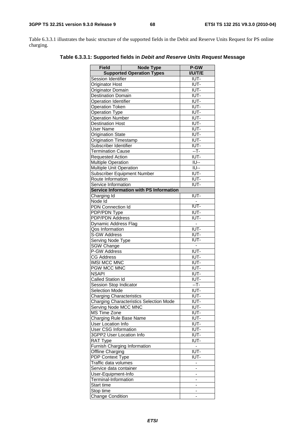Table 6.3.3.1 illustrates the basic structure of the supported fields in the Debit and Reserve Units Request for PS online charging.

| Field                           | <b>Node Type</b>                               | P-GW                               |
|---------------------------------|------------------------------------------------|------------------------------------|
|                                 | <b>Supported Operation Types</b>               | <b>I/U/T/E</b>                     |
| Session Identifier              |                                                | IUT-                               |
| Originator Host                 |                                                | IUT-                               |
| Originator Domain               |                                                | IUT-                               |
| <b>Destination Domain</b>       |                                                | IUT-                               |
| <b>Operation Identifier</b>     |                                                | IUT-                               |
| <b>Operation Token</b>          |                                                | IUT-                               |
| <b>Operation Type</b>           |                                                | IUT-                               |
| <b>Operation Number</b>         |                                                | IUT-                               |
| <b>Destination Host</b>         |                                                | IUT-                               |
| <b>User Name</b>                |                                                | IUT-                               |
| <b>Origination State</b>        |                                                | IUT-                               |
| <b>Origination Timestamp</b>    |                                                | IUT-                               |
| Subscriber Identifier           |                                                | IUT-                               |
| <b>Termination Cause</b>        |                                                | $-$ T-                             |
| <b>Requested Action</b>         |                                                | IUT-                               |
| <b>Multiple Operation</b>       |                                                | $\overline{\overline{\bigcup}}$ -- |
| Multiple Unit Operation         |                                                | $\overline{\overline{\bigcup}}$ -- |
|                                 | Subscriber Equipment Number                    | IUT-                               |
| Route Information               |                                                | IUT-                               |
| Service Information             |                                                | IUT-                               |
|                                 | <b>Service Information with PS Information</b> |                                    |
| Charging Id                     |                                                | IUT-                               |
| Node Id                         |                                                |                                    |
| PDN Connection Id               |                                                | IUT-                               |
| PDP/PDN Type                    |                                                | IUT-                               |
| PDP/PDN Address                 |                                                | IUT-                               |
| Dynamic Address Flag            |                                                | ī.                                 |
| Qos Information                 |                                                | IUT-                               |
| S-GW Address                    |                                                | IUT-                               |
| Serving Node Type               |                                                | IUT-                               |
| <b>SGW Change</b>               |                                                | ÷                                  |
| P-GW Address                    |                                                | IUT-                               |
| <b>CG Address</b>               |                                                | IUT-                               |
| <b>IMSI MCC MNC</b>             |                                                | IUT-                               |
| PGW MCC MNC                     |                                                | IUT-                               |
| <b>NSAPI</b>                    |                                                | IUT-                               |
| Called Station Id               |                                                | IUT-                               |
| Session Stop Indicator          |                                                | $-T -$                             |
| <b>Selection Mode</b>           |                                                | IUT-                               |
| <b>Charging Characteristics</b> |                                                | IUT-                               |
|                                 | <b>Charging Characteristics Selection Mode</b> | IUT-                               |
| Serving Node MCC MNC            |                                                | IUT-                               |
| <b>MS Time Zone</b>             |                                                | IUT-                               |
| Charging Rule Base Name         |                                                | IUT-                               |
| <b>User Location Info</b>       |                                                | IUT-                               |
| User CSG Information            |                                                | IUT-                               |
| 3GPP2 User Location Info        |                                                | IUT-                               |
| RAT Type                        |                                                | IUT-                               |
|                                 | Furnish Charging Information                   | $\blacksquare$                     |
| Offline Charging                |                                                | IUT-                               |
| PDP Context Type                |                                                | IUT-                               |
| Traffic data volumes            |                                                | ÷                                  |
| Service data container          |                                                | -                                  |
| User-Equipment-Info             |                                                |                                    |
| Terminal-Information            |                                                | -                                  |
| Start time                      |                                                | -                                  |
| Stop time                       |                                                | -                                  |
| Change Condition                |                                                |                                    |

**Table 6.3.3.1: Supported fields in** *Debit and Reserve Units Request* **Message**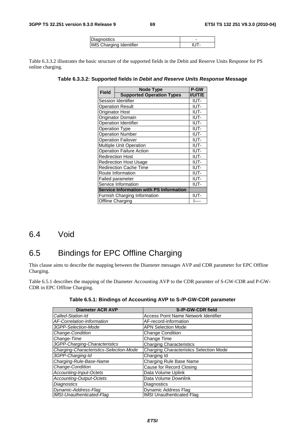| <i>Diagnostics</i>             |  |
|--------------------------------|--|
| <b>IMS Charging Identifier</b> |  |

Table 6.3.3.2 illustrates the basic structure of the supported fields in the Debit and Reserve Units Response for PS online charging.

**Table 6.3.3.2: Supported fields in** *Debit and Reserve Units Response* **Message** 

| <b>Field</b>                                   | <b>Node Type</b>                 | P-GW           |
|------------------------------------------------|----------------------------------|----------------|
|                                                | <b>Supported Operation Types</b> | <b>I/U/T/E</b> |
| Session Identifier                             |                                  | IUT-           |
| Operation Result                               |                                  | IUT-           |
|                                                | IUT-<br>Originator Host          |                |
| IUT-<br>Originator Domain                      |                                  |                |
| <b>Operation Identifier</b><br>IUT-            |                                  |                |
| IUT-<br><b>Operation Type</b>                  |                                  |                |
| <b>Operation Number</b><br>IUT-                |                                  |                |
| <b>Operation Failover</b><br>IUT-              |                                  |                |
| Multiple Unit Operation<br>IUT-                |                                  |                |
| IUT-<br><b>Operation Failure Action</b>        |                                  |                |
| <b>Redirection Host</b><br>IUT-                |                                  |                |
|                                                | <b>Redirection Host Usage</b>    | IUT-           |
|                                                | <b>Redirection Cache Time</b>    | IUT-           |
|                                                | Route Information                | IUT-           |
|                                                | <b>Failed parameter</b>          | IUT-           |
|                                                | Service Information              | IUT-           |
| <b>Service Information with PS Information</b> |                                  |                |
|                                                | Furnish Charging Information     | IUT-           |
| Offline Charging<br>l----                      |                                  |                |

# 6.4 Void

# 6.5 Bindings for EPC Offline Charging

This clause aims to describe the mapping between the Diameter messages AVP and CDR parameter for EPC Offline Charging.

Table 6.5.1 describes the mapping of the Diameter Accounting AVP to the CDR paramter of S-GW-CDR and P-GW-CDR in EPC Offline Charging.

| <b>Diameter ACR AVP</b>                 | S-/P-GW-CDR field                              |
|-----------------------------------------|------------------------------------------------|
| Called-Station-Id                       | <b>Access Point Name Network Identifier</b>    |
| AF-Correlation-Information              | AF-record-information                          |
| 3GPP-Selection-Mode                     | <b>APN Selection Mode</b>                      |
| Change-Condition                        | <b>Change Condition</b>                        |
| Change-Time                             | Change Time                                    |
| 3GPP-Charging-Characteristics           | <b>Charging Characteristics</b>                |
| Charging-Characteristics-Selection-Mode | <b>Charging Characteristics Selection Mode</b> |
| 3GPP-Charging-Id                        | Charging Id                                    |
| Charging-Rule-Base-Name                 | Charging Rule Base Name                        |
| Change-Condition                        | Cause for Record Closing                       |
| Accounting-Input-Octets                 | Data Volume Uplink                             |
| <b>Accounting-Output-Octets</b>         | Data Volume Downlink                           |
| <b>Diagnostics</b>                      | <b>Diagnostics</b>                             |
| Dynamic-Address-Flag                    | Dynamic Address Flag                           |
| IMSI-Unauthenticated-Flag               | <b>IMSI Unauthenticated Flag</b>               |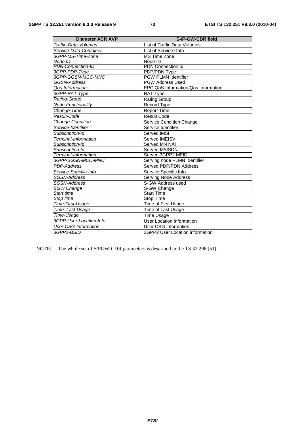| <b>Diameter ACR AVP</b>     | S-/P-GW-CDR field                   |
|-----------------------------|-------------------------------------|
| Traffic-Data-Volumes        | List of Traffic Data Volumes        |
| Service-Data-Container      | List of Service Data                |
| 3GPP-MS-Time-Zone           | <b>MS Time Zone</b>                 |
| Node ID                     | Node ID                             |
| <b>PDN-Connection-ID</b>    | <b>PDN Connection Id</b>            |
| 3GPP-PDP-Type               | <b>PDP/PDN Type</b>                 |
| 3GPP-GGSN-MCC-MNC           | <b>PGW PLMN Identifier</b>          |
| GGSN-Address                | <b>PGW Address Used</b>             |
| Qos-Information             | EPC QoS Information/Qos Information |
| 3GPP-RAT-Type               | <b>RAT Type</b>                     |
| Rating-Group                | <b>Rating Group</b>                 |
| Node-Functionality          | Record Type                         |
| Change-Time                 | <b>Report Time</b>                  |
| Result-Code                 | <b>Result Code</b>                  |
| Change-Condition            | Service Condition Change            |
| Service-Identifier          | Service Identifier                  |
| Subscription-Id             | Served IMSI                         |
| Terminal-Information        | Served IMEISV                       |
| Subscription-Id             | <b>Served MN NAI</b>                |
| Subscription-Id             | Served MSISDN                       |
| Terminal-Information        | Served 3GPP2 MEID                   |
| 3GPP-SGSN-MCC-MNC           | Serving node PLMN Identifier        |
| <b>PDP-Address</b>          | Served PDP/PDN Address              |
| Service-Specific-Info       | Service Specific Info               |
| SGSN-Address                | <b>Serving Node Address</b>         |
| <b>SGSN-Address</b>         | S-GW Address used                   |
| <b>SGW Change</b>           | S-GW Change                         |
| Start time                  | <b>Start Time</b>                   |
| Stop time                   | <b>Stop Time</b>                    |
| Time-First-Usage            | Time of First Usage                 |
| Time-Last-Usage             | Time of Last Usage                  |
| Time-Usage                  | <b>Time Usage</b>                   |
| 3GPP-User-Location-Info     | <b>User Location Information</b>    |
| <b>User-CSG-Information</b> | <b>User CSG Information</b>         |
| 3GPP2-BSID                  | 3GPP2 User Location information     |

NOTE: The whole set of S/PGW-CDR parameters is described in the TS 32.298 [51].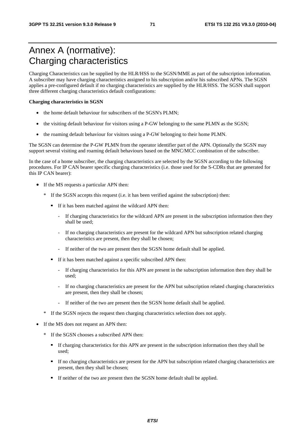# Annex A (normative): Charging characteristics

Charging Characteristics can be supplied by the HLR/HSS to the SGSN/MME as part of the subscription information. A subscriber may have charging characteristics assigned to his subscription and/or his subscribed APNs. The SGSN applies a pre-configured default if no charging characteristics are supplied by the HLR/HSS. The SGSN shall support three different charging characteristics default configurations:

#### **Charging characteristics in SGSN**

- the home default behaviour for subscribers of the SGSN's PLMN:
- the visiting default behaviour for visitors using a P-GW belonging to the same PLMN as the SGSN;
- the roaming default behaviour for visitors using a P-GW belonging to their home PLMN.

The SGSN can determine the P-GW PLMN from the operator identifier part of the APN. Optionally the SGSN may support several visiting and roaming default behaviours based on the MNC/MCC combination of the subscriber.

In the case of a home subscriber, the charging characteristics are selected by the SGSN according to the following procedures. For IP CAN bearer specific charging characteristics (i.e. those used for the S-CDRs that are generated for this IP CAN bearer):

- If the MS requests a particular APN then:
	- \* If the SGSN accepts this request (i.e. it has been verified against the subscription) then:
		- If it has been matched against the wildcard APN then:
			- If charging characteristics for the wildcard APN are present in the subscription information then they shall be used;
			- If no charging characteristics are present for the wildcard APN but subscription related charging characteristics are present, then they shall be chosen;
			- If neither of the two are present then the SGSN home default shall be applied.
		- If it has been matched against a specific subscribed APN then:
			- If charging characteristics for this APN are present in the subscription information then they shall be used;
			- If no charging characteristics are present for the APN but subscription related charging characteristics are present, then they shall be chosen;
			- If neither of the two are present then the SGSN home default shall be applied.
	- \* If the SGSN rejects the request then charging characteristics selection does not apply.
- If the MS does not request an APN then:
	- \* If the SGSN chooses a subscribed APN then:
		- If charging characteristics for this APN are present in the subscription information then they shall be used;
		- If no charging characteristics are present for the APN but subscription related charging characteristics are present, then they shall be chosen;
		- If neither of the two are present then the SGSN home default shall be applied.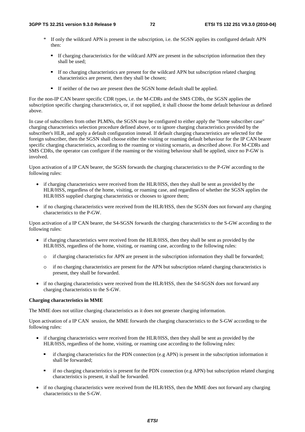- \* If only the wildcard APN is present in the subscription, i.e. the SGSN applies its configured default APN then:
	- If charging characteristics for the wildcard APN are present in the subscription information then they shall be used;
	- If no charging characteristics are present for the wildcard APN but subscription related charging characteristics are present, then they shall be chosen;
	- If neither of the two are present then the SGSN home default shall be applied.

For the non-IP CAN bearer specific CDR types, i.e. the M-CDRs and the SMS CDRs, the SGSN applies the subscription specific charging characteristics, or, if not supplied, it shall choose the home default behaviour as defined above.

In case of subscribers from other PLMNs, the SGSN may be configured to either apply the "home subscriber case" charging characteristics selection procedure defined above, or to ignore charging characteristics provided by the subscriber's HLR, and apply a default configuration instead. If default charging characteristics are selected for the foreign subscriber, then the SGSN shall choose either the visiting or roaming default behaviour for the IP CAN bearer specific charging characteristics, according to the roaming or visiting scenario, as described above. For M-CDRs and SMS CDRs, the operator can configure if the roaming or the visiting behaviour shall be applied, since no P-GW is involved.

Upon activation of a IP CAN bearer, the SGSN forwards the charging characteristics to the P-GW according to the following rules:

- if charging characteristics were received from the HLR/HSS, then they shall be sent as provided by the HLR/HSS, regardless of the home, visiting, or roaming case, and regardless of whether the SGSN applies the HLR/HSS supplied charging characteristics or chooses to ignore them;
- if no charging characteristics were received from the HLR/HSS, then the SGSN does not forward any charging characteristics to the P-GW.

Upon activation of a IP CAN bearer, the S4-SGSN forwards the charging characteristics to the S-GW according to the following rules:

- if charging characteristics were received from the HLR/HSS, then they shall be sent as provided by the HLR/HSS, regardless of the home, visiting, or roaming case, according to the following rules:
	- o if charging characteristics for APN are present in the subscription information they shall be forwarded;
	- o if no charging characteristics are present for the APN but subscription related charging characteristics is present, they shall be forwarded.
- if no charging characteristics were received from the HLR/HSS, then the S4-SGSN does not forward any charging characteristics to the S-GW.

### **Charging characteristics in MME**

The MME does not utilize charging characteristics as it does not generate charging information.

Upon activation of a IP CAN session, the MME forwards the charging characteristics to the S-GW according to the following rules:

- if charging characteristics were received from the HLR/HSS, then they shall be sent as provided by the HLR/HSS, regardless of the home, visiting, or roaming case according to the following rules:
	- if charging characteristics for the PDN connection (e.g APN) is present in the subscription information it shall be forwarded;
	- if no charging characteristics is present for the PDN connection (e.g APN) but subscription related charging characteristics is present, it shall be forwarded.
- if no charging characteristics were received from the HLR/HSS, then the MME does not forward any charging characteristics to the S-GW.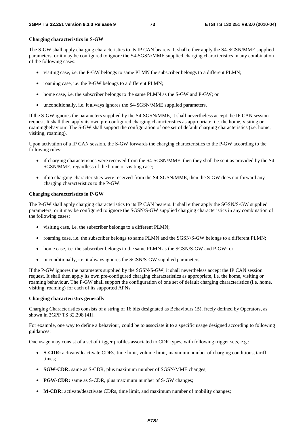## **Charging characteristics in S-GW**

The S-GW shall apply charging characteristics to its IP CAN bearers. It shall either apply the S4-SGSN/MME supplied parameters, or it may be configured to ignore the S4-SGSN/MME supplied charging characteristics in any combination of the following cases:

- visiting case, i.e. the P-GW belongs to same PLMN the subscriber belongs to a different PLMN;
- roaming case, i.e. the P-GW belongs to a different PLMN;
- home case, i.e. the subscriber belongs to the same PLMN as the S-GW and P-GW; or
- unconditionally, i.e. it always ignores the S4-SGSN/MME supplied parameters.

If the S-GW ignores the parameters supplied by the S4-SGSN/MME, it shall nevertheless accept the IP CAN session request. It shall then apply its own pre-configured charging characteristics as appropriate, i.e. the home, visiting or roamingbehaviour. The S-GW shall support the configuration of one set of default charging characteristics (i.e. home, visiting, roaming).

Upon activation of a IP CAN session, the S-GW forwards the charging characteristics to the P-GW according to the following rules:

- if charging characteristics were received from the S4-SGSN/MME, then they shall be sent as provided by the S4- SGSN/MME, regardless of the home or visiting case;
- if no charging characteristics were received from the S4-SGSN/MME, then the S-GW does not forward any charging characteristics to the P-GW.

### **Charging characteristics in P-GW**

The P-GW shall apply charging characteristics to its IP CAN bearers. It shall either apply the SGSN/S-GW supplied parameters, or it may be configured to ignore the SGSN/S-GW supplied charging characteristics in any combination of the following cases:

- visiting case, i.e. the subscriber belongs to a different PLMN;
- roaming case, i.e. the subscriber belongs to same PLMN and the SGSN/S-GW belongs to a different PLMN;
- home case, i.e. the subscriber belongs to the same PLMN as the SGSN/S-GW and P-GW; or
- unconditionally, i.e. it always ignores the SGSN/S-GW supplied parameters.

If the P-GW ignores the parameters supplied by the SGSN/S-GW, it shall nevertheless accept the IP CAN session request. It shall then apply its own pre-configured charging characteristics as appropriate, i.e. the home, visiting or roaming behaviour. The P-GW shall support the configuration of one set of default charging characteristics (i.e. home, visiting, roaming) for each of its supported APNs.

### **Charging characteristics generally**

Charging Characteristics consists of a string of 16 bits designated as Behaviours (B), freely defined by Operators, as shown in 3GPP TS 32.298 [41].

For example, one way to define a behaviour, could be to associate it to a specific usage designed according to following guidances:

One usage may consist of a set of trigger profiles associated to CDR types, with following trigger sets, e.g.:

- **S-CDR:** activate/deactivate CDRs, time limit, volume limit, maximum number of charging conditions, tariff times;
- **SGW-CDR:** same as S-CDR, plus maximum number of SGSN/MME changes;
- **PGW-CDR:** same as S-CDR, plus maximum number of S-GW changes;
- **M-CDR:** activate/deactivate CDRs, time limit, and maximum number of mobility changes;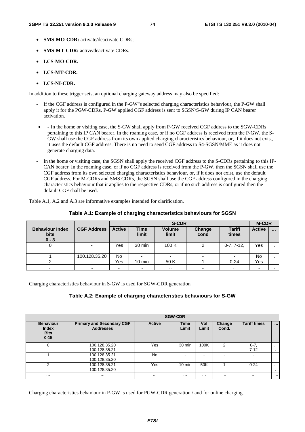- **SMS-MO-CDR:** activate/deactivate CDRs:
- **SMS-MT-CDR:** active/deactivate CDRs.
- **LCS-MO-CDR.**
- **LCS-MT-CDR.**
- **LCS-NI-CDR.**

In addition to these trigger sets, an optional charging gateway address may also be specified:

- If the CGF address is configured in the P-GW"s selected charging characteristics behaviour, the P-GW shall apply it for the PGW-CDRs. P-GW applied CGF address is sent to SGSN/S-GW during IP CAN bearer activation.
- - In the home or visiting case, the S-GW shall apply from P-GW received CGF address to the SGW-CDRs pertaining to this IP CAN bearer. In the roaming case, or if no CGF address is received from the P-GW, the S-GW shall use the CGF address from its own applied charging characteristics behaviour, or, if it does not exist, it uses the default CGF address. There is no need to send CGF address to S4-SGSN/MME as it does not generate charging data.
- In the home or visiting case, the SGSN shall apply the received CGF address to the S-CDRs pertaining to this IP-CAN bearer. In the roaming case, or if no CGF address is received from the P-GW, then the SGSN shall use the CGF address from its own selected charging characteristics behaviour, or, if it does not exist, use the default CGF address. For M-CDRs and SMS CDRs, the SGSN shall use the CGF address configured in the charging characteristics behaviour that it applies to the respective CDRs, or if no such address is configured then the default CGF shall be used.

Table A.1, A.2 and A.3 are informative examples intended for clarification.

|                                                  |                    |               | <b>M-CDR</b>         |                        |                |                              |               |           |
|--------------------------------------------------|--------------------|---------------|----------------------|------------------------|----------------|------------------------------|---------------|-----------|
| <b>Behaviour Index</b><br><b>bits</b><br>$0 - 3$ | <b>CGF Address</b> | <b>Active</b> | <b>Time</b><br>limit | <b>Volume</b><br>limit | Change<br>cond | <b>Tariff</b><br>times       | <b>Active</b> | $\cdots$  |
|                                                  |                    | Yes           | 30 min               | 100K                   | 2              | $0 - 7, 7 - 12,$<br>$\cdots$ | Yes           | $\cdot$ . |
|                                                  | 100.128.35.20      | No            |                      | ۰                      |                |                              | No            |           |
|                                                  |                    | Yes           | $10 \text{ min}$     | 50 K                   |                | $0 - 24$                     | Yes           | . .       |
| $\cdot$ .                                        | $\cdots$           | . .           | $\cdots$             | . .                    | . .            | $\cdots$                     | . .           | $\cdots$  |

**Table A.1: Example of charging characteristics behaviours for SGSN** 

Charging characteristics behaviour in S-GW is used for SGW-CDR generation

## **Table A.2: Example of charging characteristics behaviours for S-GW**

|                                                             |                                                      |               | <b>SGW-CDR</b>       |              |                          |                     |                     |
|-------------------------------------------------------------|------------------------------------------------------|---------------|----------------------|--------------|--------------------------|---------------------|---------------------|
| <b>Behaviour</b><br><b>Index</b><br><b>Bits</b><br>$0 - 15$ | <b>Primary and Secondary CGF</b><br><b>Addresses</b> | <b>Active</b> | <b>Time</b><br>Limit | Vol<br>Limit | Change<br>Cond.          | <b>Tariff times</b> | $\cdots$            |
| $\mathbf 0$                                                 | 100.128.35.20<br>100.128.35.21                       | Yes           | 30 min               | 100K         | $\mathcal{P}$            | $0 - 7$<br>$7 - 12$ | $\cdot$ .<br>$\sim$ |
|                                                             | 100.128.35.21<br>100.128.35.20                       | No            |                      | <b>.</b>     | $\overline{\phantom{0}}$ |                     | $\cdots$            |
| 2                                                           | 100.128.35.21<br>100.128.35.20                       | Yes           | $10 \text{ min}$     | 50K          |                          | $0 - 24$            | $\cdot$ .<br>$\sim$ |
| $\cdots$                                                    | $\cdot\cdot\cdot$                                    | $\cdots$      | $\cdots$             | $\cdots$     | $\cdots$                 | $\cdots$            | $\cdots$            |

Charging characteristics behaviour in P-GW is used for PGW-CDR generation / and for online charging.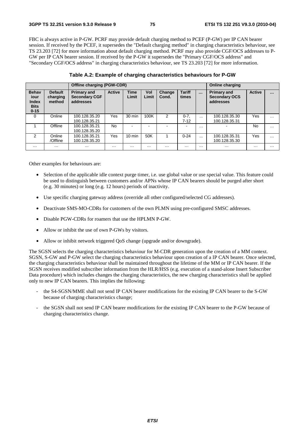FBC is always active in P-GW. PCRF may provide default charging method to PCEF (P-GW) per IP CAN bearer session. If received by the PCEF, it supersedes the "Default charging method" in charging characteristics behaviour, see TS 23.203 [72] for more information about default charging method. PCRF may also provide CGF/OCS addresses to P-GW per IP CAN bearer session. If received by the P-GW it supersedes the "Primary CGF/OCS address" and "Secondary CGF/OCS address" in charging characteristics behaviour, see TS 23.203 [72] for more information.

|                                                                 |                                      | <b>Offline charging (PGW-CDR)</b>                       |               | Online charging      |              |                 |                        |          |                                                         |               |          |
|-----------------------------------------------------------------|--------------------------------------|---------------------------------------------------------|---------------|----------------------|--------------|-----------------|------------------------|----------|---------------------------------------------------------|---------------|----------|
| <b>Behav</b><br>jour<br><b>Index</b><br><b>Bits</b><br>$0 - 15$ | <b>Default</b><br>charging<br>method | <b>Primary and</b><br><b>Secondary CGF</b><br>addresses | <b>Active</b> | <b>Time</b><br>Limit | Vol<br>Limit | Change<br>Cond. | <b>Tariff</b><br>times | $\cdots$ | <b>Primary and</b><br><b>Secondary OCS</b><br>addresses | <b>Active</b> | $\cdots$ |
| 0                                                               | Online                               | 100.128.35.20<br>100.128.35.21                          | Yes           | 30 min               | 100K         | 2               | $0 - 7$ .<br>$7 - 12$  | $\cdots$ | 100.128.35.30<br>100.128.35.31                          | Yes           | $\cdots$ |
|                                                                 | Offline                              | 100.128.35.21<br>100.128.35.20                          | No.           |                      |              |                 | -                      | $\cdots$ |                                                         | No            | $\cdots$ |
| $\mathfrak{p}$                                                  | Online<br>/Offline                   | 100.128.35.21<br>100.128.35.20                          | Yes           | $10 \text{ min}$     | 50K          |                 | $0 - 24$               | $\cdots$ | 100.128.35.31<br>100.128.35.30                          | Yes           | $\cdots$ |
| $\cdots$                                                        | $\cdots$                             | $\cdots$                                                | $\cdots$      | $\cdots$             | $\cdots$     | $\cdots$        | $\cdots$               | $\cdots$ | $\cdots$                                                | $\cdots$      | $\cdots$ |

**Table A.2: Example of charging characteristics behaviours for P-GW** 

Other examples for behaviours are:

- Selection of the applicable idle context purge timer, i.e. use global value or use special value. This feature could be used to distinguish between customers and/or APNs whose IP CAN bearers should be purged after short (e.g. 30 minutes) or long (e.g. 12 hours) periods of inactivity.
- Use specific charging gateway address (override all other configured/selected CG addresses).
- Deactivate SMS-MO-CDRs for customers of the own PLMN using pre-configured SMSC addresses.
- Disable PGW-CDRs for roamers that use the HPLMN P-GW.
- Allow or inhibit the use of own P-GWs by visitors.
- Allow or inhibit network triggered QoS change (upgrade and/or downgrade).

The SGSN selects the charging characteristics behaviour for M-CDR generation upon the creation of a MM context. SGSN, S-GW and P-GW select the charging characteristics behaviour upon creation of a IP CAN bearer. Once selected, the charging characteristics behaviour shall be maintained throughout the lifetime of the MM or IP CAN bearer. If the SGSN receives modified subscriber information from the HLR/HSS (e.g. execution of a stand-alone Insert Subscriber Data procedure) which includes changes the charging characteristics, the new charging characteristics shall be applied only to new IP CAN bearers. This implies the following:

- the S4-SGSN/MME shall not send IP CAN bearer modifications for the existing IP CAN bearer to the S-GW because of charging characteristics change;
- the SGSN shall not send IP CAN bearer modifications for the existing IP CAN bearer to the P-GW because of charging characteristics change.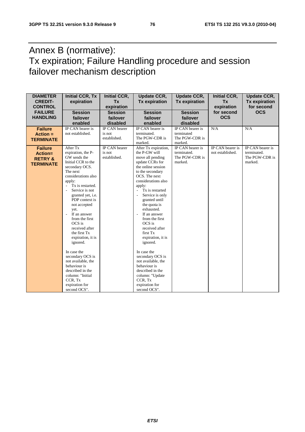## Annex B (normative): Tx expiration; Failure Handling procedure and session failover mechanism description

| <b>DIAMETER</b><br><b>CREDIT-</b><br><b>CONTROL</b><br><b>FAILURE</b><br><b>HANDLING</b> | <b>Initial CCR, Tx</b><br>expiration<br><b>Session</b><br>failover                                                                                                                                                                                                                                                                                                                                                                                                                     | <b>Initial CCR,</b><br><b>Tx</b><br>expiration<br><b>Session</b><br>failover | <b>Update CCR,</b><br><b>Tx expiration</b><br><b>Session</b><br>failover                                                                                                                                                                                                                                                                                                                                                                                              | <b>Update CCR,</b><br><b>Tx expiration</b><br><b>Session</b><br>failover | <b>Initial CCR,</b><br>Tx<br>expiration<br>for second<br><b>OCS</b> | <b>Update CCR,</b><br><b>Tx expiration</b><br>for second<br><b>OCS</b> |
|------------------------------------------------------------------------------------------|----------------------------------------------------------------------------------------------------------------------------------------------------------------------------------------------------------------------------------------------------------------------------------------------------------------------------------------------------------------------------------------------------------------------------------------------------------------------------------------|------------------------------------------------------------------------------|-----------------------------------------------------------------------------------------------------------------------------------------------------------------------------------------------------------------------------------------------------------------------------------------------------------------------------------------------------------------------------------------------------------------------------------------------------------------------|--------------------------------------------------------------------------|---------------------------------------------------------------------|------------------------------------------------------------------------|
|                                                                                          | enabled                                                                                                                                                                                                                                                                                                                                                                                                                                                                                | disabled                                                                     | enabled                                                                                                                                                                                                                                                                                                                                                                                                                                                               | disabled                                                                 |                                                                     |                                                                        |
| <b>Failure</b><br>$Action =$<br><b>TERMINATE</b>                                         | IP CAN bearer is<br>not established.                                                                                                                                                                                                                                                                                                                                                                                                                                                   | <b>IP CAN</b> bearer<br>is not<br>established.                               | IP CAN bearer is<br>terminated.<br>The PGW-CDR is<br>marked.                                                                                                                                                                                                                                                                                                                                                                                                          | IP CAN bearer is<br>terminated<br>The PGW-CDR is<br>marked.              | N/A                                                                 | N/A                                                                    |
| <b>Failure</b><br>Action=<br><b>RETRY &amp;</b><br><b>TERMINATE</b>                      | After Tx<br>expiration, the P-<br>GW sends the<br>Initial CCR to the<br>secondary OCS.<br>The next<br>considerations also<br>apply:<br>Tx is restarted.<br>$\overline{\phantom{a}}$<br>Service is not<br>granted yet, i.e.<br>PDP context is<br>not accepted<br>yet.<br>If an answer<br>L,<br>from the first<br>OCS is<br>received after<br>the first Tx<br>expiration, it is<br>ignored.<br>In case the<br>secondary OCS is<br>not available, the<br>behaviour is<br>described in the | IP CAN bearer<br>is not<br>established.                                      | After Tx expiration,<br>the P-GW will<br>move all pending<br>update CCRs for<br>the online session<br>to the secondary<br>OCS. The next<br>considerations also<br>apply:<br>Tx is restarted<br>Service is only<br>granted until<br>the quota is<br>exhausted.<br>If an answer<br>from the first<br>OCS is<br>received after<br>first Tx<br>expiration, it is<br>ignored.<br>In case the<br>secondary OCS is<br>not available, the<br>behaviour is<br>described in the | IP CAN bearer is<br>terminated.<br>The PGW-CDR is<br>marked.             | IP CAN bearer is<br>not established.                                | IP CAN bearer is<br>terminated.<br>The PGW-CDR is<br>marked.           |
|                                                                                          | column: "Initial<br>CCR, Tx<br>expiration for<br>second OCS".                                                                                                                                                                                                                                                                                                                                                                                                                          |                                                                              | column: "Update<br>CCR, Tx<br>expiration for<br>second OCS".                                                                                                                                                                                                                                                                                                                                                                                                          |                                                                          |                                                                     |                                                                        |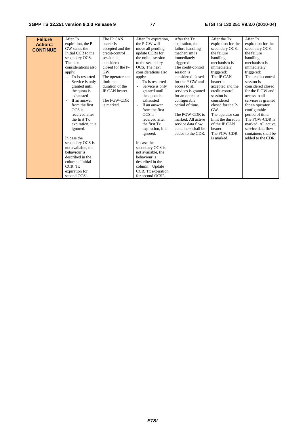| <b>Failure</b>  | After Tx            | The IP CAN        | After Tx expiration, | After the Tx        | After the Tx       | After Tx            |
|-----------------|---------------------|-------------------|----------------------|---------------------|--------------------|---------------------|
| Action=         | expiration, the P-  | bearer is         | the P-GW will        | expiration, the     | expiration for the | expiration for the  |
| <b>CONTINUE</b> | GW sends the        | accepted and the  | move all pending     | failure handling    | secondary OCS,     | secondary OCS.      |
|                 | Initial CCR to the  | credit-control    | update CCRs for      | mechanism is        | the failure        | the failure         |
|                 | secondary OCS.      | session is        | the online session   | immediately         | handling           | handling            |
|                 | The next            | considered        | to the secondary     | triggered:          | mechanism is       | mechanism is        |
|                 | considerations also | closed for the P- | OCS. The next        | The credit-control  | immediately        | immediately         |
|                 | apply:              | GW.               | considerations also  | session is          | triggered:         | triggered:          |
|                 | Tx is restarted     | The operator can  | apply:               | considered closed   | The IP CAN         | The credit-control  |
|                 | Service is only     | limit the         | Tx is restarted      | for the P-GW and    | bearer is          | session is          |
|                 | granted until       | duration of the   | Service is only      | access to all       | accepted and the   | considered closed   |
|                 | the quota is        | IP CAN bearer.    | granted until        | services is granted | credit-control     | for the P-GW and    |
|                 | exhausted           |                   | the quota is         | for an operator     | session is         | access to all       |
|                 | If an answer        | The PGW-CDR       | exhausted            | configurable        | considered         | services is granted |
|                 | from the first      | is marked.        | If an answer         | period of time.     | closed for the P-  | for an operator     |
|                 | OCS is              |                   | from the first       |                     | GW.                | configurable        |
|                 | received after      |                   | OCS is               | The PGW-CDR is      | The operator can   | period of time.     |
|                 | the first Tx        |                   | received after       | marked. All active  | limit the duration | The PGW-CDR is      |
|                 | expiration, it is   |                   | the first Tx         | service data flow   | of the IP CAN      | marked. All active  |
|                 | ignored.            |                   | expiration, it is    | containers shall be | bearer.            | service data flow   |
|                 |                     |                   | ignored.             | added to the CDR.   | The PGW-CDR        | containers shall be |
|                 | In case the         |                   |                      |                     | is marked.         | added to the CDR    |
|                 | secondary OCS is    |                   | In case the          |                     |                    |                     |
|                 | not available, the  |                   | secondary OCS is     |                     |                    |                     |
|                 | behaviour is        |                   | not available, the   |                     |                    |                     |
|                 | described in the    |                   | behaviour is         |                     |                    |                     |
|                 | column: "Initial    |                   | described in the     |                     |                    |                     |
|                 | CCR, Tx             |                   | column: "Update      |                     |                    |                     |
|                 | expiration for      |                   | CCR, Tx expiration   |                     |                    |                     |
|                 | second OCS".        |                   | for second OCS".     |                     |                    |                     |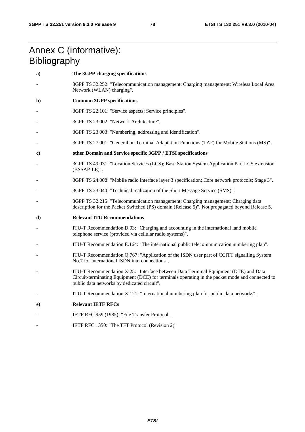## Annex C (informative): **Bibliography**

| a) | The 3GPP charging specifications                                                                                                                                                                                                       |
|----|----------------------------------------------------------------------------------------------------------------------------------------------------------------------------------------------------------------------------------------|
|    | 3GPP TS 32.252: "Telecommunication management; Charging management; Wireless Local Area<br>Network (WLAN) charging".                                                                                                                   |
| b) | <b>Common 3GPP specifications</b>                                                                                                                                                                                                      |
|    | 3GPP TS 22.101: "Service aspects; Service principles".                                                                                                                                                                                 |
|    | 3GPP TS 23.002: "Network Architecture".                                                                                                                                                                                                |
|    | 3GPP TS 23.003: "Numbering, addressing and identification".                                                                                                                                                                            |
|    | 3GPP TS 27.001: "General on Terminal Adaptation Functions (TAF) for Mobile Stations (MS)".                                                                                                                                             |
| c) | other Domain and Service specific 3GPP / ETSI specifications                                                                                                                                                                           |
|    | 3GPP TS 49.031: "Location Services (LCS); Base Station System Application Part LCS extension<br>(BSSAP-LE)".                                                                                                                           |
|    | 3GPP TS 24.008: "Mobile radio interface layer 3 specification; Core network protocols; Stage 3".                                                                                                                                       |
|    | 3GPP TS 23.040: "Technical realization of the Short Message Service (SMS)".                                                                                                                                                            |
|    | 3GPP TS 32.215: "Telecommunication management; Charging management; Charging data<br>description for the Packet Switched (PS) domain (Release 5)". Not propagated beyond Release 5.                                                    |
| d) | <b>Relevant ITU Recommendations</b>                                                                                                                                                                                                    |
|    | ITU-T Recommendation D.93: "Charging and accounting in the international land mobile<br>telephone service (provided via cellular radio systems)".                                                                                      |
|    | ITU-T Recommendation E.164: "The international public telecommunication numbering plan".                                                                                                                                               |
|    | ITU-T Recommendation Q.767: "Application of the ISDN user part of CCITT signalling System<br>No.7 for international ISDN interconnections".                                                                                            |
|    | ITU-T Recommendation X.25: "Interface between Data Terminal Equipment (DTE) and Data<br>Circuit-terminating Equipment (DCE) for terminals operating in the packet mode and connected to<br>public data networks by dedicated circuit". |
|    | ITU-T Recommendation X.121: "International numbering plan for public data networks".                                                                                                                                                   |
| e) | <b>Relevant IETF RFCs</b>                                                                                                                                                                                                              |
|    | IETF RFC 959 (1985): "File Transfer Protocol".                                                                                                                                                                                         |
|    | IETF RFC 1350: "The TFT Protocol (Revision 2)"                                                                                                                                                                                         |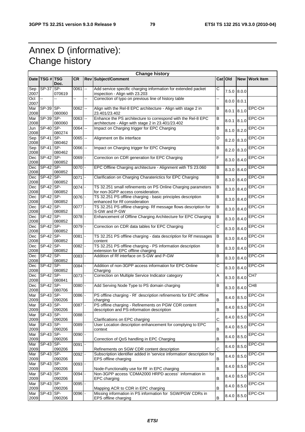## Annex D (informative): Change history

|                    |                    |                 |                     |    | <b>Change history</b>                                                                                              |         |               |             |                  |
|--------------------|--------------------|-----------------|---------------------|----|--------------------------------------------------------------------------------------------------------------------|---------|---------------|-------------|------------------|
|                    | Date   TSG #   TSG | Doc.            | <b>CR</b>           |    | <b>Rev Subject/Comment</b>                                                                                         |         | Cat Old       | <b>New</b>  | <b>Work Item</b> |
| Sep<br>2007        | <b>SP-37</b>       | SP-<br>070619   | 0061                | -- | Add service specific charging information for extended packet<br>inspection - Align with 23.203                    | С       | $7.5.0$ 8.0.0 |             |                  |
| Oct<br>2007        | u.                 |                 |                     | ÷. | Correction of typo on previous line of history table                                                               |         | 8.0.0 8.0.1   |             |                  |
| Mar<br>2008        | SP-39              | SP-<br>080060   | $0062$ --           |    | Align with the Rel-8 EPC architecture - Align with stage 2 in<br>23.401/23.402                                     | в       | 8.0.1         | 8.1.0       | <b>EPC-CH</b>    |
| Mar<br>2008        | SP-39              | SP-<br>080060   | $0063$ $-$          |    | Enhance the PS architecture to correspond with the Rel-8 EPC<br>architecture - Align with stage 2 in 23.401/23.402 | B       | 8.0.1         | 8.1.0       | EPC-CH           |
| Jun<br>2008        | <b>SP-40</b>       | SP-<br>080274   | 0064                | -- | Impact on Charging trigger for EPC Charging                                                                        | B       | 8.1.0         | 8.2.0       | EPC-CH           |
| Sep<br>2008        | <b>SP-41</b>       | SP-<br>080462   | 0065                | -- | Alignment on Bx interface                                                                                          | D       | 8.2.0         | 8.3.0       | EPC-CH           |
| Sep<br>2008        | <b>SP-41</b>       | SP-<br>080462   | $0066$ $-$          |    | Impact on Charging trigger for EPC Charging                                                                        | B       | 8.2.0         | 8.3.0       | <b>EPC-CH</b>    |
| <b>Dec</b><br>2008 | SP-42              | SP-<br>080852   | 0069                |    | Correction on CDR generation for EPC Charging                                                                      | F       | 8.3.0         | 8.4.0       | EPC-CH           |
| Dec<br>2008        | $SP-42$ SP-        | 080852          | $0070$ -            |    | EPC Offline Charging architecture - Alignment with TS 23.060                                                       | В       | 8.3.0         | 8.4.0       | EPC-CH           |
| Dec<br>2008        | SP-42              | SP-<br>080852   | 0071                |    | Clarification on Charging Charaterictics for EPC Charging                                                          | B       | 8.3.0         | 8.4.0       | EPC-CH           |
| Dec<br>2008        | <b>SP-42</b>       | SP-<br>080852   | 0074                |    | TS 32.251 small refinements on PS Online Charging parameters<br>for non-3GPP access consideration.                 | В       | 8.3.0         | 8.4.0       | EPC-CH           |
| Dec<br>2008        | $SP-42$ SP-        | 080852          | $0076$ -            |    | TS 32.251 PS offline charging - basic principles description<br>enhanced for Rf consideration                      | B       | 8.3.0         | 8.4.0       | EPC-CH           |
| Dec<br>2008        | <b>SP-42</b>       | SP-<br>080852   | 0077                |    | TS 32.251 PS offline charging-Rf message flows description for<br>S-GW and P-GW                                    | $\sf B$ | 8.3.0         | 8.4.0       | EPC-CH           |
| Dec<br>2008        | $SP-42$ SP-        | 080852          | $0078 -$            |    | Enhancement of Offline Charging Architecture for EPC Charging                                                      | B       | 8.3.0         | 8.4.0       | EPC-CH           |
| Dec<br>2008        | $SP-42$            | $SP-$<br>080852 | $0079$ -            |    | Correction on CDR data tables for EPC Charging                                                                     | С       | 8.3.0         | 8.4.0       | EPC-CH           |
| Dec<br>2008        | <b>SP-42</b>       | SP-<br>080852   | 0081                |    | TS 32.251 PS offline charging - data description for Rf messages<br>content                                        | в       | 8.3.0         | 8.4.0       | EPC-CH           |
| Dec<br>2008        | $SP-42$            | SP-<br>080852   | 0082                |    | TS 32.251 PS offline charging - PS information description<br>extension for EPC offline charging                   | B       | 8.3.0         | 8.4.0       | <b>EPC-CH</b>    |
| Dec<br>2008        | $SP-42$            | SP-<br>080852   | $\overline{0083}$ - |    | Addition of Rf interface on S-GW and P-GW                                                                          | B       | 8.3.0         | 8.4.0       | <b>EPC-CH</b>    |
| Dec<br>2008        | $SP-42$ SP-        | 080852          | 0084                |    | Addition of non-3GPP access information for EPC Online<br>Charging                                                 | С       | 8.3.0         | 8.4.0       | EPC-CH           |
| Dec<br>2008        | $SP-42$ SP-        | 080841          | $0073 -$            |    | Correction on Multiple Service Indicator category                                                                  | Α       | 8.3.0         | 8.4.0       | CH <sub>7</sub>  |
| Dec<br>2008        | SP-42 SP-          | 080706          | 0080                |    | Add Serving Node Type to PS domain charging                                                                        | В       | 8.3.0         | 8.4.0       | CH <sub>8</sub>  |
| Mar<br>2009        | $SP-43$            | SP-<br>090206   | 0086                |    | PS offline charging - Rf description refinements for EPC offline<br>charging                                       | $\sf B$ | 8.4.0 8.5.0   |             | EPC-CH           |
| Mar<br>2009        | $SP-43$ SP-        | 090206          | $0087$ -            |    | PS offline charging - Refinements on PGW CDR content<br>description and PS-information description                 | B       | 8.4.0 8.5.0   |             | EPC-CH           |
| Mar<br>2009        | SP-43 SP-          | 090206          | $0088$ -            |    | Clarifications on EPC charging                                                                                     | C       | 8.4.0 8.5.0   |             | EPC-CH           |
| Mar<br>2009        | $SP-43$ SP-        | 090206          | $0089$ -            |    | User Location description enhancement for complying to EPC<br>context                                              | $\sf B$ | 8.4.0         | 8.5.0       | EPC-CH           |
| Mar<br>2009        | $SP-43$ SP-        | 090206          | $\overline{0090}$ - |    | Correction of QoS handling in EPC Charging                                                                         | B       | 8.4.0 8.5.0   |             | EPC-CH           |
| Mar<br>2009        | SP-43              | SP-<br>090206   | 0091                |    | Refinements on SGW CDR content description                                                                         | C       | 8.4.0 8.5.0   |             | EPC-CH           |
| Mar<br>2009        | $SP-43$ SP-        | 090206          | $0092$ -            |    | Subscription identifier added in 'service information' description for<br>EPS offline charging                     | B       | 8.4.0 8.5.0   |             | EPC-CH           |
| Mar<br>2009        | $SP-43$ SP-        | 090206          | $0093$ -            |    | Node-Functionality use for Rf in EPC charging                                                                      | $\sf B$ | 8.4.0 8.5.0   |             | EPC-CH           |
| Mar<br>2009        | SP-43              | SP-<br>090206   | $0094$ -            |    | Non-3GPP access 'CDMA2000 HRPD access' information in<br>EPC charging                                              | B       | 8.4.0         | 8.5.0       | EPC-CH           |
| Mar<br>2009        | SP-43 SP-          | 090206          | 0095                |    | Mapping ACR to CDR in EPC charging                                                                                 | B       |               | 8.4.0 8.5.0 | EPC-CH           |
| Mar<br>2009        | $SP-43$            | SP-<br>090206   | 0096                |    | Missing information in PS information for SGW/PGW CDRs in<br>EPS offline charging                                  | B       |               | 8.4.0 8.5.0 | <b>EPC-CH</b>    |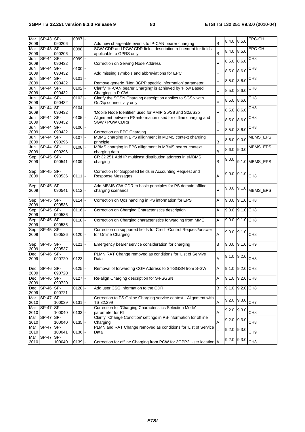| Mar<br>2009 | SP-43 SP-        | 090206        | $0097$ -              | Add new chargeable events to IP-CAN bearer charging                                                                     | B | 8.4.0 8.5.0           |       | <b>EPC-CH</b>   |
|-------------|------------------|---------------|-----------------------|-------------------------------------------------------------------------------------------------------------------------|---|-----------------------|-------|-----------------|
| Mar<br>2009 | $SP-43$ SP-      | 090206        | 0098                  | SGW CDR and PGW CDR fields description refinement for fields                                                            | B | 8.4.0 8.5.0           |       | EPC-CH          |
| Jun         | <b>SP-44</b>     | SP-           | $0099$ -              | applicable to GPRS only                                                                                                 |   | $8.5.0$ $8.6.0$       |       | CH <sub>8</sub> |
| 2009<br>Jun | <b>SP-44</b>     | 090432<br>SP- | $0100$ -              | Correction on Serving Node Address                                                                                      | F | $8.5.0$ $8.6.0$       |       | CH8             |
| 2009<br>Jun | SP-44 SP-        | 090432        | $0101$ -              | Add missing symbols and abbreviations for EPC                                                                           | F |                       |       | CH <sub>8</sub> |
| 2009<br>Jun | <b>SP-44</b>     | 090432<br>SP- | $\overline{0102}$ -   | Remove generic 'Non 3GPP specific information' parameter<br>Clarify 'IP-CAN bearer Charging' is achieved by 'Flow Based | F | 8.5.0                 | 8.6.0 | CH <sub>8</sub> |
| 2009        |                  | 090432        |                       | Charging' in P-GW                                                                                                       | F | 8.5.0                 | 8.6.0 |                 |
| Jun<br>2009 | <b>SP-44</b>     | SP-<br>090432 | $\overline{0103}$ -   | Clarify the SGSN Charging description applies to SGSN with<br>Gn/Gp connectivity only                                   | F | $8.5.0$ $8.6.0$       |       | CH <sub>8</sub> |
| Jun<br>2009 | $SP-44$          | SP-<br>090432 | $0104$ -              | 'Mobile Node Identifier' used for PMIP S5/S8 and S2a/S2b                                                                | F | 8.5.0                 | 8.6.0 | CH8             |
| Jun<br>2009 | SP-44 SP-        | 090432        | $0105$ -              | Alignment between PS-information used for offline charging and<br>SGW / PGW CDRs                                        | F | $8.5.0$ $8.6.0$       |       | CH <sub>8</sub> |
| Jun         | $SP-44$ SP-      |               | $0106$ -              |                                                                                                                         | F | 8.5.0                 | 8.6.0 | CH <sub>8</sub> |
| 2009<br>Jun | $SP-44$ SP-      | 090432        | $\overline{0107}$ -   | Correction on EPC Charging<br>MBMS charging in EPS allignment in MBMS context charging                                  |   | 8.6.0                 | 9.0.0 | MBMS_EPS        |
| 2009<br>Jun | SP-44 SP-        | 090296        | $0108 -$              | principle<br>MBMS charging in EPS allignment in MBMS bearer context                                                     | B | $8.6.0$ 9.0.0         |       | MBMS_EPS        |
| 2009<br>Sep | $SP-45$          | 090296<br>SP- |                       | charging data<br>CR 32.251 Add IP multicast distribution address in eMBMS                                               | B |                       |       |                 |
| 2009        |                  | 090541        | $0109$ -              | charging                                                                                                                | B | 9.0.0                 |       | 9.1.0 MBMS_EPS  |
| Sep<br>2009 | SP-45 SP-        | 090536        | $0111$ -              | Correction for Supported fields in Accounting Request and<br><b>Response Messages</b>                                   | A | $9.0.0   9.1.0  $ CH8 |       |                 |
| Sep<br>2009 | SP-45            | SP-<br>090541 | $0112 -$              | Add MBMS-GW-CDR to basic principles for PS domain offline<br>charging scenarios                                         | F | $9.0.0$ 9.1.0         |       | MBMS_EPS        |
| Sep<br>2009 | $SP-45$ SP-      | 090536        | $0114 -$              | Correction on Qos handling in PS information for EPS                                                                    | A | 9.0.0 9.1.0 CH8       |       |                 |
| Sep<br>2009 | SP-45 SP-        | 090536        | $0116$ -              | Correction on Charging Characteristics description                                                                      | A | 9.0.0 9.1.0 CH8       |       |                 |
| Sep<br>2009 | $SP-45$ SP-      | 090536        | $\overline{0118}$ -   | Correction on Charging characteristics forwarding from MME                                                              | A | 9.0.0 9.1.0 CH8       |       |                 |
| Sep<br>2009 | $SP-45$ SP-      | 090536        | $0120 -$              | Correction on supported fields for Credit-Control Request/answer<br>for Online Charging                                 | A | $9.0.0$ 9.1.0         |       | CH <sub>8</sub> |
| Sep<br>2009 | SP-45 SP-        | 090537        | $0121$ -              | Emergency bearer service consideration for charging                                                                     | B | $9.0.0$ $9.1.0$       |       | CH <sub>3</sub> |
| Dec<br>2009 | $SP-46$          | SP-<br>090720 | $0123$ -              | PLMN RAT Change removed as conditions for 'List of Servive<br>Data'                                                     | A | $9.1.0$ 9.2.0         |       | CH <sub>8</sub> |
| Dec<br>2009 | SP-46 SP-        | 090720        | $0125$ -              | Removal of forwarding CGF Address to S4-SGSN from S-GW                                                                  | Α | 9.1.0 9.2.0 CH8       |       |                 |
| Dec<br>2009 | SP-46            | SP-<br>090720 | $0127$ -              | Re-align Charging description for S4-SGSN                                                                               | Α | $9.1.0$ 9.2.0 CH8     |       |                 |
| Dec<br>2009 | SP-46            | SP-<br>090721 | $\overline{0}$ 128  - | Add user CSG information to the CDR                                                                                     | В | 9.1.0 9.2.0 CH8       |       |                 |
| Mar<br>2010 | <b>SP-47 SP-</b> | 100039        | 0131                  | Correction to PS Online Charging service context - Alignment with<br>TS 32.299                                          | Α | $9.2.0$ $9.3.0$       |       | CH <sub>7</sub> |
| Mar<br>2010 | <b>SP-47</b>     | SP-<br>100040 | 0133                  | Correction for 'Charging Characteristics Selection Mode'<br>parameter for Rf                                            | Α | $9.2.0$ 9.3.0         |       | CH <sub>8</sub> |
| Mar         | <b>SP-47</b>     | SP-           |                       | Clarify "Change Condition' settings in PS-information for offline                                                       |   | $9.2.0$ 9.3.0         |       | CH <sub>8</sub> |
| 2010<br>Mar | <b>SP-47</b>     | 100040<br>SP- | 0135                  | Charging<br>PLMN and RAT Change removed as conditions for 'List of Service                                              | A | $9.2.0$ $9.3.0$       |       |                 |
| 2010<br>Mar | <b>SP-47</b>     | 100041<br>SP- | $0136$ -              | Data'                                                                                                                   | F |                       |       | CH <sub>9</sub> |
| 2010        |                  | 100040        | 0139                  | Correction for offline Charging from PGW for 3GPP2 User location   A                                                    |   | $9.2.0$ $9.3.0$       |       | CH <sub>8</sub> |